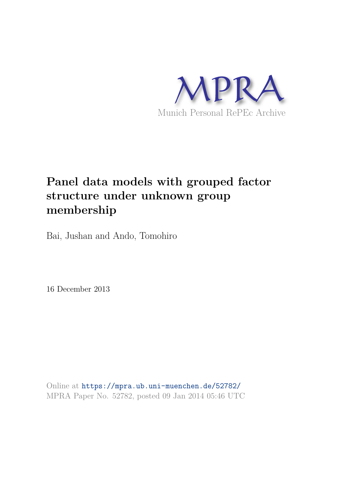

# **Panel data models with grouped factor structure under unknown group membership**

Bai, Jushan and Ando, Tomohiro

16 December 2013

Online at https://mpra.ub.uni-muenchen.de/52782/ MPRA Paper No. 52782, posted 09 Jan 2014 05:46 UTC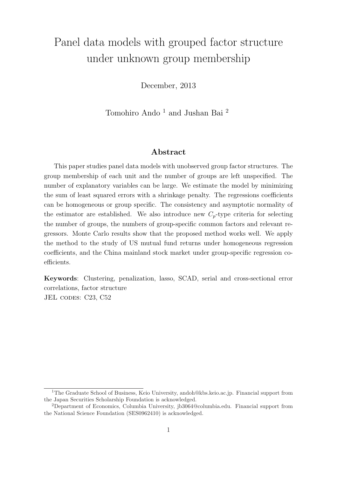# Panel data models with grouped factor structure under unknown group membership

December, 2013

Tomohiro Ando <sup>1</sup> and Jushan Bai <sup>2</sup>

#### Abstract

This paper studies panel data models with unobserved group factor structures. The group membership of each unit and the number of groups are left unspecified. The number of explanatory variables can be large. We estimate the model by minimizing the sum of least squared errors with a shrinkage penalty. The regressions coefficients can be homogeneous or group specific. The consistency and asymptotic normality of the estimator are established. We also introduce new  $C_p$ -type criteria for selecting the number of groups, the numbers of group-specific common factors and relevant regressors. Monte Carlo results show that the proposed method works well. We apply the method to the study of US mutual fund returns under homogeneous regression coefficients, and the China mainland stock market under group-specific regression coefficients.

Keywords: Clustering, penalization, lasso, SCAD, serial and cross-sectional error correlations, factor structure JEL CODES: C23, C52

<sup>&</sup>lt;sup>1</sup>The Graduate School of Business, Keio University, andoh@kbs.keio.ac.jp. Financial support from the Japan Securities Scholarship Foundation is acknowledged.

<sup>2</sup>Department of Economics, Columbia University, jb3064@columbia.edu. Financial support from the National Science Foundation (SES0962410) is acknowledged.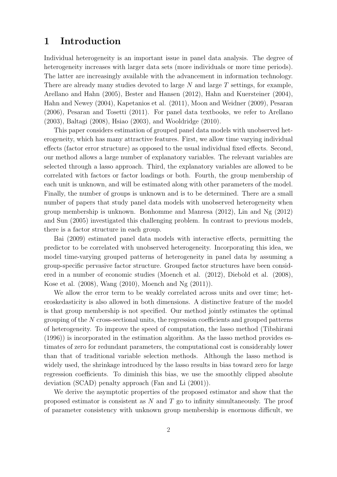# 1 Introduction

Individual heterogeneity is an important issue in panel data analysis. The degree of heterogeneity increases with larger data sets (more individuals or more time periods). The latter are increasingly available with the advancement in information technology. There are already many studies devoted to large  $N$  and large  $T$  settings, for example, Arellano and Hahn (2005), Bester and Hansen (2012), Hahn and Kuersteiner (2004), Hahn and Newey (2004), Kapetanios et al. (2011), Moon and Weidner (2009), Pesaran (2006), Pesaran and Tosetti (2011). For panel data textbooks, we refer to Arellano (2003), Baltagi (2008), Hsiao (2003), and Wooldridge (2010).

This paper considers estimation of grouped panel data models with unobserved heterogeneity, which has many attractive features. First, we allow time varying individual effects (factor error structure) as opposed to the usual individual fixed effects. Second, our method allows a large number of explanatory variables. The relevant variables are selected through a lasso approach. Third, the explanatory variables are allowed to be correlated with factors or factor loadings or both. Fourth, the group membership of each unit is unknown, and will be estimated along with other parameters of the model. Finally, the number of groups is unknown and is to be determined. There are a small number of papers that study panel data models with unobserved heterogeneity when group membership is unknown. Bonhomme and Manresa (2012), Lin and Ng (2012) and Sun (2005) investigated this challenging problem. In contrast to previous models, there is a factor structure in each group.

Bai (2009) estimated panel data models with interactive effects, permitting the predictor to be correlated with unobserved heterogeneity. Incorporating this idea, we model time-varying grouped patterns of heterogeneity in panel data by assuming a group-specific pervasive factor structure. Grouped factor structures have been considered in a number of economic studies (Moench et al. (2012), Diebold et al. (2008), Kose et al. (2008), Wang (2010), Moench and Ng (2011)).

We allow the error term to be weakly correlated across units and over time; heteroskedasticity is also allowed in both dimensions. A distinctive feature of the model is that group membership is not specified. Our method jointly estimates the optimal grouping of the N cross-sectional units, the regression coefficients and grouped patterns of heterogeneity. To improve the speed of computation, the lasso method (Tibshirani (1996)) is incorporated in the estimation algorithm. As the lasso method provides estimates of zero for redundant parameters, the computational cost is considerably lower than that of traditional variable selection methods. Although the lasso method is widely used, the shrinkage introduced by the lasso results in bias toward zero for large regression coefficients. To diminish this bias, we use the smoothly clipped absolute deviation (SCAD) penalty approach (Fan and Li (2001)).

We derive the asymptotic properties of the proposed estimator and show that the proposed estimator is consistent as  $N$  and  $T$  go to infinity simultaneously. The proof of parameter consistency with unknown group membership is enormous difficult, we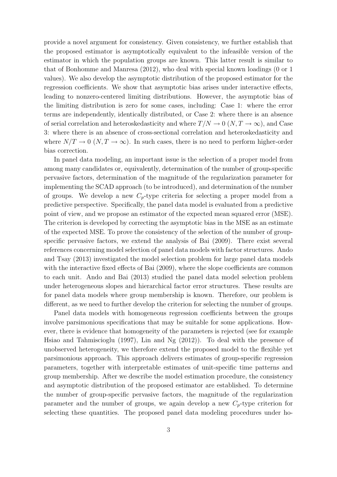provide a novel argument for consistency. Given consistency, we further establish that the proposed estimator is asymptotically equivalent to the infeasible version of the estimator in which the population groups are known. This latter result is similar to that of Bonhomme and Manresa (2012), who deal with special known loadings (0 or 1 values). We also develop the asymptotic distribution of the proposed estimator for the regression coefficients. We show that asymptotic bias arises under interactive effects, leading to nonzero-centered limiting distributions. However, the asymptotic bias of the limiting distribution is zero for some cases, including: Case 1: where the error terms are independently, identically distributed, or Case 2: where there is an absence of serial correlation and heteroskedasticity and where  $T/N \to 0$   $(N, T \to \infty)$ , and Case 3: where there is an absence of cross-sectional correlation and heteroskedasticity and where  $N/T \to 0$   $(N, T \to \infty)$ . In such cases, there is no need to perform higher-order bias correction.

In panel data modeling, an important issue is the selection of a proper model from among many candidates or, equivalently, determination of the number of group-specific pervasive factors, determination of the magnitude of the regularization parameter for implementing the SCAD approach (to be introduced), and determination of the number of groups. We develop a new  $C_p$ -type criteria for selecting a proper model from a predictive perspective. Specifically, the panel data model is evaluated from a predictive point of view, and we propose an estimator of the expected mean squared error (MSE). The criterion is developed by correcting the asymptotic bias in the MSE as an estimate of the expected MSE. To prove the consistency of the selection of the number of groupspecific pervasive factors, we extend the analysis of Bai (2009). There exist several references concerning model selection of panel data models with factor structures. Ando and Tsay (2013) investigated the model selection problem for large panel data models with the interactive fixed effects of Bai  $(2009)$ , where the slope coefficients are common to each unit. Ando and Bai (2013) studied the panel data model selection problem under heterogeneous slopes and hierarchical factor error structures. These results are for panel data models where group membership is known. Therefore, our problem is different, as we need to further develop the criterion for selecting the number of groups.

Panel data models with homogeneous regression coefficients between the groups involve parsimonious specifications that may be suitable for some applications. However, there is evidence that homogeneity of the parameters is rejected (see for example Hsiao and Tahmiscioglu (1997), Lin and Ng (2012)). To deal with the presence of unobserved heterogeneity, we therefore extend the proposed model to the flexible yet parsimonious approach. This approach delivers estimates of group-specific regression parameters, together with interpretable estimates of unit-specific time patterns and group membership. After we describe the model estimation procedure, the consistency and asymptotic distribution of the proposed estimator are established. To determine the number of group-specific pervasive factors, the magnitude of the regularization parameter and the number of groups, we again develop a new  $C_p$ -type criterion for selecting these quantities. The proposed panel data modeling procedures under ho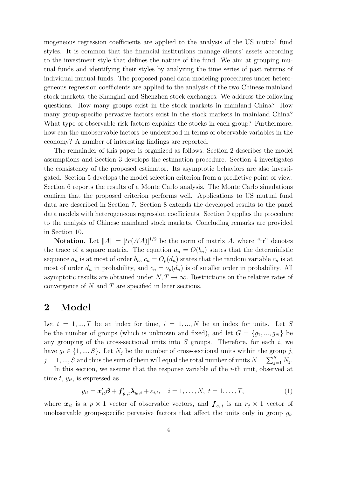mogeneous regression coefficients are applied to the analysis of the US mutual fund styles. It is common that the financial institutions manage clients' assets according to the investment style that defines the nature of the fund. We aim at grouping mutual funds and identifying their styles by analyzing the time series of past returns of individual mutual funds. The proposed panel data modeling procedures under heterogeneous regression coefficients are applied to the analysis of the two Chinese mainland stock markets, the Shanghai and Shenzhen stock exchanges. We address the following questions. How many groups exist in the stock markets in mainland China? How many group-specific pervasive factors exist in the stock markets in mainland China? What type of observable risk factors explains the stocks in each group? Furthermore, how can the unobservable factors be understood in terms of observable variables in the economy? A number of interesting findings are reported.

The remainder of this paper is organized as follows. Section 2 describes the model assumptions and Section 3 develops the estimation procedure. Section 4 investigates the consistency of the proposed estimator. Its asymptotic behaviors are also investigated. Section 5 develops the model selection criterion from a predictive point of view. Section 6 reports the results of a Monte Carlo analysis. The Monte Carlo simulations confirm that the proposed criterion performs well. Applications to US mutual fund data are described in Section 7. Section 8 extends the developed results to the panel data models with heterogeneous regression coefficients. Section 9 applies the procedure to the analysis of Chinese mainland stock markets. Concluding remarks are provided in Section 10.

**Notation.** Let  $||A|| = [tr(A'A)]^{1/2}$  be the norm of matrix A, where "tr" denotes the trace of a square matrix. The equation  $a_n = O(b_n)$  states that the deterministic sequence  $a_n$  is at most of order  $b_n$ ,  $c_n = O_p(d_n)$  states that the random variable  $c_n$  is at most of order  $d_n$  in probability, and  $c_n = o_p(d_n)$  is of smaller order in probability. All asymptotic results are obtained under  $N, T \to \infty$ . Restrictions on the relative rates of convergence of  $N$  and  $T$  are specified in later sections.

## 2 Model

Let  $t = 1, ..., T$  be an index for time,  $i = 1, ..., N$  be an index for units. Let S be the number of groups (which is unknown and fixed), and let  $G = \{g_1, ..., g_N\}$  be any grouping of the cross-sectional units into  $S$  groups. Therefore, for each  $i$ , we have  $g_i \in \{1, ..., S\}$ . Let  $N_j$  be the number of cross-sectional units within the group j,  $j = 1, ..., S$  and thus the sum of them will equal the total number of units  $N = \sum_{j=1}^{S} N_j$ .

In this section, we assume that the response variable of the *i*-th unit, observed at time t,  $y_{it}$ , is expressed as

$$
y_{it} = \boldsymbol{x}_{it}'\boldsymbol{\beta} + \boldsymbol{f}_{g_i,t}'\boldsymbol{\lambda}_{g_i,i} + \varepsilon_{i,t}, \quad i = 1,\ldots,N, \ t = 1,\ldots,T,
$$
 (1)

where  $x_{it}$  is a  $p \times 1$  vector of observable vectors, and  $f_{g_i,t}$  is an  $r_j \times 1$  vector of unobservable group-specific pervasive factors that affect the units only in group  $g_i$ .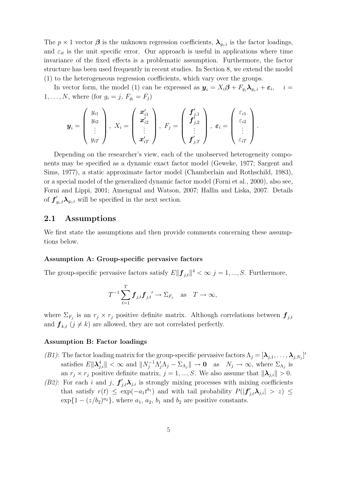The  $p \times 1$  vector  $\beta$  is the unknown regression coefficients,  $\lambda_{g_i,i}$  is the factor loadings, and  $\varepsilon_{it}$  is the unit specific error. Our approach is useful in applications where time invariance of the fixed effects is a problematic assumption. Furthermore, the factor structure has been used frequently in recent studies. In Section 8, we extend the model (1) to the heterogeneous regression coefficients, which vary over the groups.

In vector form, the model (1) can be expressed as  $y_i = X_i \beta + F_{g_i} \lambda_{g_i,i} + \varepsilon_i$ ,  $i =$  $1,\ldots, N$ , where (for  $g_i = j$ ,  $F_{g_i} = F_j$ )

$$
\boldsymbol{y}_i=\left(\begin{array}{c} y_{i1} \\ y_{i2} \\ \vdots \\ y_{iT} \end{array}\right),\; X_i=\left(\begin{array}{c} \boldsymbol{x}'_{i1} \\ \boldsymbol{x}'_{i2} \\ \vdots \\ \boldsymbol{x}'_{iT} \end{array}\right),\; F_j=\left(\begin{array}{c} \boldsymbol{f}'_{j,1} \\ \boldsymbol{f}'_{j,2} \\ \vdots \\ \boldsymbol{f}'_{j,T} \end{array}\right),\;\boldsymbol{\varepsilon}_i=\left(\begin{array}{c} \varepsilon_{i1} \\ \varepsilon_{i2} \\ \vdots \\ \varepsilon_{iT} \end{array}\right).
$$

Depending on the researcher's view, each of the unobserved heterogeneity components may be specified as a dynamic exact factor model (Geweke, 1977; Sargent and Sims, 1977), a static approximate factor model (Chamberlain and Rothschild, 1983), or a special model of the generalized dynamic factor model (Forni et al., 2000), also see, Forni and Lippi, 2001; Amengual and Watson, 2007; Hallin and Liska, 2007. Details of  $f'_{g_i,t} \lambda_{g_i,i}$  will be specified in the next section.

#### 2.1 Assumptions

We first state the assumptions and then provide comments concerning these assumptions below.

#### Assumption A: Group-specific pervasive factors

The group-specific pervasive factors satisfy  $E\|\mathbf{f}_{j,t}\|^4 < \infty$   $j = 1, ..., S$ . Furthermore,

$$
T^{-1}\sum_{t=1}^T \boldsymbol{f}_{j,t}\boldsymbol{f}_{j,t'} \to \Sigma_{F_j} \quad \text{as} \quad T \to \infty,
$$

where  $\Sigma_{F_j}$  is an  $r_j \times r_j$  positive definite matrix. Although correlations between  $\boldsymbol{f}_{j,t}$ and  $f_{k,t}$  ( $j \neq k$ ) are allowed, they are not correlated perfectly.

#### Assumption B: Factor loadings

- (B1): The factor loading matrix for the group-specific pervasive factors  $\Lambda_j = [\lambda_{j,1}, \ldots, \lambda_{j,N_j}]'$ satisfies  $E\|\lambda_{j,i}^4\| < \infty$  and  $\|N_j^{-1}\Lambda_j'\Lambda_j - \Sigma_{\Lambda_j}\| \to 0$  as  $N_j \to \infty$ , where  $\Sigma_{\Lambda_j}$  is an  $r_j \times r_j$  positive definite matrix,  $j = 1, ..., S$ . We also assume that  $\|\lambda_{j,i}\| > 0$ .
- (B2): For each i and j,  $f'_{j,t}\lambda_{j,i}$  is strongly mixing processes with mixing coefficients that satisfy  $r(t) \leq \exp(-a_1 t^{b_1})$  and with tail probability  $P(|f'_{j,t} \lambda_{j,i}| > z) \leq$  $\exp\{1 - (z/b_2)^{a_2}\}\$ , where  $a_1, a_2, b_1$  and  $b_2$  are positive constants.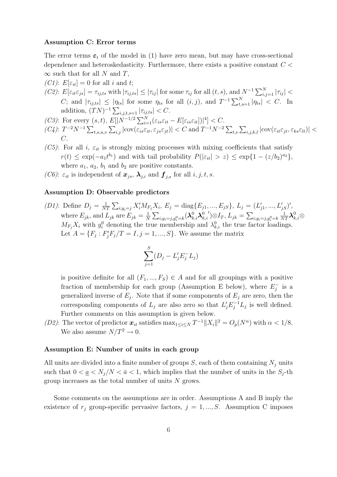#### Assumption C: Error terms

The error terms  $\varepsilon_t$  of the model in (1) have zero mean, but may have cross-sectional dependence and heteroskedasticity. Furthermore, there exists a positive constant  $C$  <  $\infty$  such that for all N and T,

- (C1):  $E[\varepsilon_{it}] = 0$  for all i and t;
- (C2):  $E[\varepsilon_{it}\varepsilon_{js}] = \tau_{ij,ts}$  with  $|\tau_{ij,ts}| \leq |\tau_{ij}|$  for some  $\tau_{ij}$  for all  $(t, s)$ , and  $N^{-1} \sum_{i,j=1}^{N} |\tau_{ij}| <$ C; and  $|\tau_{ij,ts}| \le |\eta_{ts}|$  for some  $\eta_{ts}$  for all  $(i, j)$ , and  $T^{-1} \sum_{t,s=1}^{N} |\eta_{ts}| < C$ . In addition,  $(TN)^{-1} \sum_{i,j,t,s=1} |\tau_{ij,ts}| < C.$
- (C3): For every  $(s, t)$ ,  $E[|N^{-1/2} \sum_{i=1}^{N} (\varepsilon_{is} \varepsilon_{it} E[\varepsilon_{is} \varepsilon_{it}])|^4] < C$ .
- $(C_4)$ :  $T^{-2}N^{-1}\sum_{t,s,u,v}\sum_{i,j}|\text{cov}(\varepsilon_{is}\varepsilon_{it},\varepsilon_{js}\varepsilon_{jt})| < C$  and  $T^{-1}N^{-2}\sum_{t,s}\sum_{i,j,k,l}|\text{cov}(\varepsilon_{it}\varepsilon_{jt},\varepsilon_{ks}\varepsilon_{lt})| <$  $C$ .
- (C5): For all i,  $\varepsilon_{it}$  is strongly mixing processes with mixing coefficients that satisfy  $r(t) \le \exp(-a_1 t^{b_1})$  and with tail probability  $P(|\varepsilon_{it}| > z) \le \exp\{1 - (z/b_2)^{a_2}\},$ where  $a_1$ ,  $a_2$ ,  $b_1$  and  $b_2$  are positive constants.
- (C6):  $\varepsilon_{it}$  is independent of  $\mathbf{x}_{js}$ ,  $\lambda_{j,i}$  and  $\mathbf{f}_{j,s}$  for all  $i, j, t, s$ .

#### Assumption D: Observable predictors

(D1): Define  $D_j = \frac{1}{N'}$  $\frac{1}{NT} \sum_{i:g_i=j} X'_i M_{F_j} X_i, E_j = \text{diag}\{E_{j1},...,E_{jS}\}, L_j = (L'_{j1},...,L'_{jS})',$ where  $E_{jk}$ , and  $L_{jk}$  are  $E_{jk} = \frac{1}{N}$  $\frac{1}{N}\sum_{i; g_i=j, g_i^0=k}(\boldsymbol{\lambda}_{k,i}^0\boldsymbol{\lambda}_{k}^0$  $_{k,i}$  $(y) \otimes I_T, L_{jk} = \sum_{i; g_i = j, g_i^0 = k}$  $\frac{1}{NT}\boldsymbol{\lambda}_{k,i}^0\otimes$  $M_{F_j} X_i$  with  $g_i^0$  denoting the true membership and  $\lambda_{k,i}^0$  the true factor loadings. Let  $A = \{F_j : F'_j F_j / T = I, j = 1, ..., S\}$ . We assume the matrix

$$
\sum_{j=1}^{S} (D_j - L'_j E_j^- L_j)
$$

is positive definite for all  $(F_1,...,F_S) \in A$  and for all groupings with a positive fraction of membership for each group (Assumption E below), where  $E_i^ _j^-$  is a generalized inverse of  $E_j$ . Note that if some components of  $E_j$  are zero, then the corresponding components of  $L_j$  are also zero so that  $L'_j E_j^{-1} L_j$  is well defined. Further comments on this assumption is given below.

(D2): The vector of predictor  $x_{it}$  satisfies  $\max_{1 \leq i \leq N} T^{-1} ||X_i||^2 = O_p(N^{\alpha})$  with  $\alpha < 1/8$ . We also assume  $N/T^2 \rightarrow 0$ .

#### Assumption E: Number of units in each group

All units are divided into a finite number of groups  $S$ , each of them containing  $N_j$  units such that  $0 < \underline{a} < N_j/N < \overline{a} < 1$ , which implies that the number of units in the  $S_j$ -th group increases as the total number of units  $N$  grows.

Some comments on the assumptions are in order. Assumptions A and B imply the existence of  $r_i$  group-specific pervasive factors,  $j = 1, ..., S$ . Assumption C imposes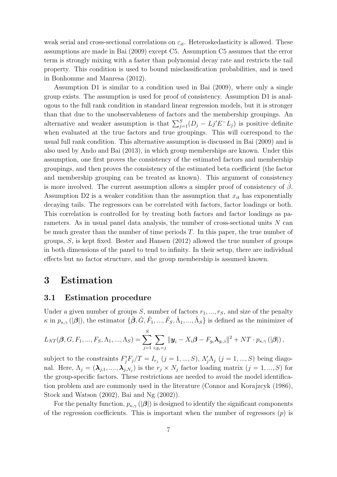weak serial and cross-sectional correlations on  $\varepsilon_{it}$ . Heteroskedasticity is allowed. These assumptions are made in Bai (2009) except C5. Assumption C5 assumes that the error term is strongly mixing with a faster than polynomial decay rate and restricts the tail property. This condition is used to bound misclassification probabilities, and is used in Bonhomme and Manresa (2012).

Assumption D1 is similar to a condition used in Bai (2009), where only a single group exists. The assumption is used for proof of consistency. Assumption D1 is analogous to the full rank condition in standard linear regression models, but it is stronger than that due to the unobservableness of factors and the membership groupings. An alternative and weaker assumption is that  $\sum_{j=1}^{S} (D_j - L_j E^{-} L_j)$  is positive definite when evaluated at the true factors and true groupings. This will correspond to the usual full rank condition. This alternative assumption is discussed in Bai (2009) and is also used by Ando and Bai (2013), in which group memberships are known. Under this assumption, one first proves the consistency of the estimated factors and membership groupings, and then proves the consistency of the estimated beta coefficient (the factor and membership grouping can be treated as known). This argument of consistency is more involved. The current assumption allows a simpler proof of consistency of  $\beta$ . Assumption D2 is a weaker condition than the assumption that  $x_{it}$  has exponentially decaying tails. The regressors can be correlated with factors, factor loadings or both. This correlation is controlled for by treating both factors and factor loadings as parameters. As in usual panel data analysis, the number of cross-sectional units  $N$  can be much greater than the number of time periods T. In this paper, the true number of groups, S, is kept fixed. Bester and Hansen (2012) allowed the true number of groups in both dimensions of the panel to tend to infinity. In their setup, there are individual effects but no factor structure, and the group membership is assumed known.

### 3 Estimation

#### 3.1 Estimation procedure

Under a given number of groups S, number of factors  $r_1, ..., r_S$ , and size of the penalty  $\kappa$  in  $p_{\kappa,\gamma}$  ( $|\mathcal{B}|$ ), the estimator  $\{\hat{\boldsymbol{\beta}}, \hat{G}, \hat{F}_1, ..., \hat{F}_S, \hat{\Lambda}_1, ..., \hat{\Lambda}_S\}$  is defined as the minimizer of

$$
L_{NT}(\boldsymbol{\beta}, G, F_1, ..., F_S, \Lambda_1, ..., \Lambda_S) = \sum_{j=1}^S \sum_{i:g_i=j} ||\boldsymbol{y}_i - X_i \boldsymbol{\beta} - F_{g_i} \boldsymbol{\lambda}_{g_i,i}||^2 + NT \cdot p_{\kappa,\gamma} (|\boldsymbol{\beta}|),
$$

subject to the constraints  $F'_j F_j / T = I_{r_j}$   $(j = 1, ..., S)$ ,  $\Lambda'_j \Lambda_j$   $(j = 1, ..., S)$  being diagonal. Here,  $\Lambda_j = (\lambda_{j,1}, \ldots, \lambda_{j,N_j})$  is the  $r_j \times N_j$  factor loading matrix  $(j = 1, ..., S)$  for the group-specific factors. These restrictions are needed to avoid the model identification problem and are commonly used in the literature (Connor and Korajzcyk (1986), Stock and Watson (2002), Bai and Ng (2002)).

For the penalty function,  $p_{\kappa,\gamma}(\vert \boldsymbol{\beta} \vert)$  is designed to identify the significant components of the regression coefficients. This is important when the number of regressors  $(p)$  is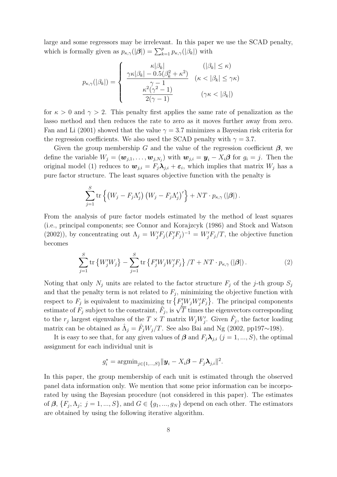large and some regressors may be irrelevant. In this paper we use the SCAD penalty, which is formally given as  $p_{\kappa,\gamma}(|\boldsymbol{\beta}|) = \sum_{k=1}^p p_{\kappa,\gamma}(|\beta_k|)$  with

$$
p_{\kappa,\gamma}(|\beta_k|) = \begin{cases} \frac{\kappa |\beta_k|}{\gamma - 1} & (|\beta_k| \leq \kappa) \\ \frac{\gamma - 1}{\gamma - 1} & (\kappa < |\beta_k| \leq \gamma \kappa) \\ \frac{\kappa^2 (\gamma^2 - 1)}{2(\gamma - 1)} & (\gamma \kappa < |\beta_k|) \end{cases}
$$

for  $\kappa > 0$  and  $\gamma > 2$ . This penalty first applies the same rate of penalization as the lasso method and then reduces the rate to zero as it moves further away from zero. Fan and Li (2001) showed that the value  $\gamma = 3.7$  minimizes a Bayesian risk criteria for the regression coefficients. We also used the SCAD penalty with  $\gamma = 3.7$ .

Given the group membership G and the value of the regression coefficient  $\beta$ , we define the variable  $W_j = (\boldsymbol{w}_{j,1}, \dots, \boldsymbol{w}_{j,N_j})$  with  $\boldsymbol{w}_{j,i} = \boldsymbol{y}_i - X_i \boldsymbol{\beta}$  for  $g_i = j$ . Then the original model (1) reduces to  $w_{j,i} = F_j \lambda_{j,i} + \varepsilon_i$ , which implies that matrix  $W_j$  has a pure factor structure. The least squares objective function with the penalty is

$$
\sum_{j=1}^{S} \operatorname{tr} \left\{ \left( W_j - F_j \Lambda_j' \right) \left( W_j - F_j \Lambda_j' \right)' \right\} + NT \cdot p_{\kappa,\gamma} \left( \left| \boldsymbol{\beta} \right| \right).
$$

From the analysis of pure factor models estimated by the method of least squares (i.e., principal components; see Connor and Korajzcyk (1986) and Stock and Watson (2002)), by concentrating out  $\Lambda_j = W'_j F_j (F'_j F_j)^{-1} = W'_j F_j / T$ , the objective function becomes

$$
\sum_{j=1}^{S} \text{tr}\left\{W'_{j}W_{j}\right\} - \sum_{j=1}^{S} \text{tr}\left\{F'_{j}W_{j}W'_{j}F_{j}\right\}/T + NT \cdot p_{\kappa,\gamma}(|\boldsymbol{\beta}|). \tag{2}
$$

Noting that only  $N_j$  units are related to the factor structure  $F_j$  of the j-th group  $S_j$ and that the penalty term is not related to  $F_j$ , minimizing the objective function with respect to  $F_j$  is equivalent to maximizing  $\text{tr}\left\{F'_jW_jW'_jF_j\right\}$ . The principal components estimate of  $\overrightarrow{F}_j$  subject to the constraint,  $\overrightarrow{\hat{F}}_j$ , is  $\sqrt{\overline{T}}$  times the eigenvectors corresponding to the  $r_j$  largest eigenvalues of the  $T \times T$  matrix  $W_j W'_j$ . Given  $\hat{F}_j$ , the factor loading matrix can be obtained as  $\hat{\Lambda}_j = \hat{F}_j W_j / T$ . See also Bai and Ng (2002, pp197~198).

It is easy to see that, for any given values of  $\beta$  and  $F_i \lambda_{i,i}$   $(j = 1, ..., S)$ , the optimal assignment for each individual unit is

$$
g_i^* = \operatorname{argmin}_{j \in \{1, ..., S\}} ||\mathbf{y}_i - X_i \boldsymbol{\beta} - F_j \boldsymbol{\lambda}_{j,i}||^2.
$$

In this paper, the group membership of each unit is estimated through the observed panel data information only. We mention that some prior information can be incorporated by using the Bayesian procedure (not considered in this paper). The estimates of  $\beta$ ,  $\{F_j, \Lambda_j; j = 1, ..., S\}$ , and  $G \in \{g_1, ..., g_N\}$  depend on each other. The estimators are obtained by using the following iterative algorithm.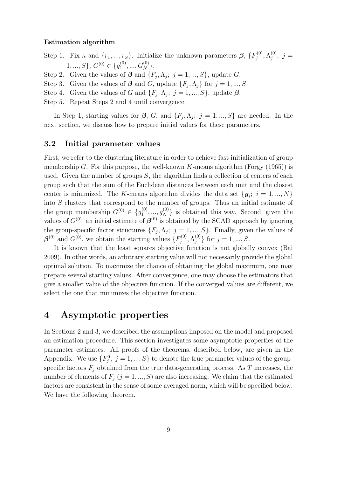#### Estimation algorithm

Step 1. Fix  $\kappa$  and  $\{r_1, ..., r_S\}$ . Initialize the unknown parameters  $\beta$ ,  $\{F_j^{(0)}\}$  $\Lambda_j^{(0)}, \Lambda_j^{(0)}$  $j^{(0)}$ ; j =  $1, ..., S$ ,  $G^{(0)} \in \{g_1^{(0)}\}$  $\mathcal{G}_1^{(0)},...,\mathcal{G}_N^{(0)}\}.$ 

Step 2. Given the values of  $\beta$  and  $\{F_j, \Lambda_j; j = 1, ..., S\}$ , update G.

Step 3. Given the values of  $\beta$  and  $G$ , update  $\{F_j, \Lambda_j\}$  for  $j = 1, ..., S$ .

Step 4. Given the values of G and  $\{F_j, \Lambda_j; j = 1, ..., S\}$ , update  $\beta$ .

Step 5. Repeat Steps 2 and 4 until convergence.

In Step 1, starting values for  $\beta$ , G, and  $\{F_j, \Lambda_j; j = 1, ..., S\}$  are needed. In the next section, we discuss how to prepare initial values for these parameters.

#### 3.2 Initial parameter values

First, we refer to the clustering literature in order to achieve fast initialization of group membership G. For this purpose, the well-known K-means algorithm (Forgy  $(1965)$ ) is used. Given the number of groups  $S$ , the algorithm finds a collection of centers of each group such that the sum of the Euclidean distances between each unit and the closest center is minimized. The K-means algorithm divides the data set  $\{y_i; i = 1, ..., N\}$ into S clusters that correspond to the number of groups. Thus an initial estimate of the group membership  $G^{(0)} \in \{g_1^{(0)}\}$  $\{a_1^{(0)},..., a_N^{(0)}\}$  is obtained this way. Second, given the values of  $G^{(0)}$ , an initial estimate of  $\boldsymbol{\beta}^{(0)}$  is obtained by the SCAD approach by ignoring the group-specific factor structures  $\{F_j, \Lambda_j; j = 1, ..., S\}$ . Finally, given the values of  $\boldsymbol{\beta}^{(0)}$  and  $G^{(0)}$ , we obtain the starting values  $\{F_j^{(0)}\}$  $\Lambda_j^{(0)}, \Lambda_j^{(0)}$  $j^{(0)}$  for  $j = 1, ..., S$ .

It is known that the least squares objective function is not globally convex (Bai 2009). In other words, an arbitrary starting value will not necessarily provide the global optimal solution. To maximize the chance of obtaining the global maximum, one may prepare several starting values. After convergence, one may choose the estimators that give a smaller value of the objective function. If the converged values are different, we select the one that minimizes the objective function.

# 4 Asymptotic properties

In Sections 2 and 3, we described the assumptions imposed on the model and proposed an estimation procedure. This section investigates some asymptotic properties of the parameter estimates. All proofs of the theorems, described below, are given in the Appendix. We use  $\{F_j^0, j = 1, ..., S\}$  to denote the true parameter values of the groupspecific factors  $F_j$  obtained from the true data-generating process. As T increases, the number of elements of  $F_i$   $(j = 1, ..., S)$  are also increasing. We claim that the estimated factors are consistent in the sense of some averaged norm, which will be specified below. We have the following theorem.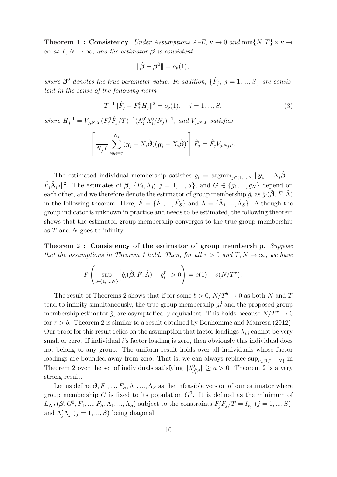**Theorem 1 : Consistency**. Under Assumptions  $A-E$ ,  $\kappa \to 0$  and  $\min\{N, T\} \times \kappa \to 0$  $\infty$  as  $T, N \to \infty$ , and the estimator  $\beta$  is consistent

$$
\|\hat{\boldsymbol{\beta}} - \boldsymbol{\beta}^0\| = o_p(1),
$$

where  $\beta^0$  denotes the true parameter value. In addition,  $\{\hat{F}_j, j = 1, ..., S\}$  are consistent in the sense of the following norm

$$
T^{-1} \|\hat{F}_j - F_j^0 H_j\|^2 = o_p(1), \quad j = 1, ..., S,
$$
\n(3)

where  $H_j^{-1} = V_{j,N_jT} (F_j^0 \hat{F}_j/T)^{-1} (\Lambda_j^{0'} \Lambda_j^0/N_j)^{-1}$ , and  $V_{j,N_jT}$  satisfies

$$
\left[\frac{1}{N_jT}\sum_{i:\hat{g}_i=j}^{N_j}(\boldsymbol{y}_i-X_i\hat{\boldsymbol{\beta}})(\boldsymbol{y}_i-X_i\hat{\boldsymbol{\beta}})'\right]\hat{F}_j=\hat{F}_jV_{j,N_jT}.
$$

The estimated individual membership satisfies  $\hat{g}_i = \operatorname{argmin}_{i \in \{1,\dots,S\}} ||\boldsymbol{y}_i - X_i \hat{\boldsymbol{\beta}} - \hat{\boldsymbol{\beta}}$  $\hat{F}_j \hat{\lambda}_{j,i} \|^2$ . The estimates of  $\beta$ ,  $\{F_j, \Lambda_j; j = 1, ..., S\}$ , and  $G \in \{g_1, ..., g_N\}$  depend on each other, and we therefore denote the estimator of group membership  $\hat{g}_i$  as  $\hat{g}_i(\hat{\boldsymbol{\beta}}, \hat{F}, \hat{\Lambda})$ in the following theorem. Here,  $\hat{F} = \{\hat{F}_1, ..., \hat{F}_S\}$  and  $\hat{\Lambda} = \{\hat{\Lambda}_1, ..., \hat{\Lambda}_S\}$ . Although the group indicator is unknown in practice and needs to be estimated, the following theorem shows that the estimated group membership converges to the true group membership as T and N goes to infinity.

Theorem 2 : Consistency of the estimator of group membership. Suppose that the assumptions in Theorem 1 hold. Then, for all  $\tau > 0$  and  $T, N \to \infty$ , we have

$$
P\left(\sup_{i\in\{1,\ldots,N\}}\left|\hat{g}_i(\hat{\boldsymbol{\beta}},\hat{F},\hat{\Lambda})-g_i^0\right|>0\right)=o(1)+o(N/T^{\tau}).
$$

The result of Theorems 2 shows that if for some  $b > 0$ ,  $N/T<sup>b</sup> \to 0$  as both N and T tend to infinity simultaneously, the true group membership  $g_i^0$  and the proposed group membership estimator  $\hat{g}_i$  are asymptotically equivalent. This holds because  $N/T^{\tau} \to 0$ for  $\tau > b$ . Theorem 2 is similar to a result obtained by Bonhomme and Manresa (2012). Our proof for this result relies on the assumption that factor loadings  $\lambda_{i,i}$  cannot be very small or zero. If individual i's factor loading is zero, then obviously this individual does not belong to any group. The uniform result holds over all individuals whose factor loadings are bounded away from zero. That is, we can always replace  $\sup_{i \in \{1,2,\ldots,N\}}$  in Theorem 2 over the set of individuals satisfying  $\|\lambda_g^0\|$  $\|g_{q,i}^0\| \geq a > 0$ . Theorem 2 is a very strong result.

Let us define  $\tilde{\beta}, \tilde{F}_1, ..., \tilde{F}_S, \tilde{\Lambda}_1, ..., \tilde{\Lambda}_S$  as the infeasible version of our estimator where group membership G is fixed to its population  $G^0$ . It is defined as the minimum of  $L_{NT}(\beta, G^0, F_1, ..., F_S, \Lambda_1, ..., \Lambda_S)$  subject to the constraints  $F'_jF_j/T = I_{r_j}$   $(j = 1, ..., S)$ , and  $\Lambda'_j \Lambda_j$   $(j = 1, ..., S)$  being diagonal.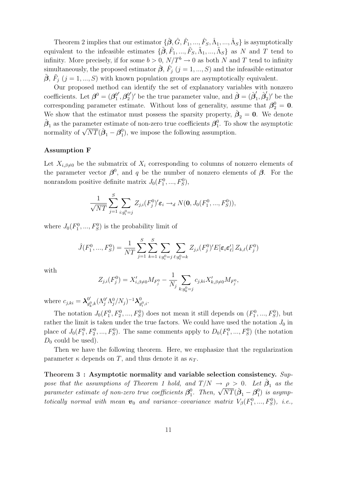Theorem 2 implies that our estimator  $\{\hat{\beta}, \hat{G}, \hat{F}_1, ..., \hat{F}_S, \hat{\Lambda}_1, ..., \hat{\Lambda}_S\}$  is asymptotically equivalent to the infeasible estimates  $\{\tilde{\beta}, \tilde{F}_1, ..., \tilde{F}_S, \tilde{\Lambda}_1, ..., \tilde{\Lambda}_S\}$  as N and T tend to infinity. More precisely, if for some  $b > 0$ ,  $N/T<sup>b</sup> \to 0$  as both N and T tend to infinity simultaneously, the proposed estimator  $\hat{\boldsymbol{\beta}}, \, \hat{F}_j \; (j=1,...,S)$  and the infeasible estimator  $\tilde{\beta}, \tilde{F}_j$  (j = 1, ..., S) with known population groups are asymptotically equivalent.

Our proposed method can identify the set of explanatory variables with nonzero coefficients. Let  $\boldsymbol{\beta}^0 = (\boldsymbol{\beta}_1^0)$ 1  $^{\prime}, \boldsymbol{\beta}^0_2$ 2 ')' be the true parameter value, and  $\hat{\boldsymbol{\beta}} = (\hat{\boldsymbol{\beta}}_1')$  $_{1}^{\prime},\hat{\bm{\beta}}_{2}^{\prime}$  $'_{2}$ )' be the corresponding parameter estimate. Without loss of generality, assume that  $\beta_2^0 = 0$ . We show that the estimator must possess the sparsity property,  $\hat{\boldsymbol{\beta}}_2 = \boldsymbol{0}$ . We denote  $\hat{\boldsymbol{\beta}}_1$  as the parameter estimate of non-zero true coefficients  $\boldsymbol{\beta}^0_1$  $\frac{0}{1}$ . To show the asymptotic normality of  $\sqrt{NT}(\hat{\boldsymbol{\beta}}_1 - \boldsymbol{\beta}_1^0)$  $_1^0$ , we impose the following assumption.

#### Assumption F

Let  $X_{i,\beta\neq0}$  be the submatrix of  $X_i$  corresponding to columns of nonzero elements of the parameter vector  $\beta^0$ , and q be the number of nonzero elements of  $\beta$ . For the nonrandom positive definite matrix  $J_0(F_1^0, ..., F_S^0)$ ,

$$
\frac{1}{\sqrt{NT}}\sum_{j=1}^{S}\sum_{i:g_i^0=j}Z_{j,i}(F_j^0)' \varepsilon_i \to_d N(\mathbf{0},J_0(F_1^0,...,F_S^0)),
$$

where  $J_0(F_1^0, ..., F_S^0)$  is the probability limit of

$$
\hat{J}(F_1^0, ..., F_S^0) = \frac{1}{NT} \sum_{j=1}^S \sum_{k=1}^S \sum_{i:g_i^0 = j} \sum_{\ell:g_\ell^0 = k} Z_{j,i}(F_j^0)' E[\varepsilon_i \varepsilon_\ell'] Z_{k,\ell}(F_j^0)
$$

with

$$
Z_{j,i}(F_j^0) = X'_{i,\beta \neq 0} M_{F_j^0} - \frac{1}{N_j} \sum_{k:g_k^0 = j} c_{j,ki} X'_{k,\beta \neq 0} M_{F_j^0},
$$

where  $c_{j,ki} = \lambda_{q_i}^{0'}$  $_{g_k^0,k}^{0'}(\Lambda_j^{0'}\Lambda_j^{0}/N_j)^{-1}\boldsymbol\lambda_g^0$  $_{g_i^0,i}^0$ .

The notation  $J_0(F_1^0, F_2^0, ..., F_S^0)$  does not mean it still depends on  $(F_1^0, ..., F_S^0)$ , but rather the limit is taken under the true factors. We could have used the notation  $J_0$  in place of  $J_0(F_1^0, F_2^0, ..., F_S^0)$ . The same comments apply to  $D_0(F_1^0, ..., F_S^0)$  (the notation  $D_0$  could be used).

Then we have the following theorem. Here, we emphasize that the regularization parameter  $\kappa$  depends on T, and thus denote it as  $\kappa_T$ .

Theorem 3 : Asymptotic normality and variable selection consistency. Suppose that the assumptions of Theorem 1 hold, and  $T/N \to \rho > 0$ . Let  $\hat{\boldsymbol{\beta}}_1$  as the  $parameter\ estimate\ of\ non-zero\ true\ coefficients\ \bm{\beta}_1^0$ <sup>0</sup><sub>1</sub>. Then,  $\sqrt{NT}(\hat{\boldsymbol{\beta}}_1 - \boldsymbol{\beta}_1^0)$  $_{1}^{0})$  is asymptotically normal with mean  $v_0$  and variance-covariance matrix  $V_\beta(F_1^0,...,F_S^0)$ , i.e.,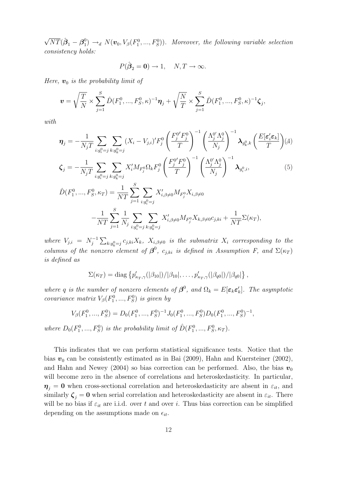$\sqrt{NT}(\hat{\boldsymbol{\beta}}_1 - \boldsymbol{\beta}^0_1)$  $\mathcal{L}_1^{(0)} \rightarrow_d N(\boldsymbol{v}_0, V_\beta(F_1^0, ..., F_S^0)).$  Moreover, the following variable selection consistency holds:

$$
P(\hat{\boldsymbol{\beta}}_2 = \mathbf{0}) \to 1, \quad N, T \to \infty.
$$

Here,  $v_0$  is the probability limit of

 $NT$ 

 $j=1$ 

 $N_j$ 

 $i: g_i^0 = j$ 

 $k: g_k^0 = j$ 

$$
\boldsymbol{v} = \sqrt{\frac{T}{N}} \times \sum_{j=1}^{S} \hat{D}(F_1^0, ..., F_S^0, \kappa)^{-1} \boldsymbol{\eta}_j + \sqrt{\frac{N}{T}} \times \sum_{j=1}^{S} \hat{D}(F_1^0, ..., F_S^0, \kappa)^{-1} \boldsymbol{\zeta}_j,
$$

with

$$
\eta_{j} = -\frac{1}{N_{j}T} \sum_{i:g_{i}^{0} = j} \sum_{k:g_{k}^{0} = j} (X_{i} - V_{j,i})' F_{j}^{0} \left(\frac{F_{j}^{0} F_{j}^{0}}{T}\right)^{-1} \left(\frac{\Lambda_{j}^{0} \Lambda_{j}^{0}}{N_{j}}\right)^{-1} \lambda_{g_{k}^{0},k} \left(\frac{E[\varepsilon'_{i}\varepsilon_{k}]}{T}\right) (4)
$$
\n
$$
\zeta_{j} = -\frac{1}{N_{j}T} \sum_{i:g_{i}^{0} = j} \sum_{k:g_{i}^{0} = j} X'_{i} M_{F_{j}^{0}} \Omega_{k} F_{j}^{0} \left(\frac{F_{j}^{0} F_{j}^{0}}{T}\right)^{-1} \left(\frac{\Lambda_{j}^{0} \Lambda_{j}^{0}}{N_{j}}\right)^{-1} \lambda_{g_{i}^{0},i}, \qquad (5)
$$
\n
$$
\hat{D}(F_{1}^{0}, ..., F_{S}^{0}, \kappa_{T}) = \frac{1}{NT} \sum_{j=1}^{S} \sum_{i:g_{i}^{0} = j} X'_{i,\beta \neq 0} M_{F_{j}^{0}} X_{i,\beta \neq 0}
$$
\n
$$
-\frac{1}{NT} \sum_{i=1}^{S} \frac{1}{N_{j}} \sum_{i:0} \sum_{j=0} X'_{i,\beta \neq 0} M_{F_{j}^{0}} X_{k,\beta \neq 0} c_{j,ki} + \frac{1}{NT} \Sigma(\kappa_{T}),
$$

where  $V_{j,i} = N_i^{-1}$  $e^{-1} \sum_{k: g_k^0 = j} c_{j,ki} X_k$ ,  $X_{i,\beta \neq 0}$  is the submatrix  $X_i$  corresponding to the columns of the nonzero element of  $\beta^0$ ,  $c_{j,ki}$  is defined in Assumption F, and  $\Sigma(\kappa_T)$ is defined as

$$
\Sigma(\kappa_T) = \text{diag}\left\{p'_{\kappa_T,\gamma}(|\beta_{10}|)/|\beta_{10}|,\ldots,p'_{\kappa_T,\gamma}(|\beta_{q0}|)/|\beta_{q0}|\right\},\,
$$

where q is the number of nonzero elements of  $\beta^0$ , and  $\Omega_k = E[\epsilon_k \epsilon'_k]$ . The asymptotic covariance matrix  $V_\beta(F_1^0, ..., F_S^0)$  is given by

$$
V_{\beta}(F_1^0, ..., F_S^0) = D_0(F_1^0, ..., F_S^0)^{-1} J_0(F_1^0, ..., F_S^0) D_0(F_1^0, ..., F_S^0)^{-1},
$$

where  $D_0(F_1^0, ..., F_S^0)$  is the probability limit of  $\hat{D}(F_1^0, ..., F_S^0, \kappa_T)$ .

This indicates that we can perform statistical significance tests. Notice that the bias  $v_0$  can be consistently estimated as in Bai (2009), Hahn and Kuersteiner (2002), and Hahn and Newey (2004) so bias correction can be performed. Also, the bias  $v_0$ will become zero in the absence of correlations and heteroskedasticity. In particular,  $\eta_i = 0$  when cross-sectional correlation and heteroskedasticity are absent in  $\varepsilon_{it}$ , and similarly  $\zeta_i = 0$  when serial correlation and heteroskedasticity are absent in  $\varepsilon_{it}$ . There will be no bias if  $\varepsilon_{it}$  are i.i.d. over t and over i. Thus bias correction can be simplified depending on the assumptions made on  $\epsilon_{it}$ .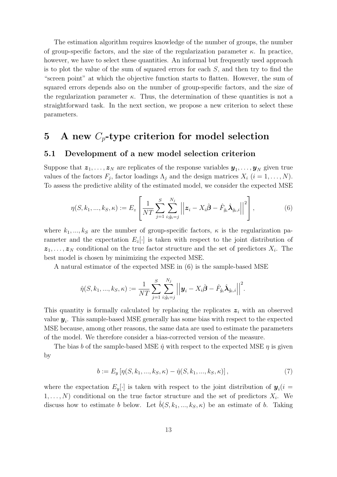The estimation algorithm requires knowledge of the number of groups, the number of group-specific factors, and the size of the regularization parameter  $\kappa$ . In practice, however, we have to select these quantities. An informal but frequently used approach is to plot the value of the sum of squared errors for each  $S$ , and then try to find the "screen point" at which the objective function starts to flatten. However, the sum of squared errors depends also on the number of group-specific factors, and the size of the regularization parameter  $\kappa$ . Thus, the determination of these quantities is not a straightforward task. In the next section, we propose a new criterion to select these parameters.

# 5 A new  $C_p$ -type criterion for model selection

#### 5.1 Development of a new model selection criterion

Suppose that  $\boldsymbol{z}_1, \ldots, \boldsymbol{z}_N$  are replicates of the response variables  $\boldsymbol{y}_1, \ldots, \boldsymbol{y}_N$  given true values of the factors  $F_j$ , factor loadings  $\Lambda_j$  and the design matrices  $X_i$   $(i = 1, \ldots, N)$ . To assess the predictive ability of the estimated model, we consider the expected MSE

$$
\eta(S, k_1, ..., k_S, \kappa) := E_z \left[ \frac{1}{NT} \sum_{j=1}^S \sum_{i: \hat{g}_i = j}^{N_j} \left| \left| \mathbf{z}_i - X_i \hat{\boldsymbol{\beta}} - \hat{F}_{\hat{g}_i} \hat{\boldsymbol{\lambda}}_{\hat{g}_i, i} \right| \right|^2 \right],
$$
\n(6)

where  $k_1, ..., k_S$  are the number of group-specific factors,  $\kappa$  is the regularization parameter and the expectation  $E_z[\cdot]$  is taken with respect to the joint distribution of  $z_1, \ldots, z_N$  conditional on the true factor structure and the set of predictors  $X_i$ . The best model is chosen by minimizing the expected MSE.

A natural estimator of the expected MSE in (6) is the sample-based MSE

$$
\hat{\eta}(S, k_1, ..., k_S, \kappa) := \frac{1}{NT} \sum_{j=1}^{S} \sum_{i; \hat{g}_i = j}^{N_j} \left| \left| \mathbf{y}_i - X_i \hat{\boldsymbol{\beta}} - \hat{F}_{\hat{g}_i} \hat{\boldsymbol{\lambda}}_{\hat{g}_i, i} \right| \right|^2.
$$

This quantity is formally calculated by replacing the replicates  $z<sub>i</sub>$  with an observed value  $y_i$ . This sample-based MSE generally has some bias with respect to the expected MSE because, among other reasons, the same data are used to estimate the parameters of the model. We therefore consider a bias-corrected version of the measure.

The bias b of the sample-based MSE  $\hat{\eta}$  with respect to the expected MSE  $\eta$  is given by

$$
b := E_y \left[ \eta(S, k_1, ..., k_S, \kappa) - \hat{\eta}(S, k_1, ..., k_S, \kappa) \right],
$$
\n(7)

where the expectation  $E_y[\cdot]$  is taken with respect to the joint distribution of  $y_i(i =$  $(1, \ldots, N)$  conditional on the true factor structure and the set of predictors  $X_i$ . We discuss how to estimate b below. Let  $\tilde{b}(S,k_1,...,k_S,\kappa)$  be an estimate of b. Taking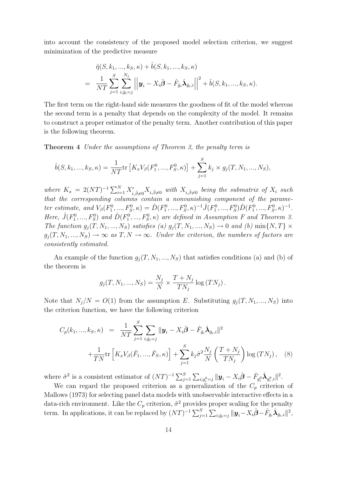into account the consistency of the proposed model selection criterion, we suggest minimization of the predictive measure

$$
\hat{\eta}(S, k_1, ..., k_S, \kappa) + \hat{b}(S, k_1, ..., k_S, \kappa) \n= \frac{1}{NT} \sum_{j=1}^{S} \sum_{i; \hat{g}_i = j}^{N_j} \left| \left| \mathbf{y}_i - X_i \hat{\boldsymbol{\beta}} - \hat{F}_{\hat{g}_i} \hat{\boldsymbol{\lambda}}_{\hat{g}_i, i} \right| \right|^2 + \hat{b}(S, k_1, ..., k_S, \kappa).
$$

The first term on the right-hand side measures the goodness of fit of the model whereas the second term is a penalty that depends on the complexity of the model. It remains to construct a proper estimator of the penalty term. Another contribution of this paper is the following theorem.

Theorem 4 Under the assumptions of Theorem 3, the penalty term is

$$
\hat{b}(S, k_1, ..., k_S, \kappa) = \frac{1}{NT} \text{tr}\left[K_x V_\beta(F_1^0, ..., F_S^0, \kappa)\right] + \sum_{j=1}^S k_j \times g_j(T, N_1, ..., N_S),
$$

where  $K_x = 2(NT)^{-1} \sum_{i=1}^{N} X'_{i,\hat{\beta}\neq 0} X_{i,\hat{\beta}\neq 0}$  with  $X_{i,\hat{\beta}\neq 0}$  being the submatrix of  $X_i$  such that the corresponding columns contain a nonvanishing component of the parameter estimate, and  $V_{\beta}(F_1^0, ..., F_S^0, \kappa) = \hat{D}(F_1^0, ..., F_S^0, \kappa)^{-1} \hat{J}(F_1^0, ..., F_S^0) \hat{D}(F_1^0, ..., F_S^0, \kappa)^{-1}$ . Here,  $\hat{J}(F_1^0, ..., F_S^0)$  and  $\hat{D}(F_1^0, ..., F_S^0, \kappa)$  are defined in Assumption F and Theorem 3. The function  $g_j(T, N_1, ..., N_S)$  satisfies (a)  $g_j(T, N_1, ..., N_S) \to 0$  and (b)  $\min\{N, T\} \times$  $g_j(T, N_1, ..., N_S) \to \infty$  as  $T, N \to \infty$ . Under the criterion, the numbers of factors are consistently estimated.

An example of the function  $g_i(T, N_1, ..., N_S)$  that satisfies conditions (a) and (b) of the theorem is

$$
g_j(T, N_1, ..., N_S) = \frac{N_j}{N} \times \frac{T + N_j}{T N_j} \log (T N_j).
$$

Note that  $N_i/N = O(1)$  from the assumption E. Substituting  $g_i(T, N_1, ..., N_S)$  into the criterion function, we have the following criterion

$$
C_p(k_1, ..., k_S, \kappa) = \frac{1}{NT} \sum_{j=1}^S \sum_{i:\hat{g}_i=j} \|\mathbf{y}_i - X_i\hat{\boldsymbol{\beta}} - \hat{F}_{\hat{g}_i}\hat{\boldsymbol{\lambda}}_{\hat{g}_i,i}\|^2 + \frac{1}{TN} tr\left[K_x V_{\beta}(\hat{F}_1, ..., \hat{F}_S, \kappa)\right] + \sum_{j=1}^S k_j \hat{\sigma}^2 \frac{N_j}{N} \left(\frac{T+N_j}{TN_j}\right) \log\left(TN_j\right),
$$
 (8)

where  $\hat{\sigma}^2$  is a consistent estimator of  $(NT)^{-1} \sum_{j=1}^S \sum_{i,g_i^0=j} ||\mathbf{y}_i - X_i \hat{\boldsymbol{\beta}} - \hat{F}_{g_i^0} \hat{\boldsymbol{\lambda}}_{g_i^0,i}||^2$ . We can regard the proposed criterion as a generalization of the  $C_p$  criterion of

Mallows (1973) for selecting panel data models with unobservable interactive effects in a data-rich environment. Like the  $C_p$  criterion,  $\hat{\sigma}^2$  provides proper scaling for the penalty term. In applications, it can be replaced by  $(NT)^{-1} \sum_{j=1}^{S} \sum_{i; \hat{g}_i=j} ||\mathbf{y}_i - X_i \hat{\boldsymbol{\beta}} - \hat{F}_{\hat{g}_i} \hat{\boldsymbol{\lambda}}_{\hat{g}_i,i}||^2$ ,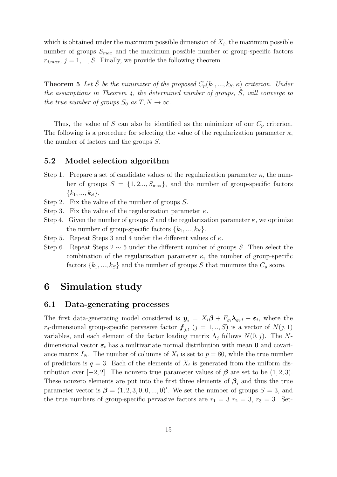which is obtained under the maximum possible dimension of  $X_i$ , the maximum possible number of groups  $S_{max}$  and the maximum possible number of group-specific factors  $r_{j,max}, j = 1, ..., S$ . Finally, we provide the following theorem.

**Theorem 5** Let  $\hat{S}$  be the minimizer of the proposed  $C_p(k_1,...,k_S,\kappa)$  criterion. Under the assumptions in Theorem 4, the determined number of groups,  $\hat{S}$ , will converge to the true number of groups  $S_0$  as  $T, N \to \infty$ .

Thus, the value of S can also be identified as the minimizer of our  $C_p$  criterion. The following is a procedure for selecting the value of the regularization parameter  $\kappa$ , the number of factors and the groups S.

#### 5.2 Model selection algorithm

- Step 1. Prepare a set of candidate values of the regularization parameter  $\kappa$ , the number of groups  $S = \{1, 2..., S_{\text{max}}\}\$ , and the number of group-specific factors  $\{k_1, ..., k_S\}.$
- Step 2. Fix the value of the number of groups S.
- Step 3. Fix the value of the regularization parameter  $\kappa$ .
- Step 4. Given the number of groups S and the regularization parameter  $\kappa$ , we optimize the number of group-specific factors  $\{k_1, ..., k_S\}$ .
- Step 5. Repeat Steps 3 and 4 under the different values of  $\kappa$ .
- Step 6. Repeat Steps 2 ∼ 5 under the different number of groups S. Then select the combination of the regularization parameter  $\kappa$ , the number of group-specific factors  $\{k_1, ..., k_S\}$  and the number of groups S that minimize the  $C_p$  score.

# 6 Simulation study

#### 6.1 Data-generating processes

The first data-generating model considered is  $y_i = X_i \beta + F_{g_i} \lambda_{g_i,i} + \varepsilon_i$ , where the  $r_j$ -dimensional group-specific pervasive factor  $\boldsymbol{f}_{j,t}$   $(j = 1,..,S)$  is a vector of  $N(j,1)$ variables, and each element of the factor loading matrix  $\Lambda_j$  follows  $N(0, j)$ . The Ndimensional vector  $\varepsilon_t$  has a multivariate normal distribution with mean **0** and covariance matrix  $I_N$ . The number of columns of  $X_i$  is set to  $p = 80$ , while the true number of predictors is  $q = 3$ . Each of the elements of  $X_i$  is generated from the uniform distribution over  $[-2, 2]$ . The nonzero true parameter values of  $\beta$  are set to be  $(1, 2, 3)$ . These nonzero elements are put into the first three elements of  $\beta_i$  and thus the true parameter vector is  $\beta = (1, 2, 3, 0, 0, ..., 0)$ '. We set the number of groups  $S = 3$ , and the true numbers of group-specific pervasive factors are  $r_1 = 3$   $r_2 = 3$ ,  $r_3 = 3$ . Set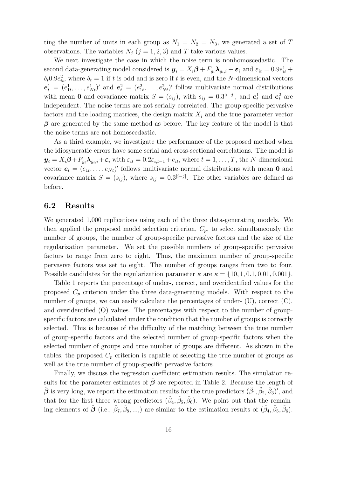ting the number of units in each group as  $N_1 = N_2 = N_3$ , we generated a set of T observations. The variables  $N_i$   $(j = 1, 2, 3)$  and T take various values.

We next investigate the case in which the noise term is nonhomoscedastic. The second data-generating model considered is  $y_i = X_i \beta + F_{g_i} \lambda_{g_i,i} + \varepsilon_i$  and  $\varepsilon_{it} = 0.9 e_{it}^1 +$  $\delta_t 0.9e_{it}^2$ , where  $\delta_t = 1$  if t is odd and is zero if t is even, and the N-dimensional vectors  $e_t^1 = (e_{1t}^1, \ldots, e_{Nt}^1)'$  and  $e_t^2 = (e_{1t}^2, \ldots, e_{Nt}^2)'$  follow multivariate normal distributions with mean 0 and covariance matrix  $S = (s_{ij})$ , with  $s_{ij} = 0.3^{|i-j|}$ , and  $e_t^1$  and  $e_t^2$  are independent. The noise terms are not serially correlated. The group-specific pervasive factors and the loading matrices, the design matrix  $X_i$  and the true parameter vector  $\beta$  are generated by the same method as before. The key feature of the model is that the noise terms are not homoscedastic.

As a third example, we investigate the performance of the proposed method when the idiosyncratic errors have some serial and cross-sectional correlations. The model is  $y_i = X_i \beta + F_{q_i} \lambda_{q_i,i} + \varepsilon_i$  with  $\varepsilon_{it} = 0.2\varepsilon_{i,t-1} + e_{it}$ , where  $t = 1,\ldots,T$ , the N-dimensional vector  $e_t = (e_{1t}, \ldots, e_{Nt})'$  follows multivariate normal distributions with mean 0 and covariance matrix  $S = (s_{ij})$ , where  $s_{ij} = 0.3^{|i-j|}$ . The other variables are defined as before.

#### 6.2 Results

We generated 1,000 replications using each of the three data-generating models. We then applied the proposed model selection criterion,  $C_p$ , to select simultaneously the number of groups, the number of group-specific pervasive factors and the size of the regularization parameter. We set the possible numbers of group-specific pervasive factors to range from zero to eight. Thus, the maximum number of group-specific pervasive factors was set to eight. The number of groups ranges from two to four. Possible candidates for the regularization parameter  $\kappa$  are  $\kappa = \{10, 1, 0.1, 0.01, 0.001\}$ .

Table 1 reports the percentage of under-, correct, and overidentified values for the proposed  $C_p$  criterion under the three data-generating models. With respect to the number of groups, we can easily calculate the percentages of under-  $(U)$ , correct  $(C)$ , and overidentified (O) values. The percentages with respect to the number of groupspecific factors are calculated under the condition that the number of groups is correctly selected. This is because of the difficulty of the matching between the true number of group-specific factors and the selected number of group-specific factors when the selected number of groups and true number of groups are different. As shown in the tables, the proposed  $C_p$  criterion is capable of selecting the true number of groups as well as the true number of group-specific pervasive factors.

Finally, we discuss the regression coefficient estimation results. The simulation results for the parameter estimates of  $\hat{\beta}$  are reported in Table 2. Because the length of  $\hat{\boldsymbol{\beta}}$  is very long, we report the estimation results for the true predictors  $(\hat{\beta}_1, \hat{\beta}_2, \hat{\beta}_3)'$ , and that for the first three wrong predictors  $(\hat{\beta}_4, \hat{\beta}_5, \hat{\beta}_6)$ . We point out that the remaining elements of  $\hat{\boldsymbol{\beta}}$  (i.e.,  $\hat{\beta}_7, \hat{\beta}_8, ...,$ ) are similar to the estimation results of  $(\hat{\beta}_4, \hat{\beta}_5, \hat{\beta}_6)$ .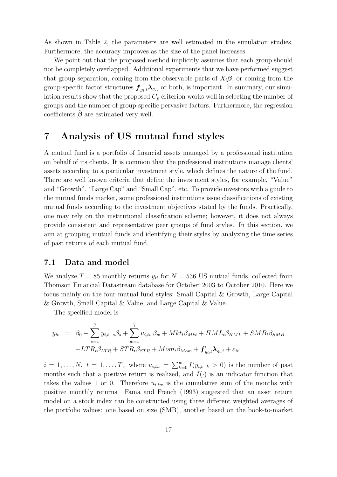As shown in Table 2, the parameters are well estimated in the simulation studies. Furthermore, the accuracy improves as the size of the panel increases.

We point out that the proposed method implicitly assumes that each group should not be completely overlapped. Additional experiments that we have performed suggest that group separation, coming from the observable parts of  $X_i\beta$ , or coming from the group-specific factor structures  $\bm{f}_{g_i,t} \bm{\lambda}_{g_i}$ , or both, is important. In summary, our simulation results show that the proposed  $C_p$  criterion works well in selecting the number of groups and the number of group-specific pervasive factors. Furthermore, the regression coefficients  $\hat{\boldsymbol{\beta}}$  are estimated very well.

# 7 Analysis of US mutual fund styles

A mutual fund is a portfolio of financial assets managed by a professional institution on behalf of its clients. It is common that the professional institutions manage clients' assets according to a particular investment style, which defines the nature of the fund. There are well known criteria that define the investment styles, for example, "Value" and "Growth", "Large Cap" and "Small Cap", etc. To provide investors with a guide to the mutual funds market, some professional institutions issue classifications of existing mutual funds according to the investment objectives stated by the funds. Practically, one may rely on the institutional classification scheme; however, it does not always provide consistent and representative peer groups of fund styles. In this section, we aim at grouping mutual funds and identifying their styles by analyzing the time series of past returns of each mutual fund.

#### 7.1 Data and model

We analyze  $T = 85$  monthly returns  $y_{it}$  for  $N = 536$  US mutual funds, collected from Thomson Financial Datastream database for October 2003 to October 2010. Here we focus mainly on the four mutual fund styles: Small Capital & Growth, Large Capital & Growth, Small Capital & Value, and Large Capital & Value.

The specified model is

$$
y_{it} = \beta_0 + \sum_{s=1}^{7} y_{i,t-s} \beta_s + \sum_{w=1}^{7} u_{i,tw} \beta_w + Mkt_t \beta_{Mkt} + HML_t \beta_{HML} + SMB_t \beta_{SMB}
$$

$$
+ LTR_t \beta_{LTR} + STR_t \beta_{STR} + Mom_t \beta_{Mom} + \mathbf{f}'_{g_i,t} \mathbf{\lambda}_{g_i,i} + \varepsilon_{it},
$$

 $i = 1, \ldots, N, t = 1, \ldots, T$ , where  $u_{i, tw} = \sum_{k=0}^{w} I(y_{i,t-k} > 0)$  is the number of past months such that a positive return is realized, and  $I(\cdot)$  is an indicator function that takes the values 1 or 0. Therefore  $u_{i,tw}$  is the cumulative sum of the months with positive monthly returns. Fama and French (1993) suggested that an asset return model on a stock index can be constructed using three different weighted averages of the portfolio values: one based on size (SMB), another based on the book-to-market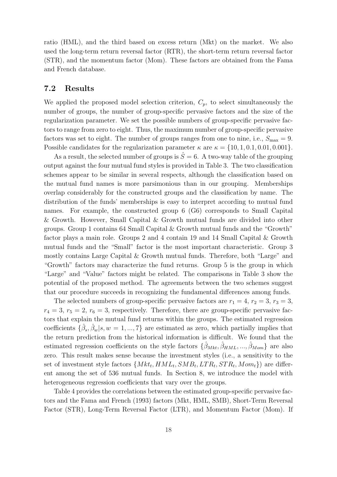ratio (HML), and the third based on excess return (Mkt) on the market. We also used the long-term return reversal factor (RTR), the short-term return reversal factor (STR), and the momentum factor (Mom). These factors are obtained from the Fama and French database.

#### 7.2 Results

We applied the proposed model selection criterion,  $C_p$ , to select simultaneously the number of groups, the number of group-specific pervasive factors and the size of the regularization parameter. We set the possible numbers of group-specific pervasive factors to range from zero to eight. Thus, the maximum number of group-specific pervasive factors was set to eight. The number of groups ranges from one to nine, i.e.,  $S_{\text{max}} = 9$ . Possible candidates for the regularization parameter  $\kappa$  are  $\kappa = \{10, 1, 0.1, 0.01, 0.001\}$ .

As a result, the selected number of groups is  $\hat{S}=6$ . A two-way table of the grouping output against the four mutual fund styles is provided in Table 3. The two classification schemes appear to be similar in several respects, although the classification based on the mutual fund names is more parsimonious than in our grouping. Memberships overlap considerably for the constructed groups and the classification by name. The distribution of the funds' memberships is easy to interpret according to mutual fund names. For example, the constructed group 6 (G6) corresponds to Small Capital & Growth. However, Small Capital & Growth mutual funds are divided into other groups. Group 1 contains 64 Small Capital & Growth mutual funds and the "Growth" factor plays a main role. Groups 2 and 4 contain 19 and 14 Small Capital & Growth mutual funds and the "Small" factor is the most important characteristic. Group 3 mostly contains Large Capital & Growth mutual funds. Therefore, both "Large" and "Growth" factors may characterize the fund returns. Group 5 is the group in which "Large" and "Value" factors might be related. The comparisons in Table 3 show the potential of the proposed method. The agreements between the two schemes suggest that our procedure succeeds in recognizing the fundamental differences among funds.

The selected numbers of group-specific pervasive factors are  $r_1 = 4$ ,  $r_2 = 3$ ,  $r_3 = 3$ ,  $r_4 = 3, r_5 = 2, r_6 = 3$ , respectively. Therefore, there are group-specific pervasive factors that explain the mutual fund returns within the groups. The estimated regression coefficients  $\{\hat{\beta}_s, \hat{\beta}_w | s, w = 1, ..., 7\}$  are estimated as zero, which partially implies that the return prediction from the historical information is difficult. We found that the estimated regression coefficients on the style factors  $\{\hat{\beta}_{Mkt}, \hat{\beta}_{HML}, ..., \hat{\beta}_{Mom}\}\$ are also zero. This result makes sense because the investment styles (i.e., a sensitivity to the set of investment style factors  $\{Mkt_t, HML_t, SMB_t, LTR_t, STR_t, Mom_t\}$  are different among the set of 536 mutual funds. In Section 8, we introduce the model with heterogeneous regression coefficients that vary over the groups.

Table 4 provides the correlations between the estimated group-specific pervasive factors and the Fama and French (1993) factors (Mkt, HML, SMB), Short-Term Reversal Factor (STR), Long-Term Reversal Factor (LTR), and Momentum Factor (Mom). If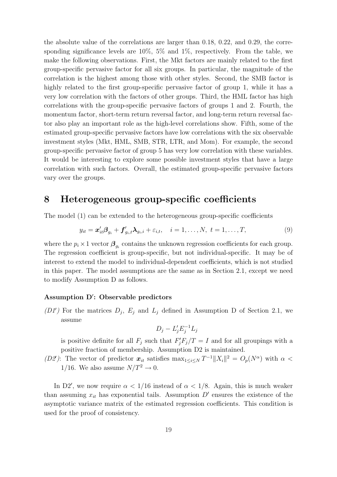the absolute value of the correlations are larger than 0.18, 0.22, and 0.29, the corresponding significance levels are  $10\%, 5\%$  and  $1\%,$  respectively. From the table, we make the following observations. First, the Mkt factors are mainly related to the first group-specific pervasive factor for all six groups. In particular, the magnitude of the correlation is the highest among those with other styles. Second, the SMB factor is highly related to the first group-specific pervasive factor of group 1, while it has a very low correlation with the factors of other groups. Third, the HML factor has high correlations with the group-specific pervasive factors of groups 1 and 2. Fourth, the momentum factor, short-term return reversal factor, and long-term return reversal factor also play an important role as the high-level correlations show. Fifth, some of the estimated group-specific pervasive factors have low correlations with the six observable investment styles (Mkt, HML, SMB, STR, LTR, and Mom). For example, the second group-specific pervasive factor of group 5 has very low correlation with these variables. It would be interesting to explore some possible investment styles that have a large correlation with such factors. Overall, the estimated group-specific pervasive factors vary over the groups.

# 8 Heterogeneous group-specific coefficients

The model (1) can be extended to the heterogeneous group-specific coefficients

$$
y_{it} = \boldsymbol{x}_{it}'\boldsymbol{\beta}_{g_i} + \boldsymbol{f}_{g_i,t}'\boldsymbol{\lambda}_{g_i,i} + \varepsilon_{i,t}, \quad i = 1,\ldots,N, \ t = 1,\ldots,T,
$$
\n(9)

where the  $p_i \times 1$  vector  $\mathcal{B}_{g_i}$  contains the unknown regression coefficients for each group. The regression coefficient is group-specific, but not individual-specific. It may be of interest to extend the model to individual-dependent coefficients, which is not studied in this paper. The model assumptions are the same as in Section 2.1, except we need to modify Assumption D as follows.

#### Assumption D′ : Observable predictors

(D1') For the matrices  $D_j$ ,  $E_j$  and  $L_j$  defined in Assumption D of Section 2.1, we assume

$$
D_j - L'_j E_j^{-1} L_j
$$

is positive definite for all  $F_j$  such that  $F'_jF_j/T = I$  and for all groupings with a positive fraction of membership. Assumption D2 is maintained.

(D2): The vector of predictor  $x_{it}$  satisfies  $\max_{1 \leq i \leq N} T^{-1} ||X_i||^2 = O_p(N^{\alpha})$  with  $\alpha$  < 1/16. We also assume  $N/T^2 \rightarrow 0$ .

In D2', we now require  $\alpha < 1/16$  instead of  $\alpha < 1/8$ . Again, this is much weaker than assuming  $x_{it}$  has exponential tails. Assumption  $D'$  ensures the existence of the asymptotic variance matrix of the estimated regression coefficients. This condition is used for the proof of consistency.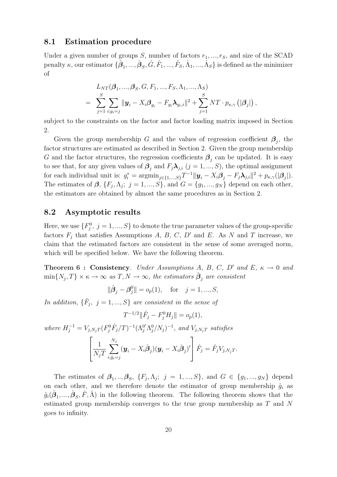#### 8.1 Estimation procedure

Under a given number of groups  $S$ , number of factors  $r_1, ..., r_S$ , and size of the SCAD  $\text{penalty }\kappa\text{, our estimator }\{\hat{\boldsymbol{\beta}}_1,...,\hat{\boldsymbol{\beta}}_S,\hat{G},\hat{F}_1,...,\hat{F}_S,\hat{\Lambda}_1,...,\hat{\Lambda}_S\} \text{ is defined as the minimizer}$ of

$$
L_{NT}(\boldsymbol{\beta}_1, ..., \boldsymbol{\beta}_S, G, F_1, ..., F_S, \Lambda_1, ..., \Lambda_S)
$$
  
= 
$$
\sum_{j=1}^S \sum_{i:g_i=j} ||\mathbf{y}_i - X_i \boldsymbol{\beta}_{g_i} - F_{g_i} \boldsymbol{\lambda}_{g_i,i}||^2 + \sum_{j=1}^S NT \cdot p_{\kappa,\gamma} (|\boldsymbol{\beta}_j|),
$$

subject to the constraints on the factor and factor loading matrix imposed in Section 2.

Given the group membership G and the values of regression coefficient  $\beta_j$ , the factor structures are estimated as described in Section 2. Given the group membership G and the factor structures, the regression coefficients  $\boldsymbol{\beta}_j$  can be updated. It is easy to see that, for any given values of  $\mathcal{B}_j$  and  $F_j \lambda_{j,i}$   $(j = 1, ..., S)$ , the optimal assignment for each individual unit is:  $g_i^* = \operatorname{argmin}_{j \in \{1, ..., S\}} T^{-1} || \boldsymbol{y}_i - X_i \boldsymbol{\beta}_j - F_j \boldsymbol{\lambda}_{j,i} ||^2 + p_{\kappa, \gamma} (|\boldsymbol{\beta}_j|).$ The estimates of  $\beta$ ,  $\{F_j, \Lambda_j; j = 1, ..., S\}$ , and  $G = \{g_1, ..., g_N\}$  depend on each other, the estimators are obtained by almost the same procedures as in Section 2.

#### 8.2 Asymptotic results

Here, we use  $\{F_j^0, j = 1, ..., S\}$  to denote the true parameter values of the group-specific factors  $F_j$  that satisfies Assumptions A, B, C, D' and E. As N and T increase, we claim that the estimated factors are consistent in the sense of some averaged norm, which will be specified below. We have the following theorem.

Theorem 6 : Consistency. Under Assumptions A, B, C, D' and E,  $\kappa \to 0$  and  $\min\{N_j,T\} \times \kappa \to \infty$  as  $T, N \to \infty$ , the estimators  $\hat{\boldsymbol{\beta}}_j$  are consistent

$$
\|\hat{\boldsymbol{\beta}}_j - \boldsymbol{\beta}_j^0\| = o_p(1), \quad \text{for} \quad j = 1, ..., S,
$$

In addition,  $\{\hat{F}_j, j = 1, ..., S\}$  are consistent in the sense of

 $T^{-1/2} \|\hat{F}_j - F_j^0 H_j\| = o_p(1),$ where  $H_j^{-1} = V_{j,N_jT} (F_j^0 \hat{F}_j/T)^{-1} (\Lambda_j^{0'} \Lambda_j^0/N_j)^{-1}$ , and  $V_{j,N_jT}$  satisfies  $\sqrt{ }$  $\overline{1}$ 1  $N_jT$  $\sum$  $N_j$  $i;\hat{g}_i=j$  $(\boldsymbol{y}_i - X_i \hat{\boldsymbol{\beta}}_j)(\boldsymbol{y}_i - X_i \hat{\boldsymbol{\beta}}_j)'$ 1  $\hat{F}_j = \hat{F}_j V_{j,N_j T}.$ 

The estimates of  $\beta_1, ..., \beta_S, \{F_j, \Lambda_j; j = 1, ..., S\},\$ and  $G \in \{g_1, ..., g_N\}$  depend on each other, and we therefore denote the estimator of group membership  $\hat{g}_i$  as  $\hat{g}_i(\hat{\boldsymbol{\beta}}_1, ..., \hat{\boldsymbol{\beta}}_S, \hat{F}, \hat{\Lambda})$  in the following theorem. The following theorem shows that the estimated group membership converges to the true group membership as T and N goes to infinity.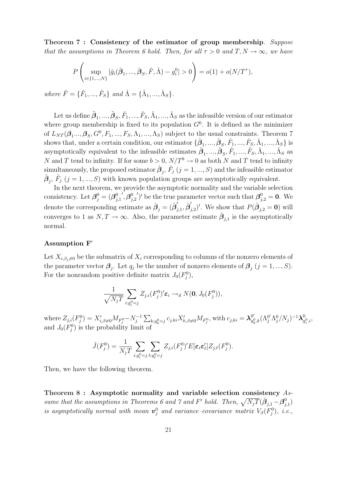Theorem 7 : Consistency of the estimator of group membership. Suppose that the assumptions in Theorem 6 hold. Then, for all  $\tau > 0$  and  $T, N \to \infty$ , we have

$$
P\left(\sup_{i\in\{1,\dots,N\}}|\hat{g}_i(\hat{\boldsymbol{\beta}}_1,\dots,\hat{\boldsymbol{\beta}}_S,\hat{F},\hat{\Lambda})-g_i^0|>0\right)=o(1)+o(N/T^{\tau}),
$$

where  $\hat{F} = \{\hat{F}_1, ..., \hat{F}_S\}$  and  $\hat{\Lambda} = \{\hat{\Lambda}_1, ..., \hat{\Lambda}_S\}.$ 

Let us define  $\tilde{\bm{\beta}}_1,...,\tilde{\bm{\beta}}_S,\tilde{F}_1,...,\tilde{F}_S,\tilde{\Lambda}_1,...,\tilde{\Lambda}_S$  as the infeasible version of our estimator where group membership is fixed to its population  $G<sup>0</sup>$ . It is defined as the minimizer of  $L_{NT}(\beta_1...,\beta_S,G^0,F_1,...,F_S,\Lambda_1,...,\Lambda_S)$  subject to the usual constraints. Theorem 7 shows that, under a certain condition, our estimator  $\{\hat{\beta}_1, ..., \hat{\beta}_S, \hat{F}_1, ..., \hat{F}_S, \hat{\Lambda}_1, ..., \hat{\Lambda}_S\}$  is asymptotically equivalent to the infeasible estimates  $\tilde{\beta}_1, ..., \tilde{\beta}_S, \tilde{F}_1, ..., \tilde{F}_S, \tilde{\Lambda}_1, ..., \tilde{\Lambda}_S$  as N and T tend to infinity. If for some  $b > 0$ ,  $N/T^b \rightarrow 0$  as both N and T tend to infinity simultaneously, the proposed estimator  $\hat{\boldsymbol{\beta}}_j$ ,  $\hat{F}_j$   $(j = 1, ..., S)$  and the infeasible estimator  $\tilde{\beta}_j$ ,  $\tilde{F}_j$  (j = 1, ..., S) with known population groups are asymptotically equivalent.

In the next theorem, we provide the asymptotic normality and the variable selection consistency. Let  $\boldsymbol{\beta}_j^0 = (\boldsymbol{\beta}_j^0)$  $_{j,1}$  $^{\prime},\boldsymbol{\beta}^{0}_{i}$  $_{j,2}$ ')' be the true parameter vector such that  $\beta_{j,2}^0 = 0$ . We denote the corresponding estimate as  $\hat{\boldsymbol{\beta}}_j = (\hat{\boldsymbol{\beta}}'_j)$  $_{j,1}^{\prime},\hat{\bm{\beta}}_{j}^{\prime}$  $j_{j,2}$ '. We show that  $P(\hat{\boldsymbol{\beta}}_{j,2} = \mathbf{0})$  will converges to 1 as  $N, T \to \infty$ . Also, the parameter estimate  $\hat{\beta}_{j,1}$  is the asymptotically normal.

#### Assumption F′

Let  $X_{i,\beta_j\neq0}$  be the submatrix of  $X_i$  corresponding to columns of the nonzero elements of the parameter vector  $\mathcal{B}_j$ . Let  $q_j$  be the number of nonzero elements of  $\mathcal{B}_j$   $(j = 1, ..., S)$ . For the nonrandom positive definite matrix  $J_0(F_j^0)$ ,

$$
\frac{1}{\sqrt{N_jT}}\sum_{i:g_i^0=j}Z_{j,i}(F_j^0)' \varepsilon_i \to_d N(\mathbf{0},J_0(F_j^0)),
$$

where  $Z_{j,i}(F_j^0) = X'_{i,\beta \neq 0} M_{F_j^0} - N_j^{-1}$  $\sum_{k: g_k^0 = j}^{n-1} C_{j,ki} X'_{k, \beta \neq 0} M_{F_j^0}$ , with  $c_{j,ki} = \lambda_{g_k^0}^{0'}$  $_{g_k^0,k}^{0'} (\Lambda_j^{0'} \Lambda_j^0/N_j)^{-1} \boldsymbol{\lambda}_g^0$  $_{g_i^0,i}^0,$ and  $J_0(F_j^0)$  is the probability limit of

$$
\hat{J}(F_j^0) = \frac{1}{N_j T} \sum_{i:g_i^0 = j} \sum_{\ell:g_\ell^0 = j} Z_{j,i}(F_j^0)' E[\varepsilon_i \varepsilon_\ell'] Z_{j,\ell}(F_j^0).
$$

Then, we have the following theorem.

Theorem 8 : Asymptotic normality and variable selection consistency Assume that the assumptions in Theorems 6 and 7 and F' hold. Then,  $\sqrt{N_jT}(\hat{\boldsymbol{\beta}}_{j,1} - \boldsymbol{\beta}^0_j)$  $_{j,1}^{0})$ is asymptotically normal with mean  $\mathbf{v}_j^0$  and variance-covariance matrix  $V_\beta(F_j^0)$ , i.e.,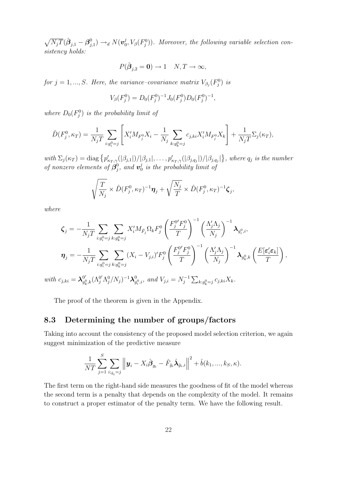$\sqrt{N_jT}(\hat{\boldsymbol{\beta}}_{j,1}-\boldsymbol{\beta}_j^0$  $_{j,1}^{0})\rightarrow_{d}N(\boldsymbol{v}_{0}^{j}% ,\boldsymbol{v}_{0}^{j})\rightarrow_{d}N(\boldsymbol{v}_{0}^{j})\rightarrow_{d}N(\boldsymbol{v}_{0}^{j})$  $(v_0^j, V_\beta(F_j^0))$ . Moreover, the following variable selection consistency holds:

$$
P(\hat{\boldsymbol{\beta}}_{j,2} = \mathbf{0}) \to 1 \quad N, T \to \infty,
$$

for  $j = 1, ..., S$ . Here, the variance-covariance matrix  $V_{\beta_j}(F_j^0)$  is

$$
V_{\beta}(F_j^0) = D_0(F_j^0)^{-1} J_0(F_j^0) D_0(F_j^0)^{-1},
$$

where  $D_0(F_j^0)$  is the probability limit of

$$
\hat{D}(F_j^0, \kappa_T) = \frac{1}{N_j T} \sum_{i:g_i^0 = j} \left[ X_i' M_{F_j^0} X_i - \frac{1}{N_j} \sum_{k:g_k^0 = j} c_{j,ki} X_i' M_{F_j^0} X_k \right] + \frac{1}{N_j T} \Sigma_j(\kappa_T),
$$

with  $\Sigma_j(\kappa_T) = \text{diag}\{p'_{\kappa_T,\gamma}(|\beta_{j,1}|)/|\beta_{j,1}|,\ldots,p'_{\kappa_T,\gamma}(|\beta_{j,q_j}|)/|\beta_{j,q_j}|\}\,$ , where  $q_j$  is the number of nonzero elements of  $\boldsymbol{\beta}^0_i$  $_{j}^{0},\ and\ {\bm{v}}_{0}^{j}$  $\frac{1}{0}$  is the probability limit of

$$
\sqrt{\frac{T}{N_j}} \times \hat{D}(F_j^0, \kappa_T)^{-1} \pmb{\eta}_j + \sqrt{\frac{N_j}{T}} \times \hat{D}(F_j^0, \kappa_T)^{-1} \pmb{\zeta}_j,
$$

where

 $with$ 

$$
\begin{split}\n\boldsymbol{\zeta}_{j} &= -\frac{1}{N_{j}T} \sum_{i:g_{i}^{0}=j} \sum_{k:g_{k}^{0}=j} X_{i}' M_{\tilde{F}_{j}} \Omega_{k} F_{j}^{0} \left(\frac{F_{j}^{0'} F_{j}^{0}}{T}\right)^{-1} \left(\frac{\Lambda_{j}' \Lambda_{j}}{N_{j}}\right)^{-1} \boldsymbol{\lambda}_{g_{i}^{0},i}, \\
\boldsymbol{\eta}_{j} &= -\frac{1}{N_{j}T} \sum_{i:g_{i}^{0}=j} \sum_{k:g_{k}^{0}=j} (X_{i} - V_{j,i})' F_{j}^{0} \left(\frac{F_{j}^{0'} F_{j}^{0}}{T}\right)^{-1} \left(\frac{\Lambda_{j}' \Lambda_{j}}{N_{j}}\right)^{-1} \boldsymbol{\lambda}_{g_{k}^{0},k} \left(\frac{E[\boldsymbol{\varepsilon}_{i}' \boldsymbol{\varepsilon}_{k}]}{T}\right), \\
c_{j,ki} &= \boldsymbol{\lambda}_{g_{k}^{0},k}^{0'} (\Lambda_{j}^{0'} \Lambda_{j}^{0}/N_{j})^{-1} \boldsymbol{\lambda}_{g_{i}^{0},i}^{0}, \text{ and } V_{j,i} = N_{j}^{-1} \sum_{k:g_{k}^{0}=j} c_{j,ki} X_{k}.\n\end{split}
$$

The proof of the theorem is given in the Appendix.

#### 8.3 Determining the number of groups/factors

Taking into account the consistency of the proposed model selection criterion, we again suggest minimization of the predictive measure

$$
\frac{1}{NT} \sum_{j=1}^{S} \sum_{i:_{\hat{g}_i}=j} \left\| \boldsymbol{y}_i - X_i \hat{\boldsymbol{\beta}}_{g_i} - \hat{F}_{\hat{g}_i} \hat{\boldsymbol{\lambda}}_{\hat{g}_i,i} \right\|^2 + \hat{b}(k_1, ..., k_S, \kappa).
$$

The first term on the right-hand side measures the goodness of fit of the model whereas the second term is a penalty that depends on the complexity of the model. It remains to construct a proper estimator of the penalty term. We have the following result.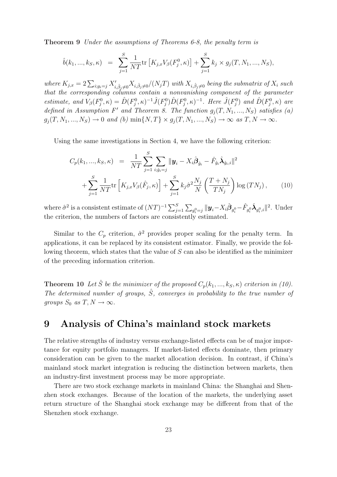Theorem 9 Under the assumptions of Theorems 6-8, the penalty term is

$$
\hat{b}(k_1, ..., k_S, \kappa) = \sum_{j=1}^S \frac{1}{NT} \text{tr}\left[K_{j,x} V_{\beta}(F_j^0, \kappa)\right] + \sum_{j=1}^S k_j \times g_j(T, N_1, ..., N_S),
$$

where  $K_{j,x} = 2\sum_{i:g_i=j} X'_{i,\hat{\beta}_j\neq 0} X_{i,\hat{\beta}_j\neq 0}/(N_jT)$  with  $X_{i,\hat{\beta}_j\neq 0}$  being the submatrix of  $X_i$  such that the corresponding columns contain a nonvanishing component of the parameter estimate, and  $V_{\beta}(F_j^0, \kappa) = \hat{D}(F_j^0, \kappa)^{-1} \hat{J}(F_j^0) \hat{D}(F_j^0, \kappa)^{-1}$ . Here  $\hat{J}(F_j^0)$  and  $\hat{D}(F_j^0, \kappa)$  are defined in Assumption F' and Theorem 8. The function  $g_i(T, N_1, ..., N_S)$  satisfies (a)  $g_j(T, N_1,..., N_S) \to 0$  and (b)  $\min\{N, T\} \times g_j(T, N_1,..., N_S) \to \infty$  as  $T, N \to \infty$ .

Using the same investigations in Section 4, we have the following criterion:

$$
C_p(k_1, ..., k_S, \kappa) = \frac{1}{NT} \sum_{j=1}^S \sum_{i:\hat{g}_i=j} ||\mathbf{y}_i - X_i \hat{\boldsymbol{\beta}}_{\hat{g}_i} - \hat{F}_{\hat{g}_i} \hat{\boldsymbol{\lambda}}_{\hat{g}_i,i}||^2 + \sum_{j=1}^S \frac{1}{NT} tr\left[K_{j,x} V_{\beta}(\hat{F}_j, \kappa)\right] + \sum_{j=1}^S k_j \hat{\sigma}^2 \frac{N_j}{N} \left(\frac{T+N_j}{TN_j}\right) \log(TN_j), \qquad (10)
$$

where  $\hat{\sigma}^2$  is a consistent estimate of  $(NT)^{-1} \sum_{j=1}^S \sum_{g_i^0=j} ||\mathbf{y}_i - X_i \hat{\boldsymbol{\beta}}_{g_i^0} - \hat{F}_{g_i^0} \hat{\boldsymbol{\lambda}}_{g_i^0,i}||^2$ . Under the criterion, the numbers of factors are consistently estimated.

Similar to the  $C_p$  criterion,  $\hat{\sigma}^2$  provides proper scaling for the penalty term. In applications, it can be replaced by its consistent estimator. Finally, we provide the following theorem, which states that the value of S can also be identified as the minimizer of the preceding information criterion.

**Theorem 10** Let  $\hat{S}$  be the minimizer of the proposed  $C_p(k_1,...,k_S,\kappa)$  criterion in (10). The determined number of groups,  $\hat{S}$ , converges in probability to the true number of groups  $S_0$  as  $T, N \to \infty$ .

# 9 Analysis of China's mainland stock markets

The relative strengths of industry versus exchange-listed effects can be of major importance for equity portfolio managers. If market-listed effects dominate, then primary consideration can be given to the market allocation decision. In contrast, if China's mainland stock market integration is reducing the distinction between markets, then an industry-first investment process may be more appropriate.

There are two stock exchange markets in mainland China: the Shanghai and Shenzhen stock exchanges. Because of the location of the markets, the underlying asset return structure of the Shanghai stock exchange may be different from that of the Shenzhen stock exchange.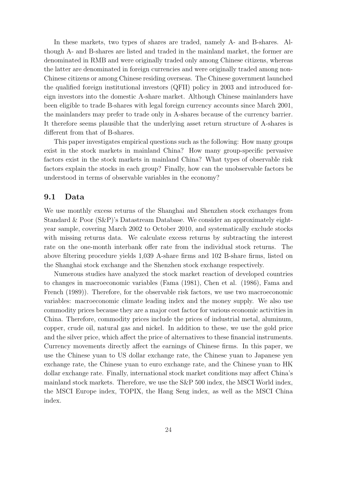In these markets, two types of shares are traded, namely A- and B-shares. Although A- and B-shares are listed and traded in the mainland market, the former are denominated in RMB and were originally traded only among Chinese citizens, whereas the latter are denominated in foreign currencies and were originally traded among non-Chinese citizens or among Chinese residing overseas. The Chinese government launched the qualified foreign institutional investors (QFII) policy in 2003 and introduced foreign investors into the domestic A-share market. Although Chinese mainlanders have been eligible to trade B-shares with legal foreign currency accounts since March 2001, the mainlanders may prefer to trade only in A-shares because of the currency barrier. It therefore seems plausible that the underlying asset return structure of A-shares is different from that of B-shares.

This paper investigates empirical questions such as the following: How many groups exist in the stock markets in mainland China? How many group-specific pervasive factors exist in the stock markets in mainland China? What types of observable risk factors explain the stocks in each group? Finally, how can the unobservable factors be understood in terms of observable variables in the economy?

#### 9.1 Data

We use monthly excess returns of the Shanghai and Shenzhen stock exchanges from Standard & Poor (S&P)'s Datastream Database. We consider an approximately eightyear sample, covering March 2002 to October 2010, and systematically exclude stocks with missing returns data. We calculate excess returns by subtracting the interest rate on the one-month interbank offer rate from the individual stock returns. The above filtering procedure yields 1,039 A-share firms and 102 B-share firms, listed on the Shanghai stock exchange and the Shenzhen stock exchange respectively.

Numerous studies have analyzed the stock market reaction of developed countries to changes in macroeconomic variables (Fama (1981), Chen et al. (1986), Fama and French (1989)). Therefore, for the observable risk factors, we use two macroeconomic variables: macroeconomic climate leading index and the money supply. We also use commodity prices because they are a major cost factor for various economic activities in China. Therefore, commodity prices include the prices of industrial metal, aluminum, copper, crude oil, natural gas and nickel. In addition to these, we use the gold price and the silver price, which affect the price of alternatives to these financial instruments. Currency movements directly affect the earnings of Chinese firms. In this paper, we use the Chinese yuan to US dollar exchange rate, the Chinese yuan to Japanese yen exchange rate, the Chinese yuan to euro exchange rate, and the Chinese yuan to HK dollar exchange rate. Finally, international stock market conditions may affect China's mainland stock markets. Therefore, we use the S&P 500 index, the MSCI World index, the MSCI Europe index, TOPIX, the Hang Seng index, as well as the MSCI China index.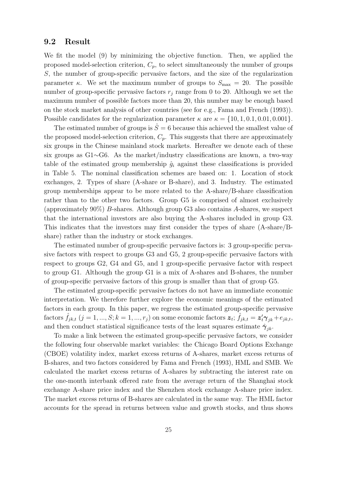#### 9.2 Result

We fit the model (9) by minimizing the objective function. Then, we applied the proposed model-selection criterion,  $C_p$ , to select simultaneously the number of groups S, the number of group-specific pervasive factors, and the size of the regularization parameter κ. We set the maximum number of groups to  $S_{\text{max}} = 20$ . The possible number of group-specific pervasive factors  $r_j$  range from 0 to 20. Although we set the maximum number of possible factors more than 20, this number may be enough based on the stock market analysis of other countries (see for e.g., Fama and French (1993)). Possible candidates for the regularization parameter  $\kappa$  are  $\kappa = \{10, 1, 0.1, 0.01, 0.001\}.$ 

The estimated number of groups is  $\hat{S} = 6$  because this achieved the smallest value of the proposed model-selection criterion,  $C_p$ . This suggests that there are approximately six groups in the Chinese mainland stock markets. Hereafter we denote each of these six groups as G1∼G6. As the market/industry classifications are known, a two-way table of the estimated group membership  $\hat{g}_i$  against these classifications is provided in Table 5. The nominal classification schemes are based on: 1. Location of stock exchanges, 2. Types of share (A-share or B-share), and 3. Industry. The estimated group memberships appear to be more related to the A-share/B-share classification rather than to the other two factors. Group G5 is comprised of almost exclusively (approximately 90%) B-shares. Although group G3 also contains A-shares, we suspect that the international investors are also buying the A-shares included in group G3. This indicates that the investors may first consider the types of share (A-share/Bshare) rather than the industry or stock exchanges.

The estimated number of group-specific pervasive factors is: 3 group-specific pervasive factors with respect to groups G3 and G5, 2 group-specific pervasive factors with respect to groups G2, G4 and G5, and 1 group-specific pervasive factor with respect to group G1. Although the group G1 is a mix of A-shares and B-shares, the number of group-specific pervasive factors of this group is smaller than that of group G5.

The estimated group-specific pervasive factors do not have an immediate economic interpretation. We therefore further explore the economic meanings of the estimated factors in each group. In this paper, we regress the estimated group-specific pervasive  $\hat{f}_{j k, t}\ (j = 1,...,S; k = 1,...,r_j)$  on some economic factors  $\boldsymbol{z}_t; \ \hat{f}_{j k, t} = \boldsymbol{z}_t' \boldsymbol{\gamma}_{j k} + e_{j k, t},$ and then conduct statistical significance tests of the least squares estimate  $\hat{\gamma}_{ik}$ .

To make a link between the estimated group-specific pervasive factors, we consider the following four observable market variables: the Chicago Board Options Exchange (CBOE) volatility index, market excess returns of A-shares, market excess returns of B-shares, and two factors considered by Fama and French (1993), HML and SMB. We calculated the market excess returns of A-shares by subtracting the interest rate on the one-month interbank offered rate from the average return of the Shanghai stock exchange A-share price index and the Shenzhen stock exchange A-share price index. The market excess returns of B-shares are calculated in the same way. The HML factor accounts for the spread in returns between value and growth stocks, and thus shows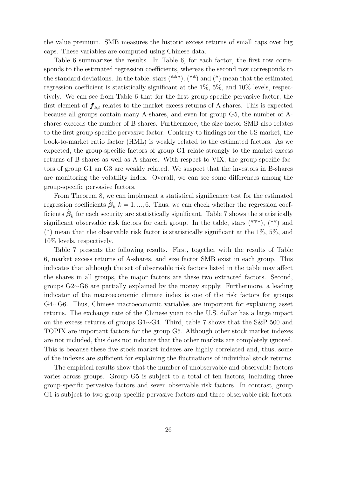the value premium. SMB measures the historic excess returns of small caps over big caps. These variables are computed using Chinese data.

Table 6 summarizes the results. In Table 6, for each factor, the first row corresponds to the estimated regression coefficients, whereas the second row corresponds to the standard deviations. In the table, stars  $(*^{**})$ ,  $(*^{*})$  and  $(*)$  mean that the estimated regression coefficient is statistically significant at the 1%, 5%, and 10% levels, respectively. We can see from Table 6 that for the first group-specific pervasive factor, the first element of  $f_{kt}$  relates to the market excess returns of A-shares. This is expected because all groups contain many A-shares, and even for group G5, the number of Ashares exceeds the number of B-shares. Furthermore, the size factor SMB also relates to the first group-specific pervasive factor. Contrary to findings for the US market, the book-to-market ratio factor (HML) is weakly related to the estimated factors. As we expected, the group-specific factors of group G1 relate strongly to the market excess returns of B-shares as well as A-shares. With respect to VIX, the group-specific factors of group G1 an G3 are weakly related. We suspect that the investors in B-shares are monitoring the volatility index. Overall, we can see some differences among the group-specific pervasive factors.

From Theorem 8, we can implement a statistical significance test for the estimated regression coefficients  $\hat{\boldsymbol{\beta}}_k$  k = 1, ..., 6. Thus, we can check whether the regression coefficients  $\hat{\boldsymbol{\beta}}_k$  for each security are statistically significant. Table 7 shows the statistically significant observable risk factors for each group. In the table, stars (\*\*\*), (\*\*) and (\*) mean that the observable risk factor is statistically significant at the 1%, 5%, and 10% levels, respectively.

Table 7 presents the following results. First, together with the results of Table 6, market excess returns of A-shares, and size factor SMB exist in each group. This indicates that although the set of observable risk factors listed in the table may affect the shares in all groups, the major factors are these two extracted factors. Second, groups G2∼G6 are partially explained by the money supply. Furthermore, a leading indicator of the macroeconomic climate index is one of the risk factors for groups G4∼G6. Thus, Chinese macroeconomic variables are important for explaining asset returns. The exchange rate of the Chinese yuan to the U.S. dollar has a large impact on the excess returns of groups G1∼G4. Third, table 7 shows that the S&P 500 and TOPIX are important factors for the group G5. Although other stock market indexes are not included, this does not indicate that the other markets are completely ignored. This is because these five stock market indexes are highly correlated and, thus, some of the indexes are sufficient for explaining the fluctuations of individual stock returns.

The empirical results show that the number of unobservable and observable factors varies across groups. Group G5 is subject to a total of ten factors, including three group-specific pervasive factors and seven observable risk factors. In contrast, group G1 is subject to two group-specific pervasive factors and three observable risk factors.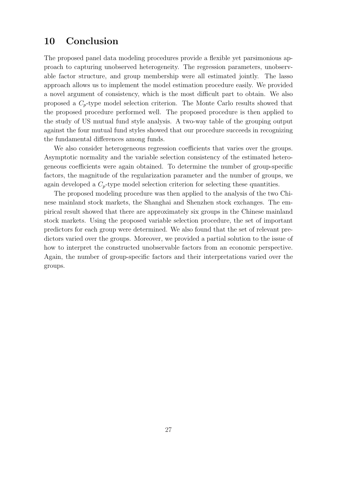# 10 Conclusion

The proposed panel data modeling procedures provide a flexible yet parsimonious approach to capturing unobserved heterogeneity. The regression parameters, unobservable factor structure, and group membership were all estimated jointly. The lasso approach allows us to implement the model estimation procedure easily. We provided a novel argument of consistency, which is the most difficult part to obtain. We also proposed a  $C_p$ -type model selection criterion. The Monte Carlo results showed that the proposed procedure performed well. The proposed procedure is then applied to the study of US mutual fund style analysis. A two-way table of the grouping output against the four mutual fund styles showed that our procedure succeeds in recognizing the fundamental differences among funds.

We also consider heterogeneous regression coefficients that varies over the groups. Asymptotic normality and the variable selection consistency of the estimated heterogeneous coefficients were again obtained. To determine the number of group-specific factors, the magnitude of the regularization parameter and the number of groups, we again developed a  $C_p$ -type model selection criterion for selecting these quantities.

The proposed modeling procedure was then applied to the analysis of the two Chinese mainland stock markets, the Shanghai and Shenzhen stock exchanges. The empirical result showed that there are approximately six groups in the Chinese mainland stock markets. Using the proposed variable selection procedure, the set of important predictors for each group were determined. We also found that the set of relevant predictors varied over the groups. Moreover, we provided a partial solution to the issue of how to interpret the constructed unobservable factors from an economic perspective. Again, the number of group-specific factors and their interpretations varied over the groups.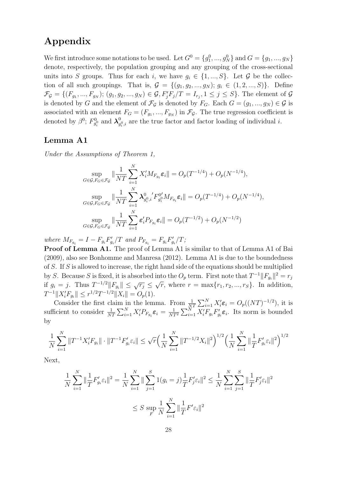# Appendix

We first introduce some notations to be used. Let  $G^0 = \{g_1^0, ..., g_N^0\}$  and  $G = \{g_1, ..., g_N\}$ denote, respectively, the population grouping and any grouping of the cross-sectional units into S groups. Thus for each i, we have  $g_i \in \{1, ..., S\}$ . Let G be the collection of all such groupings. That is,  $\mathcal{G} = \{(g_1, g_2, ..., g_N); g_i \in (1, 2, ..., S)\}\.$  Define  $\mathcal{F}_{\mathcal{G}} = \{ (F_{g_1}, ..., F_{g_N}); (g_1, g_2, ..., g_N) \in \mathcal{G}, F'_jF_j/T = I_{r_j}, 1 \le j \le S \}.$  The element of  $\mathcal{G}$ is denoted by G and the element of  $\mathcal{F}_{\mathcal{G}}$  is denoted by  $F_G$ . Each  $G = (g_1, ..., g_N) \in \mathcal{G}$  is associated with an element  $F_G = (F_{g_1},..., F_{g_N})$  in  $\mathcal{F}_{\mathcal{G}}$ . The true regression coefficient is denoted by  $\beta^0$ ;  $F_{g_i^0}^0$  and  $\lambda_g^0$  $g_{i}^{0}$ , are the true factor and factor loading of individual *i*.

### Lemma A1

Under the Assumptions of Theorem 1,

$$
\sup_{G \in \mathcal{G}, F_G \in \mathcal{F}_{\mathcal{G}}} \|\frac{1}{NT} \sum_{i=1}^N X_i' M_{F_{g_i}} \varepsilon_i\| = O_p(T^{-1/4}) + O_p(N^{-1/4}),
$$
  
\n
$$
\sup_{G \in \mathcal{G}, F_G \in \mathcal{F}_{\mathcal{G}}} \|\frac{1}{NT} \sum_{i=1}^N \lambda_{g_i^0, i}^{0} 'F_{g_i^0}^{0'} M_{F_{g_i}} \varepsilon_i\| = O_p(T^{-1/4}) + O_p(N^{-1/4}),
$$
  
\n
$$
\sup_{G \in \mathcal{G}, F_G \in \mathcal{F}_{\mathcal{G}}} \|\frac{1}{NT} \sum_{i=1}^N \varepsilon_i' P_{F_{g_i}} \varepsilon_i\| = O_p(T^{-1/2}) + O_p(N^{-1/2})
$$

where  $M_{F_{g_i}} = I - F_{g_i} F'_{g_i}/T$  and  $P_{F_{g_i}} = F_{g_i} F'_{g_i}/T$ ;

Proof of Lemma A1. The proof of Lemma A1 is similar to that of Lemma A1 of Bai (2009), also see Bonhomme and Manresa (2012). Lemma A1 is due to the boundedness of S. If S is allowed to increase, the right hand side of the equations should be multiplied by S. Because S is fixed, it is absorbed into the  $O_p$  term. First note that  $T^{-1}||F_{g_i}||^2 = r_j$ if  $g_i = j$ . Thus  $T^{-1/2} ||F_{g_i}|| \leq \sqrt{r_j} \leq \sqrt{r}$ , where  $r = \max\{r_1, r_2, ..., r_S\}$ . In addition,  $T^{-1} \| X_i' F_{g_i} \| \leq r^{1/2} T^{-1/2} \| X_i \| = O_p(1).$ 

Consider the first claim in the lemma. From  $\frac{1}{NT} \sum_{i=1}^{N} X_i' \varepsilon_i = O_p((NT)^{-1/2})$ , it is sufficient to consider  $\frac{1}{NT} \sum_{i=1}^{N} X_i' P_{F_{g_i}} \varepsilon_i = \frac{1}{NT^2} \sum_{i=1}^{N} X_i' F_{g_i} F'_{g_i} \varepsilon_i$ . Its norm is bounded by

$$
\frac{1}{N}\sum_{i=1}^N \|T^{-1}X_i'F_{g_i}\|\cdot\|T^{-1}F_{g_i}'\varepsilon_i\| \leq \sqrt{r}\Big(\frac{1}{N}\sum_{i=1}^N \|T^{-1/2}X_i\|^2\Big)^{1/2}\Big(\frac{1}{N}\sum_{i=1}^N \|\frac{1}{T}F_{g_i}'\varepsilon_i\|^2\Big)^{1/2}
$$

Next,

$$
\frac{1}{N} \sum_{i=1}^{N} \|\frac{1}{T} F'_{g_i} \varepsilon_i\|^2 = \frac{1}{N} \sum_{i=1}^{N} \|\sum_{j=1}^{S} 1(g_i = j) \frac{1}{T} F'_{j} \varepsilon_i\|^2 \le \frac{1}{N} \sum_{i=1}^{N} \sum_{j=1}^{S} \|\frac{1}{T} F'_{j} \varepsilon_i\|^2
$$
  

$$
\le S \sup_{F} \frac{1}{N} \sum_{i=1}^{N} \|\frac{1}{T} F'_{j} \varepsilon_i\|^2
$$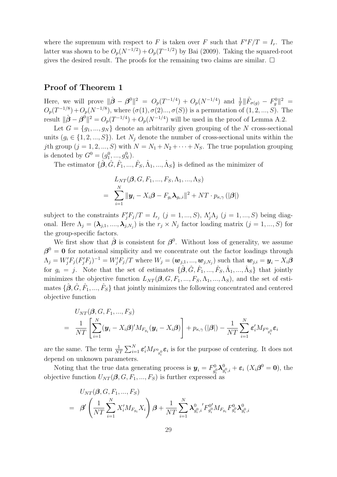where the supremum with respect to F is taken over F such that  $F'F/T = I_r$ . The latter was shown to be  $O_p(N^{-1/2}) + O_p(T^{-1/2})$  by Bai (2009). Taking the squared-root gives the desired result. The proofs for the remaining two claims are similar.  $\Box$ 

#### Proof of Theorem 1

Here, we will prove  $\|\hat{\boldsymbol{\beta}} - \boldsymbol{\beta}^0\|^2 = O_p(T^{-1/4}) + O_p(N^{-1/4})$  and  $\frac{1}{T} \|\hat{F}_{\sigma(g)} - F_g^0\|^2 =$  $O_p(T^{-1/8}) + O_p(N^{-1/8})$ , where  $(\sigma(1), \sigma(2), \ldots, \sigma(S))$  is a permutation of  $(1, 2, \ldots, S)$ . The result  $\|\hat{\boldsymbol{\beta}} - \boldsymbol{\beta}^0\|^2 = O_p(T^{-1/4}) + O_p(N^{-1/4})$  will be used in the proof of Lemma A.2.

Let  $G = \{g_1, ..., g_N\}$  denote an arbitrarily given grouping of the N cross-sectional units  $(g_i \in \{1, 2, ..., S\})$ . Let  $N_j$  denote the number of cross-sectional units within the jth group  $(j = 1, 2, ..., S)$  with  $N = N_1 + N_2 + \cdots + N_S$ . The true population grouping is denoted by  $G^0 = (g_1^0, ..., g_N^0)$ .

The estimator  $\{\hat{\boldsymbol{\beta}}, \hat{G}, \hat{F}_1, ..., \hat{F}_S, \hat{\Lambda}_1, ..., \hat{\Lambda}_S\}$  is defined as the minimizer of

$$
L_{NT}(\boldsymbol{\beta}, G, F_1, ..., F_S, \Lambda_1, ..., \Lambda_S)
$$
  
= 
$$
\sum_{i=1}^N ||\boldsymbol{y}_i - X_i \boldsymbol{\beta} - F_{g_i} \boldsymbol{\lambda}_{g_i, i}||^2 + NT \cdot p_{\kappa, \gamma} (|\boldsymbol{\beta}|)
$$

subject to the constraints  $F'_jF_j/T = I_{r_j}$   $(j = 1, ..., S)$ ,  $\Lambda'_j\Lambda_j$   $(j = 1, ..., S)$  being diagonal. Here  $\Lambda_j = (\lambda_{j,1}, \ldots, \lambda_{j,N_j})$  is the  $r_j \times N_j$  factor loading matrix  $(j = 1, ..., S)$  for the group-specific factors.

We first show that  $\hat{\boldsymbol{\beta}}$  is consistent for  $\boldsymbol{\beta}^0$ . Without loss of generality, we assume  $\beta^0 = 0$  for notational simplicity and we concentrate out the factor loadings through  $\Lambda_j = W'_j F_j (F'_j F_j)^{-1} = W'_j F_j / T$  where  $W_j = (\boldsymbol{w}_{j,1},...,\boldsymbol{w}_{j,N_j})$  such that  $\boldsymbol{w}_{j,i} = \boldsymbol{y}_i - X_i \boldsymbol{\beta}$ for  $g_i = j$ . Note that the set of estimates  $\{\hat{\boldsymbol{\beta}}, \hat{G}, \hat{F}_1, ..., \hat{F}_S, \hat{\Lambda}_1, ..., \hat{\Lambda}_S\}$  that jointly minimizes the objective function  $L_{NT}(\beta, G, F_1, ..., F_S, \Lambda_1, ..., \Lambda_S)$ , and the set of estimates  $\{\hat{\boldsymbol{\beta}}, \hat{G}, \hat{F}_1, ..., \hat{F}_S\}$  that jointly minimizes the following concentrated and centered objective function

$$
U_{NT}(\boldsymbol{\beta}, G, F_1, ..., F_S)
$$
  
=  $\frac{1}{NT} \left[ \sum_{i=1}^N (\boldsymbol{y}_i - X_i \boldsymbol{\beta})' M_{F_{g_i}} (\boldsymbol{y}_i - X_i \boldsymbol{\beta}) \right] + p_{\kappa, \gamma} (|\boldsymbol{\beta}|) - \frac{1}{NT} \sum_{i=1}^N \boldsymbol{\varepsilon}_i' M_{F^0_{g_i}} \boldsymbol{\varepsilon}_i$ 

are the same. The term  $\frac{1}{NT} \sum_{i=1}^{N} \varepsilon'_i M_{F^0_{g_i^0}} \varepsilon_i$  is for the purpose of centering. It does not depend on unknown parameters.

Noting that the true data generating process is  $y_i = F_{q_i}^0$  $\frac{10}{g_i^0}\boldsymbol\lambda_g^0$  $_{g_i^0,i}^0 + \varepsilon_i \; (X_i \boldsymbol{\beta}^0 = \mathbf{0}), \text{ the}$ objective function  $U_{NT}(\beta, G, F_1, ..., F_S)$  is further expressed as

$$
\begin{array}{lll} & U_{NT}(\boldsymbol{\beta},G,F_1,...,F_S) \\ = & \displaystyle \boldsymbol{\beta}^{\prime}\left(\frac{1}{NT}\sum_{i=1}^{N}X_{i}^{\prime}M_{F_{g_i}}X_i\right)\boldsymbol{\beta}+\frac{1}{NT}\sum_{i=1}^{N}\boldsymbol{\lambda}^0_{g_i^0,i^{'}}F_{g_i^0}^{0'}M_{F_{g_i}}F_{g_i^0}^{0}\boldsymbol{\lambda}^0_{g_i^0,i} \end{array}
$$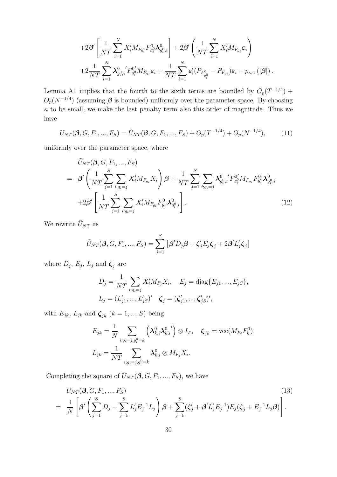$$
+2\beta'\left[\frac{1}{NT}\sum_{i=1}^{N}X'_{i}M_{F_{g_{i}}}F_{g_{i}}^{0}\lambda_{g_{i}^{0},i}^{0}\right]+2\beta'\left(\frac{1}{NT}\sum_{i=1}^{N}X'_{i}M_{F_{g_{i}}}\varepsilon_{i}\right)\\+2\frac{1}{NT}\sum_{i=1}^{N}\lambda_{g_{i}^{0},i}^{0'}F_{g_{i}^{0}}^{0'}M_{F_{g_{i}}}\varepsilon_{i}+\frac{1}{NT}\sum_{i=1}^{N}\varepsilon'_{i}(P_{F_{g_{i}^{0}}^{0}}-P_{F_{g_{i}}})\varepsilon_{i}+p_{\kappa,\gamma}(|\beta|).
$$

Lemma A1 implies that the fourth to the sixth terms are bounded by  $O_p(T^{-1/4})$  +  $O_p(N^{-1/4})$  (assuming  $\beta$  is bounded) uniformly over the parameter space. By choosing  $\kappa$  to be small, we make the last penalty term also this order of magnitude. Thus we have

$$
U_{NT}(\beta, G, F_1, ..., F_S) = \tilde{U}_{NT}(\beta, G, F_1, ..., F_S) + O_p(T^{-1/4}) + O_p(N^{-1/4}), \tag{11}
$$

uniformly over the parameter space, where

$$
\tilde{U}_{NT}(\boldsymbol{\beta}, G, F_1, ..., F_S) \n= \beta' \left( \frac{1}{NT} \sum_{j=1}^{S} \sum_{i; g_i = j} X'_i M_{F_{g_i}} X_i \right) \boldsymbol{\beta} + \frac{1}{NT} \sum_{j=1}^{S} \sum_{i; g_i = j} \lambda_{g_i^0, i}^{0} ' F_{g_i^0}^{0'} M_{F_{g_i}} F_{g_i^0}^{0} \lambda_{g_i^0, i}^{0} \n+ 2\beta' \left[ \frac{1}{NT} \sum_{j=1}^{S} \sum_{i; g_i = j} X'_i M_{F_{g_i}} F_{g_i^0}^{0} \lambda_{g_i^0, i}^{0} \right].
$$
\n(12)

We rewrite  $\tilde{U}_{NT}$  as

$$
\tilde{U}_{NT}(\boldsymbol{\beta}, G, F_1, ..., F_S) = \sum_{j=1}^{S} [\boldsymbol{\beta}^{\prime} D_j \boldsymbol{\beta} + \boldsymbol{\zeta}_j^{\prime} E_j \boldsymbol{\zeta}_j + 2 \boldsymbol{\beta}^{\prime} L_j^{\prime} \boldsymbol{\zeta}_j]
$$

where  $D_j$ ,  $E_j$ ,  $L_j$  and  $\boldsymbol{\zeta}_j$  are

$$
D_j = \frac{1}{NT} \sum_{i:g_i=j} X'_i M_{F_j} X_i, \quad E_j = \text{diag}\{E_{j1}, ..., E_{jS}\},
$$
  

$$
L_j = (L'_{j1}, ..., L'_{jS})' \quad \zeta_j = (\zeta'_{j1}, ..., \zeta'_{jS})',
$$

with  $E_{jk}$ ,  $L_{jk}$  and  $\boldsymbol{\zeta}_{jk}$   $(k = 1, ..., S)$  being

$$
E_{jk} = \frac{1}{N} \sum_{i:g_i=j,g_i^0=k} \left(\lambda_{k,i}^0 \lambda_{k,i}^0'\right) \otimes I_T, \quad \zeta_{jk} = \text{vec}(M_{F_j} F_k^0),
$$
  

$$
L_{jk} = \frac{1}{NT} \sum_{i:g_i=j,g_i^0=k} \lambda_{k,i}^0 \otimes M_{F_j} X_i.
$$

Completing the square of  $\tilde{U}_{NT}(\boldsymbol{\beta},G, F_1,...,F_S)$ , we have

$$
\tilde{U}_{NT}(\boldsymbol{\beta}, G, F_1, ..., F_S) \tag{13}
$$
\n
$$
= \frac{1}{N} \left[ \boldsymbol{\beta}' \left( \sum_{j=1}^S D_j - \sum_{j=1}^S L'_j E_j^{-1} L_j \right) \boldsymbol{\beta} + \sum_{j=1}^S (\boldsymbol{\zeta}'_j + \boldsymbol{\beta}' L'_j E_j^{-1}) E_j (\boldsymbol{\zeta}_j + E_j^{-1} L_j \boldsymbol{\beta}) \right].
$$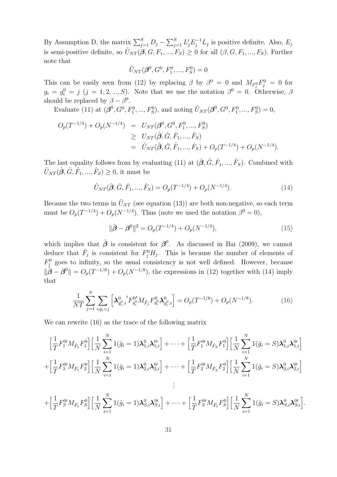By Assumption D, the matrix  $\sum_{j=1}^{S} D_j - \sum_{j=1}^{S} L'_j E_j^{-1} L_j$  is positive definite. Also,  $E_j$ is semi-positive definite, so  $\tilde{U}_{NT}(\beta, G, F_1, ..., F_S) \geq 0$  for all  $(\beta, G, F_1, ..., F_S)$ . Further note that

$$
\tilde{U}_{NT}(\boldsymbol{\beta}^0, G^0, F_1^0, ..., F_S^0) = 0
$$

This can be easily seen from (12) by replacing  $\beta$  by  $\beta^0 = 0$  and  $M_{F_j^0}F_j^0 = 0$  for  $g_i = g_i^0 = j \ (j = 1, 2, ..., S)$ . Note that we use the notation  $\beta^0 = 0$ . Otherwise,  $\beta$ should be replaced by  $\beta - \beta^0$ .

Evaluate (11) at  $(\beta^0, G^0, F_1^0, ..., F_S^0)$ , and noting  $\tilde{U}_{NT}(\beta^0, G^0, F_1^0, ..., F_S^0) = 0$ ,

$$
O_p(T^{-1/4}) + O_p(N^{-1/4}) = U_{NT}(\beta^0, G^0, F_1^0, ..., F_S^0)
$$
  
\n
$$
\geq U_{NT}(\hat{\beta}, \hat{G}, \hat{F}_1, ..., \hat{F}_S)
$$
  
\n
$$
= \tilde{U}_{NT}(\hat{\beta}, \hat{G}, \hat{F}_1, ..., \hat{F}_S) + O_p(T^{-1/4}) + O_p(N^{-1/4}).
$$

The last equality follows from by evaluating (11) at  $(\hat{\beta}, \hat{G}, \hat{F}_1, ..., \hat{F}_S)$ . Combined with  $\tilde{U}_{NT}(\hat{\boldsymbol{\beta}}, \hat{G}, \hat{F}_1, ..., \hat{F}_S) \ge 0$ , it must be

$$
\tilde{U}_{NT}(\hat{\boldsymbol{\beta}}, \hat{G}, \hat{F}_1, ..., \hat{F}_S) = O_p(T^{-1/4}) + O_p(N^{-1/4}).
$$
\n(14)

Because the two terms in  $\tilde{U}_{NT}$  (see equation (13)) are both non-negative, so each term must be  $O_p(T^{-1/4}) + O_p(N^{-1/4})$ . Thus (note we used the notation  $\beta^0 = 0$ ),

$$
\|\hat{\boldsymbol{\beta}} - \boldsymbol{\beta}^0\|^2 = O_p(T^{-1/4}) + O_p(N^{-1/4}),\tag{15}
$$

which implies that  $\hat{\boldsymbol{\beta}}$  is consistent for  $\boldsymbol{\beta}^0$ . As discussed in Bai (2009), we cannot deduce that  $\hat{F}_j$  is consistent for  $F_j^0 H_j$ . This is because the number of elements of  $F_j^0$  goes to infinity, so the usual consistency is not well defined. However, because  $\|\hat{\boldsymbol{\beta}} - \boldsymbol{\beta}^0\| = O_p(T^{-1/8}) + O_p(N^{-1/8})$ , the expressions in (12) together with (14) imply that

$$
\frac{1}{NT} \sum_{j=1}^{S} \sum_{i:\hat{g}_i=j} \left[ \lambda_{g_i^0,i}^0 F_{g_i^0}^{0'} M_{\hat{F}_j} F_{g_i^0}^{0} \lambda_{g_i^0,i}^0 \right] = O_p(T^{-1/8}) + O_p(N^{-1/8}).\tag{16}
$$

We can rewrite  $(16)$  as the trace of the following matrix

$$
\left[\frac{1}{T}F_1^{0\prime}M_{\hat{F}_1}F_1^0\right]\left[\frac{1}{N}\sum_{i=1}^N 1(\hat{g}_i=1)\lambda_{1,i}^0\lambda_{1,i}^{0\prime}\right]+\cdots+\left[\frac{1}{T}F_1^{0\prime}M_{\hat{F}_S}F_1^0\right]\left[\frac{1}{N}\sum_{i=1}^N 1(\hat{g}_i=5)\lambda_{1,i}^0\lambda_{1,i}^{0\prime}\right] +\left[\frac{1}{T}F_2^{0\prime}M_{\hat{F}_1}F_2^0\right]\left[\frac{1}{N}\sum_{i=1}^N 1(\hat{g}_i=1)\lambda_{2,i}^0\lambda_{2,i}^{0\prime}\right]+\cdots+\left[\frac{1}{T}F_2^{0\prime}M_{\hat{F}_S}F_2^0\right]\left[\frac{1}{N}\sum_{i=1}^N 1(\hat{g}_i=5)\lambda_{2,i}^0\lambda_{2,i}^{0\prime}\right] \vdots
$$

$$
+\left[\frac{1}{T}F_{S}^{0}M_{\hat{F}_{1}}F_{S}^{0}\right]\left[\frac{1}{N}\sum_{i=1}^{N}1(\hat{g}_{i}=1)\lambda_{S,i}^{0}\lambda_{S,i}^{0*}\right]+\cdots+\left[\frac{1}{T}F_{S}^{0}M_{\hat{F}_{1}}F_{S}^{0}\right]\left[\frac{1}{N}\sum_{i=1}^{N}1(\hat{g}_{i}=S)\lambda_{S,i}^{0}\lambda_{S,i}^{0*}\right]
$$

.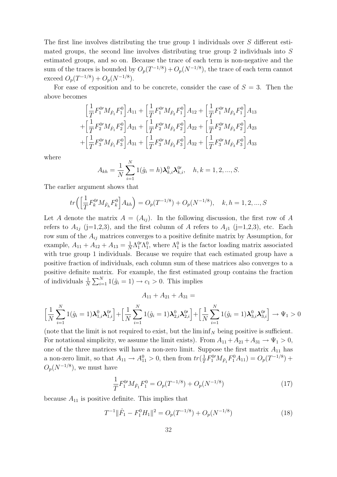The first line involves distributing the true group 1 individuals over S different estimated groups, the second line involves distributing true group 2 individuals into S estimated groups, and so on. Because the trace of each term is non-negative and the sum of the traces is bounded by  $O_p(T^{-1/8}) + O_p(N^{-1/8})$ , the trace of each term cannot exceed  $O_p(T^{-1/8}) + O_p(N^{-1/8})$ .

For ease of exposition and to be concrete, consider the case of  $S = 3$ . Then the above becomes

$$
\begin{aligned}\n&\left[\frac{1}{T}F_1^{0'}M_{\hat{F}_1}F_1^0\right]A_{11} + \left[\frac{1}{T}F_1^{0'}M_{\hat{F}_2}F_1^0\right]A_{12} + \left[\frac{1}{T}F_1^{0'}M_{\hat{F}_3}F_1^0\right]A_{13} \\
&+ \left[\frac{1}{T}F_2^{0'}M_{\hat{F}_1}F_2^0\right]A_{21} + \left[\frac{1}{T}F_2^{0'}M_{\hat{F}_2}F_2^0\right]A_{22} + \left[\frac{1}{T}F_2^{0'}M_{\hat{F}_3}F_2^0\right]A_{23} \\
&+ \left[\frac{1}{T}F_3^{0'}M_{\hat{F}_1}F_3^0\right]A_{31} + \left[\frac{1}{T}F_3^{0'}M_{\hat{F}_2}F_3^0\right]A_{32} + \left[\frac{1}{T}F_3^{0'}M_{\hat{F}_3}F_3^0\right]A_{33}\n\end{aligned}
$$

where

$$
A_{kh} = \frac{1}{N} \sum_{i=1}^{N} 1(\hat{g}_i = h) \lambda_{k,i}^0 \lambda_{k,i}^{0}, \quad h, k = 1, 2, ..., S.
$$

The earlier argument shows that

$$
tr\left(\left[\frac{1}{T}F_k^{0\prime}M_{\hat{F}_h}F_k^0\right]A_{kh}\right) = O_p(T^{-1/8}) + O_p(N^{-1/8}), \quad k, h = 1, 2, ..., S
$$

Let A denote the matrix  $A = (A_{ij})$ . In the following discussion, the first row of A refers to  $A_{1j}$  (j=1,2,3), and the first column of A refers to  $A_{j1}$  (j=1,2,3), etc. Each row sum of the  $A_{ij}$  matrices converges to a positive definite matrix by Assumption, for example,  $A_{11} + A_{12} + A_{13} = \frac{1}{N}$  $\frac{1}{N}\Lambda_1^0\Lambda_1^0$ , where  $\Lambda_1^0$  is the factor loading matrix associated with true group 1 individuals. Because we require that each estimated group have a positive fraction of individuals, each column sum of these matrices also converges to a positive definite matrix. For example, the first estimated group contains the fraction of individuals  $\frac{1}{N} \sum_{i=1}^{N} 1(\hat{g}_i = 1) \rightarrow c_1 > 0$ . This implies

 $A_{11} + A_{21} + A_{31} =$ 

$$
\left[\frac{1}{N}\sum_{i=1}^{N}1(\hat{g}_i=1)\lambda_{1,i}^0\lambda_{1,i}^{0\prime}\right]+\left[\frac{1}{N}\sum_{i=1}^{N}1(\hat{g}_i=1)\lambda_{2,i}^0\lambda_{2,i}^{0\prime}\right]+\left[\frac{1}{N}\sum_{i=1}^{N}1(\hat{g}_i=1)\lambda_{3,i}^0\lambda_{3,i}^{0\prime}\right]\rightarrow\Psi_1>0
$$

(note that the limit is not required to exist, but the  $\liminf_N$  being positive is sufficient. For notational simplicity, we assume the limit exists). From  $A_{11} + A_{21} + A_{31} \rightarrow \Psi_1 > 0$ , one of the three matrices will have a non-zero limit. Suppose the first matrix  $A_{11}$  has a non-zero limit, so that  $A_{11} \rightarrow A_{11}^0 > 0$ , then from  $tr(\frac{1}{T})$  $\frac{1}{T}F_1^0 M_{\hat{F}_1} F_1^0 A_{11} = O_p(T^{-1/8}) +$  $O_p(N^{-1/8})$ , we must have

$$
\frac{1}{T}F_1^0 M_{\hat{F}_1} F_1^0 = O_p(T^{-1/8}) + O_p(N^{-1/8})
$$
\n(17)

because  $A_{11}$  is positive definite. This implies that

$$
T^{-1} \|\hat{F}_1 - F_1^0 H_1\|^2 = O_p(T^{-1/8}) + O_p(N^{-1/8})
$$
\n(18)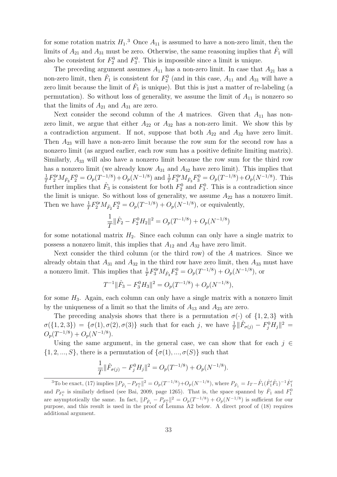for some rotation matrix  $H_1$ <sup>3</sup> Once  $A_{11}$  is assumed to have a non-zero limit, then the limits of  $A_{21}$  and  $A_{31}$  must be zero. Otherwise, the same reasoning implies that  $\hat{F}_1$  will also be consistent for  $F_2^0$  and  $F_3^0$ . This is impossible since a limit is unique.

The preceding argument assumes  $A_{11}$  has a non-zero limit. In case that  $A_{21}$  has a non-zero limit, then  $\hat{F}_1$  is consistent for  $F_2^0$  (and in this case,  $A_{11}$  and  $A_{31}$  will have a zero limit because the limit of  $\hat{F}_1$  is unique). But this is just a matter of re-labeling (a permutation). So without loss of generality, we assume the limit of  $A_{11}$  is nonzero so that the limits of  $A_{21}$  and  $A_{31}$  are zero.

Next consider the second column of the A matrices. Given that  $A_{11}$  has nonzero limit, we argue that either  $A_{22}$  or  $A_{32}$  has a non-zero limit. We show this by a contradiction argument. If not, suppose that both  $A_{22}$  and  $A_{32}$  have zero limit. Then  $A_{23}$  will have a non-zero limit because the row sum for the second row has a nonzero limit (as argued earlier, each row sum has a positive definite limiting matrix). Similarly,  $A_{33}$  will also have a nonzero limit because the row sum for the third row has a nonzero limit (we already know  $A_{31}$  and  $A_{32}$  have zero limit). This implies that 1  $\frac{1}{T}F_2^0 M_{\hat{F}_3} F_2^0 = O_p(T^{-1/8}) + O_p(N^{-1/8})$  and  $\frac{1}{T}F_3^0 M_{\hat{F}_3} F_3^0 = O_p(T^{-1/8}) + O_p(N^{-1/8})$ . This further implies that  $\hat{F}_3$  is consistent for both  $F_2^0$  and  $F_3^0$ . This is a contradiction since the limit is unique. So without loss of generality, we assume  $A_{22}$  has a nonzero limit. Then we have  $\frac{1}{T}F_2^{0'}M_{\hat{F}_2}F_2^0 = O_p(T^{-1/8}) + O_p(N^{-1/8})$ , or equivalently,

$$
\frac{1}{T} \|\hat{F}_2 - F_2^0 H_2\|^2 = O_p(T^{-1/8}) + O_p(N^{-1/8})
$$

for some notational matrix  $H_2$ . Since each column can only have a single matrix to possess a nonzero limit, this implies that  $A_{12}$  and  $A_{32}$  have zero limit.

Next consider the third column (or the third row) of the A matrices. Since we already obtain that  $A_{31}$  and  $A_{32}$  in the third row have zero limit, then  $A_{33}$  must have a nonzero limit. This implies that  $\frac{1}{T}F_3^0 M_{\hat{F}_3} F_3^0 = O_p(T^{-1/8}) + O_p(N^{-1/8})$ , or

$$
T^{-1} \|\hat{F}_3 - F_3^0 H_3\|^2 = O_p(T^{-1/8}) + O_p(N^{-1/8}),
$$

for some  $H_3$ . Again, each column can only have a single matrix with a nonzero limit by the uniqueness of a limit so that the limits of  $A_{13}$  and  $A_{23}$  are zero.

The preceding analysis shows that there is a permutation  $\sigma(\cdot)$  of  $\{1,2,3\}$  with  $\sigma({1, 2, 3}) = {\sigma(1), \sigma(2), \sigma(3)}$  such that for each j, we have  $\frac{1}{T} || \hat{F}_{\sigma(j)} - F_j^0 H_j ||^2 =$  $O_p(T^{-1/8}) + O_p(N^{-1/8}).$ 

Using the same argument, in the general case, we can show that for each  $j \in \mathbb{Z}$  $\{1, 2, ..., S\}$ , there is a permutation of  $\{\sigma(1), ..., \sigma(S)\}$  such that

$$
\frac{1}{T} \|\hat{F}_{\sigma(j)} - F_j^0 H_j\|^2 = O_p(T^{-1/8}) + O_p(N^{-1/8}).
$$

<sup>&</sup>lt;sup>3</sup>To be exact, (17) implies  $||P_{\hat{F}_1} - P_{F_1^0}||^2 = O_p(T^{-1/8}) + O_p(N^{-1/8})$ , where  $P_{\hat{F}_1} = I_T - \hat{F}_1(\hat{F}_1'\hat{F}_1)^{-1}\hat{F}_1'$ and  $P_{F_1^0}$  is similarly defined (see Bai, 2009, page 1265). That is, the space spanned by  $\hat{F}_1$  and  $F_1^0$ are asymptotically the same. In fact,  $||P_{\hat{F}_1} - P_{F_1^0}||^2 = O_p(T^{-1/8}) + O_p(N^{-1/8})$  is sufficient for our purpose, and this result is used in the proof of Lemma A2 below. A direct proof of (18) requires additional argument.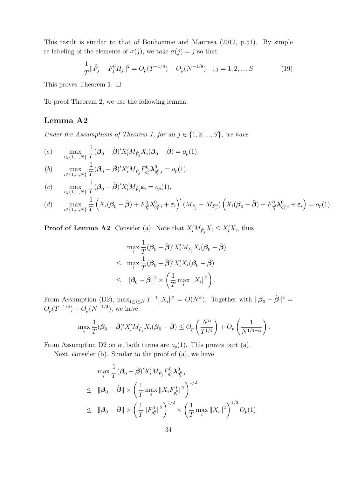This result is similar to that of Bonhomme and Manresa (2012, p.51). By simple re-labeling of the elements of  $\sigma(j)$ , we take  $\sigma(j) = j$  so that

$$
\frac{1}{T} \|\hat{F}_j - F_j^0 H_j\|^2 = O_p(T^{-1/8}) + O_p(N^{-1/8}) \quad , j = 1, 2, ..., S \tag{19}
$$

This proves Theorem 1.  $\Box$ 

To proof Theorem 2, we use the following lemma.

#### Lemma A2

Under the Assumptions of Theorem 1, for all  $j \in \{1, 2, ..., S\}$ , we have

(a) 
$$
\max_{i \in \{1, ..., N\}} \frac{1}{T} (\beta_0 - \hat{\beta})' X_i' M_{\hat{F}_j} X_i (\beta_0 - \hat{\beta}) = o_p(1),
$$

(b) 
$$
\max_{i \in \{1, ..., N\}} \frac{1}{T} (\boldsymbol{\beta}_0 - \hat{\boldsymbol{\beta}})' X_i' M_{\hat{F}_j} F_{g_i^0}^0 \boldsymbol{\lambda}_{g_i^0, i}^0 = o_p(1),
$$

(c) 
$$
\max_{i \in \{1, ..., N\}} \frac{1}{T} (\beta_0 - \hat{\beta})' X'_i M_{\hat{F}_j} \varepsilon_i = o_p(1),
$$

$$
(d) \quad \max_{i \in \{1, ..., N\}} \frac{1}{T} \left( X_i (\boldsymbol{\beta}_0 - \hat{\boldsymbol{\beta}}) + F_{g_i^0}^0 \boldsymbol{\lambda}_{g_i^0, i}^0 + \boldsymbol{\varepsilon}_i \right)' (M_{\hat{F}_j} - M_{F_j^0}) \left( X_i (\boldsymbol{\beta}_0 - \hat{\boldsymbol{\beta}}) + F_{g_i^0}^0 \boldsymbol{\lambda}_{g_i^0, i}^0 + \boldsymbol{\varepsilon}_i \right) = o_p(1),
$$

**Proof of Lemma A2**. Consider (a). Note that  $X_i'M_{\hat{F}_j}X_i \leq X_i'X_i$ , thus

$$
\max_{i} \frac{1}{T} (\boldsymbol{\beta}_{0} - \hat{\boldsymbol{\beta}})' X'_{i} M_{\hat{F}_{j}} X_{i} (\boldsymbol{\beta}_{0} - \hat{\boldsymbol{\beta}})
$$
  

$$
\leq \max_{i} \frac{1}{T} (\boldsymbol{\beta}_{0} - \hat{\boldsymbol{\beta}})' X'_{i} X_{i} (\boldsymbol{\beta}_{0} - \hat{\boldsymbol{\beta}})
$$
  

$$
\leq ||\boldsymbol{\beta}_{0} - \hat{\boldsymbol{\beta}}||^{2} \times \left(\frac{1}{T} \max ||X_{i}||^{2}\right).
$$

From Assumption (D2),  $\max_{1 \leq i \leq N} T^{-1} ||X_i||^2 = O(N^{\alpha})$ . Together with  $||\boldsymbol{\beta}_0 - \hat{\boldsymbol{\beta}}||^2 =$  $O_p(T^{-1/4}) + O_p(N^{-1/4}),$  we have

$$
\max_i \frac{1}{T} (\beta_0 - \hat{\boldsymbol{\beta}})' X_i' M_{\hat{F}_j} X_i (\boldsymbol{\beta}_0 - \hat{\boldsymbol{\beta}}) \le O_p \left( \frac{N^{\alpha}}{T^{1/4}} \right) + O_p \left( \frac{1}{N^{1/4 - \alpha}} \right).
$$

From Assumption D2 on  $\alpha$ , both terms are  $o_p(1)$ . This proves part (a).

Next, consider (b). Similar to the proof of (a), we have

$$
\max_{i} \frac{1}{T} (\beta_0 - \hat{\beta})' X'_i M_{\hat{F}_j} F^0_{g_i^0} \lambda^0_{g_i^0, i}
$$
\n
$$
\leq \|\beta_0 - \hat{\beta}\| \times \left(\frac{1}{T} \max_i \|X_i F^0_{g_i^0}\|^2\right)^{1/2}
$$
\n
$$
\leq \|\beta_0 - \hat{\beta}\| \times \left(\frac{1}{T} \|F^0_{g_i^0}\|^2\right)^{1/2} \times \left(\frac{1}{T} \max_i \|X_i\|^2\right)^{1/2} O_p(1)
$$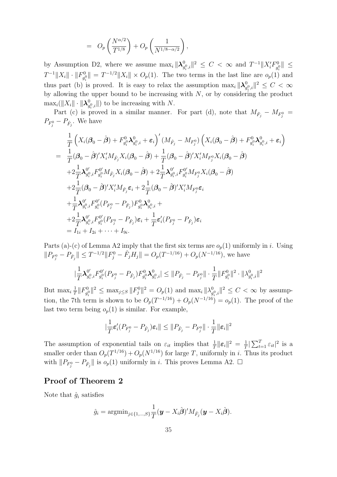$$
= O_p\left(\frac{N^{\alpha/2}}{T^{1/8}}\right) + O_p\left(\frac{1}{N^{1/8-\alpha/2}}\right),
$$

by Assumption D2, where we assume  $\max_i \|\lambda_g^0\|$  $\frac{1}{g_i^0, i} \| ^2 \: \le \: C \: < \: \infty \ \text{ and } \ T^{-1} \| X_i' F_{g_i^0}^0$  $\check{g}_{i}^{\{0\}}$ ||  $\leq$  $T^{-1}\Vert X_{i}\Vert \cdot \Vert F_{g_{i}^{(i)}}^{0}$  $\|g_{\varrho}^0\| = T^{-1/2} \|X_i\| \times O_p(1)$ . The two terms in the last line are  $o_p(1)$  and thus part (b) is proved. It is easy to relax the assumption  $\max_i ||\lambda_g^0$  $_{g_i^0,i}^0\Vert^2\leq C<\infty$ by allowing the upper bound to be increasing with  $N$ , or by considering the product  $\max_i (\|X_i\| \cdot \|\boldsymbol{\lambda}^0_g$  $\bigcup_{g_i^0, i}^0$  to be increasing with N.

Part (c) is proved in a similar manner. For part (d), note that  $M_{\hat{F}_j} - M_{F^0_j} =$  $P_{F_j^0} - P_{\hat{F}_j}$ . We have

$$
\frac{1}{T}\left(X_{i}(\beta_{0}-\hat{\beta})+F_{g_{i}}^{0}\lambda_{g_{i}^{0},i}^{0}+\varepsilon_{i}\right)'(M_{\hat{F}_{j}}-M_{F_{j}^{0}})\left(X_{i}(\beta_{0}-\hat{\beta})+F_{g_{i}}^{0}\lambda_{g_{i}^{0},i}^{0}+\varepsilon_{i}\right) \n= \frac{1}{T}(\beta_{0}-\hat{\beta})'X'_{i}M_{\hat{F}_{j}}X_{i}(\beta_{0}-\hat{\beta})+\frac{1}{T}(\beta_{0}-\hat{\beta})'X'_{i}M_{F_{j}^{0}}X_{i}(\beta_{0}-\hat{\beta}) \n+2\frac{1}{T}\lambda_{g_{i}^{0},i}^{0'}F_{g_{i}^{0}}^{0'}M_{\hat{F}_{j}}X_{i}(\beta_{0}-\hat{\beta})+2\frac{1}{T}\lambda_{g_{i}^{0},i}^{0'}F_{g_{i}^{0}}^{0'}M_{F_{j}^{0}}X_{i}(\beta_{0}-\hat{\beta}) \n+2\frac{1}{T}(\beta_{0}-\hat{\beta})'X'_{i}M_{\hat{F}_{j}}\varepsilon_{i}+2\frac{1}{T}(\beta_{0}-\hat{\beta})'X'_{i}M_{F_{j}^{0}}\varepsilon_{i} \n+ \frac{1}{T}\lambda_{g_{i}^{0},i}^{0'}F_{g_{i}^{0}}^{0'}(P_{F_{j}^{0}}-P_{\hat{F}_{j}})F_{g_{i}^{0}}^{0}\lambda_{g_{i}^{0},i} +\n+2\frac{1}{T}\lambda_{g_{i}^{0},i}^{0'}F_{g_{i}^{0}}^{0'}(P_{F_{j}^{0}}-P_{\hat{F}_{j}})\varepsilon_{i}+\frac{1}{T}\varepsilon'_{i}(P_{F_{j}^{0}}-P_{\hat{F}_{j}})\varepsilon_{i} \n=I_{1i}+I_{2i}+\cdots+I_{9i}.
$$

Parts (a)-(c) of Lemma A2 imply that the first six terms are  $o_p(1)$  uniformly in i. Using  $||P_{F_j^0} - P_{\hat{F}_j}|| \leq T^{-1/2} ||F_j^0 - \hat{F}_j H_j|| = O_p(T^{-1/16}) + O_p(N^{-1/16})$ , we have

$$
|\frac{1}{T}\mathbf{\lambda}_{g_i^0,i}^{0'}F_{g_i^0}^{0'}(P_{F_j^0}-P_{\hat{F}_j})F_{g_i^0}^{0}\mathbf{\lambda}_{g_i^0,i}^0|\leq \|P_{\hat{F}_j}-P_{F_j^0}\|\cdot\frac{1}{T}\|F_{g_i^0}^{0}\|^2\cdot\|\lambda_{g_i^0,i}^0\|^2
$$

But max<sub>i</sub> $\frac{1}{7}$  $\frac{1}{T} \| F_{g_i^0}^0$  $||p_{g_i^0}^0||^2 \leq \max_{j \leq S} ||F_j^0||^2 = O_p(1)$  and  $\max_i ||\lambda_g^0$  $_{g_i^0,i}^0\|_2^2 \leq C < \infty$  by assumption, the 7th term is shown to be  $O_p(T^{-1/16}) + O_p(N^{-1/16}) = o_p(1)$ . The proof of the last two term being  $o_p(1)$  is similar. For example,

$$
\vert \frac{1}{T}\varepsilon'_i(P_{F^0_j}-P_{\hat{F}_j})\varepsilon_i\Vert \leq \Vert P_{\hat{F}_j}-P_{F^0_j}\Vert \cdot \frac{1}{T}\Vert \varepsilon_i\Vert^2
$$

The assumption of exponential tails on  $\varepsilon_{it}$  implies that  $\frac{1}{T} ||\varepsilon_i||^2 = \frac{1}{T}$  $\frac{1}{T}|\sum_{t=1}^T \varepsilon_{it}|^2$  is a smaller order than  $O_p(T^{1/16}) + O_p(N^{1/16})$  for large T, uniformly in i. Thus its product with  $||P_{F_j^0} - P_{\hat{F}_j}||$  is  $o_p(1)$  uniformly in i. This proves Lemma A2.  $\square$ 

#### Proof of Theorem 2

Note that  $\hat{g}_i$  satisfies

$$
\hat{g}_i = \mathrm{argmin}_{j \in \{1,\dots,S\}} \frac{1}{T} (\boldsymbol{y} - X_i \hat{\boldsymbol{\beta}})' M_{\hat{F}_j} (\boldsymbol{y} - X_i \hat{\boldsymbol{\beta}}).
$$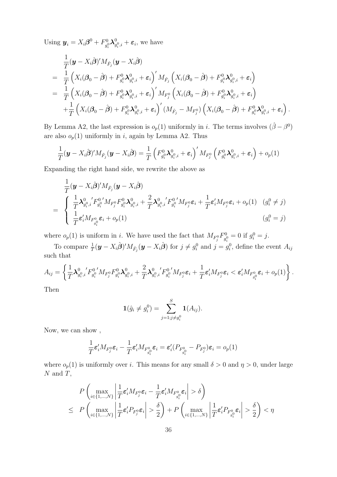Using  $y_i = X_i \beta^0 + F_{q_i}^0$  $g_i^0\boldsymbol\lambda_g^0$  $_{g_i^0,i}^0 + \varepsilon_i$ , we have

$$
\frac{1}{T}(\mathbf{y}-X_{i}\hat{\boldsymbol{\beta}})^{'}M_{\hat{F}_{j}}(\mathbf{y}-X_{i}\hat{\boldsymbol{\beta}})
$$
\n=\n
$$
\frac{1}{T}\left(X_{i}(\boldsymbol{\beta}_{0}-\hat{\boldsymbol{\beta}})+F_{g_{i}}^{0}\lambda_{g_{i}^{0},i}^{0}+\varepsilon_{i}\right)^{'}M_{\hat{F}_{j}}\left(X_{i}(\boldsymbol{\beta}_{0}-\hat{\boldsymbol{\beta}})+F_{g_{i}}^{0}\lambda_{g_{i}^{0},i}^{0}+\varepsilon_{i}\right)
$$
\n=\n
$$
\frac{1}{T}\left(X_{i}(\boldsymbol{\beta}_{0}-\hat{\boldsymbol{\beta}})+F_{g_{i}}^{0}\lambda_{g_{i}^{0},i}^{0}+\varepsilon_{i}\right)^{'}M_{F_{j}^{0}}\left(X_{i}(\boldsymbol{\beta}_{0}-\hat{\boldsymbol{\beta}})+F_{g_{i}}^{0}\lambda_{g_{i}^{0},i}^{0}+\varepsilon_{i}\right)
$$
\n+\n
$$
\frac{1}{T}\left(X_{i}(\boldsymbol{\beta}_{0}-\hat{\boldsymbol{\beta}})+F_{g_{i}}^{0}\lambda_{g_{i}^{0},i}^{0}+\varepsilon_{i}\right)^{'}(M_{\hat{F}_{j}}-M_{F_{j}^{0}})\left(X_{i}(\boldsymbol{\beta}_{0}-\hat{\boldsymbol{\beta}})+F_{g_{i}}^{0}\lambda_{g_{i}^{0},i}^{0}+\varepsilon_{i}\right).
$$

By Lemma A2, the last expression is  $o_p(1)$  uniformly in i. The terms involves  $(\hat{\beta} - \beta^0)$ are also  $o_p(1)$  uniformly in i, again by Lemma A2. Thus

$$
\frac{1}{T}(\boldsymbol{y}-X_i\hat{\boldsymbol{\beta}})'M_{\hat{F}_j}(\boldsymbol{y}-X_i\hat{\boldsymbol{\beta}})=\frac{1}{T}\left(F_{g_i^0}^0\boldsymbol{\lambda}_{g_i^0,i}^0+\boldsymbol{\varepsilon}_i\right)'M_{F_j^0}\left(F_{g_i^0}^0\boldsymbol{\lambda}_{g_i^0,i}^0+\boldsymbol{\varepsilon}_i\right)+o_p(1)
$$

Expanding the right hand side, we rewrite the above as

$$
\frac{1}{T}(\mathbf{y} - X_i \hat{\boldsymbol{\beta}})' M_{\hat{F}_j}(\mathbf{y} - X_i \hat{\boldsymbol{\beta}})
$$
\n
$$
= \begin{cases}\n\frac{1}{T} \lambda_{g_i^0, i}^0 F_{g_i^0}^{0'} M_{F_j^0} F_{g_i^0}^{0} \lambda_{g_i^0, i}^0 + \frac{2}{T} \lambda_{g_i^0, i}^0 F_{g_i^0}^{0'} M_{F_j^0} \varepsilon_i + \frac{1}{T} \varepsilon_i M_{F_j^0} \varepsilon_i + o_p(1) & (g_i^0 \neq j) \\
\frac{1}{T} \varepsilon_i' M_{F_{g_i^0}} \varepsilon_i + o_p(1) & (g_i^0 = j)\n\end{cases}
$$

where  $o_p(1)$  is uniform in *i*. We have used the fact that  $M_{F^0_j}F^0_{g^0_i}$  $g_i^0 = 0$  if  $g_i^0 = j$ .

To compare  $\frac{1}{T}(\bm{y} - X_i\hat{\bm{\beta}})'M_{\hat{F}_j}(\bm{y} - X_i\hat{\bm{\beta}})$  for  $j \neq g_i^0$  and  $j = g_i^0$ , define the event  $A_{ij}$ such that

$$
A_{ij} = \left\{ \frac{1}{T} \boldsymbol{\lambda}_{g_i^0, i}^0 F_{g_i^0}^{0'} M_{F_j^0} F_{g_i^0}^0 \boldsymbol{\lambda}_{g_i^0, i}^0 + \frac{2}{T} \boldsymbol{\lambda}_{g_i^0, i}^0 F_{g_i^0}^{0'} M_{F_j^0} \varepsilon_i + \frac{1}{T} \varepsilon_i' M_{F_j^0} \varepsilon_i < \varepsilon_i' M_{F_{g_i^0}^0} \varepsilon_i + o_p(1) \right\}.
$$

Then

$$
\mathbf{1}(\hat{g}_i \neq g_i^0) = \sum_{j=1; j \neq g_i^0}^{S} \mathbf{1}(A_{ij}).
$$

Now, we can show ,

$$
\frac{1}{T}\boldsymbol{\varepsilon}_i'M_{F_j^0}\boldsymbol{\varepsilon}_i-\frac{1}{T}\boldsymbol{\varepsilon}_i'M_{F_{g_i^0}^0}\boldsymbol{\varepsilon}_i=\boldsymbol{\varepsilon}_i'(P_{F_{g_i^0}^0}-P_{F_j^0})\boldsymbol{\varepsilon}_i=o_p(1)
$$

where  $o_p(1)$  is uniformly over i. This means for any small  $\delta > 0$  and  $\eta > 0$ , under large  $N$  and  $T$ ,

$$
P\left(\max_{i\in\{1,\ldots,N\}}\left|\frac{1}{T}\varepsilon'_i M_{F_j^0}\varepsilon_i - \frac{1}{T}\varepsilon'_i M_{F_{g_i^0}^0}\varepsilon_i\right| > \delta\right)
$$
  

$$
\leq P\left(\max_{i\in\{1,\ldots,N\}}\left|\frac{1}{T}\varepsilon'_i P_{F_j^0}\varepsilon_i\right| > \frac{\delta}{2}\right) + P\left(\max_{i\in\{1,\ldots,N\}}\left|\frac{1}{T}\varepsilon'_i P_{F_{g_i^0}^0}\varepsilon_i\right| > \frac{\delta}{2}\right) < \eta
$$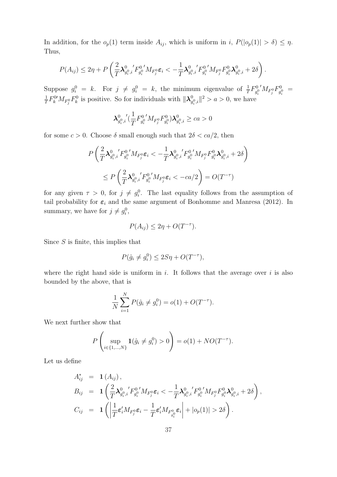In addition, for the  $o_p(1)$  term inside  $A_{ij}$ , which is uniform in i,  $P(|o_p(1)| > \delta) \leq \eta$ . Thus,

$$
P(A_{ij}) \leq 2\eta + P\left(\frac{2}{T}\boldsymbol{\lambda}_{g_i^0,i}^0{}'F_{g_i^0}^{0'}M_{F_j^0}\boldsymbol{\varepsilon}_i < -\frac{1}{T}\boldsymbol{\lambda}_{g_i^0,i}^0{}'F_{g_i^0}^{0'}M_{F_j^0}F_{g_i^0}^{0}\boldsymbol{\lambda}_{g_i^0,i}^0 + 2\delta\right).
$$

Suppose  $g_i^0 = k$ . For  $j \neq g_i^0 = k$ , the minimum eigenvalue of  $\frac{1}{T}F_{g_i^0}^0$  ${^{00}_{g_i^0}}'M_{F_j^0}F^0_{g_i^0}$  $g_i^0 =$ 1  $\frac{1}{T}F_k^0 M_{F_j^0} F_k^0$  is positive. So for individuals with  $\|\lambda_g^0\|$  $_{g_i^0,i}^0\|^2 > a > 0$ , we have

$$
{\boldsymbol{\lambda}^0_{g_i^0,i}}'(\frac{1}{T}F_{g_i^0}^{0'}M_{F_j^0}F_{g_i^0}^{0})\boldsymbol{\lambda}^0_{g_i^0,i}\geq ca>0
$$

for some  $c > 0$ . Choose  $\delta$  small enough such that  $2\delta < \frac{ca}{2}$ , then

$$
P\left(\frac{2}{T}\lambda_{g_i^0,i}^0 F_{g_i^0}^{0'} M_{F_j^0} \varepsilon_i < -\frac{1}{T} \lambda_{g_i^0,i}^0 F_{g_i^0}^{0'} M_{F_j^0} F_{g_i^0}^{0} \lambda_{g_i^0,i}^0 + 2\delta\right)
$$
  

$$
\leq P\left(\frac{2}{T}\lambda_{g_i^0,i}^0 F_{g_i^0}^{0'} M_{F_j^0} \varepsilon_i < -ca/2\right) = O(T^{-\tau})
$$

for any given  $\tau > 0$ , for  $j \neq g_i^0$ . The last equality follows from the assumption of tail probability for  $\varepsilon_i$  and the same argument of Bonhomme and Manresa (2012). In summary, we have for  $j \neq g_i^0$ ,

$$
P(A_{ij}) \le 2\eta + O(T^{-\tau}).
$$

Since  $S$  is finite, this implies that

$$
P(\hat{g}_i \neq g_i^0) \le 2S\eta + O(T^{-\tau}),
$$

where the right hand side is uniform in  $i$ . It follows that the average over  $i$  is also bounded by the above, that is

$$
\frac{1}{N} \sum_{i=1}^{N} P(\hat{g}_i \neq g_i^0) = o(1) + O(T^{-\tau}).
$$

We next further show that

$$
P\left(\sup_{i\in\{1,\dots,N\}}\mathbf{1}(\hat{g}_i\neq g_i^0)>0\right)=o(1)+NO(T^{-\tau}).
$$

Let us define

$$
A_{ij}^{*} = \mathbf{1}(A_{ij}),
$$
  
\n
$$
B_{ij} = \mathbf{1} \left( \frac{2}{T} \mathbf{\lambda}_{g_i^0, i}^0 F_{g_i^0}^{0'} M_{F_j^0} \varepsilon_i < -\frac{1}{T} \mathbf{\lambda}_{g_i^0, i}^0 F_{g_i^0}^{0'} M_{F_j^0} F_{g_i^0}^{0} \mathbf{\lambda}_{g_i^0, i}^0 + 2\delta \right),
$$
  
\n
$$
C_{ij} = \mathbf{1} \left( \left| \frac{1}{T} \varepsilon_i' M_{F_j^0} \varepsilon_i - \frac{1}{T} \varepsilon_i' M_{F_{g_i^0}^0} \varepsilon_i \right| + |o_p(1)| > 2\delta \right).
$$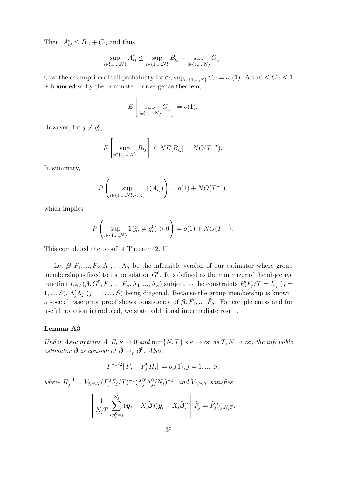Then,  $A_{ij}^* \leq B_{ij} + C_{ij}$  and thus

$$
\sup_{i \in \{1, \dots, N\}} A_{ij}^* \le \sup_{i \in \{1, \dots, N\}} B_{ij} + \sup_{i \in \{1, \dots, N\}} C_{ij}.
$$

Give the assumption of tail probability for  $\varepsilon_i$ ,  $\sup_{i\in\{1,\dots,N\}} C_{ij} = o_p(1)$ . Also  $0 \le C_{ij} \le 1$ is bounded so by the dominated convergence theorem,

$$
E\left[\sup_{i\in\{1,\ldots,N\}} C_{ij}\right] = o(1).
$$

However, for  $j \neq g_i^0$ ,

$$
E\left[\sup_{i\in\{1,\dots,N\}} B_{ij}\right] \leq NE[B_{ij}] = NO(T^{-\tau}).
$$

In summary,

$$
P\left(\sup_{i\in\{1,\dots,N\},j\neq g_i^0} 1(A_{ij})\right) = o(1) + NO(T^{-\tau}),
$$

which implies

$$
P\left(\sup_{i\in\{1,\dots,N\}}\mathbf{1}(\hat{g}_i\neq g_i^0)>0\right)=o(1)+NO(T^{-\tau}).
$$

This completed the proof of Theorem 2.  $\Box$ 

Let  $\tilde{\beta}, \tilde{F}_1, ..., \tilde{F}_S, \tilde{\Lambda}_1, ..., \tilde{\Lambda}_S$  be the infeasible version of our estimator where group membership is fixed to its population  $G^0$ . It is defined as the minimizer of the objective function  $L_{NT}(\beta, G^0, F_1, ..., F_S, \Lambda_1, ..., \Lambda_S)$  subject to the constraints  $F'_jF_j/T = I_{r_j}$  (j = 1,..., S),  $\Lambda'_j \Lambda_j$  (j = 1,..., S) being diagonal. Because the group membership is known, a special case prior proof shows consistency of  $\tilde{\beta}$ ,  $\tilde{F}_1, ..., \tilde{F}_S$ . For completeness and for useful notation introduced, we state additional intermediate result.

#### Lemma A3

Under Assumptions  $A-E$ ,  $\kappa \to 0$  and  $\min\{N,T\} \times \kappa \to \infty$  as  $T, N \to \infty$ , the infeasible estimator  $\tilde{\boldsymbol{\beta}}$  is consistent  $\tilde{\boldsymbol{\beta}} \rightarrow_{p} \boldsymbol{\beta}^{0}$ . Also,

$$
T^{-1/2} \|\tilde{F}_j - F_j^0 H_j\| = o_p(1), j = 1, ..., S,
$$

where  $H_j^{-1} = V_{j,N_jT} (F_j^0 \tilde{F}_j/T)^{-1} (\Lambda_j^{0'} \Lambda_j^0/N_j)^{-1}$ , and  $V_{j,N_jT}$  satisfies

$$
\left[\frac{1}{N_jT}\sum_{i,g_i^0=j}^{N_j}(\boldsymbol{y}_i-X_i\tilde{\boldsymbol{\beta}})(\boldsymbol{y}_i-X_i\tilde{\boldsymbol{\beta}})'\right]\tilde{F}_j=\tilde{F}_jV_{j,N_jT}.
$$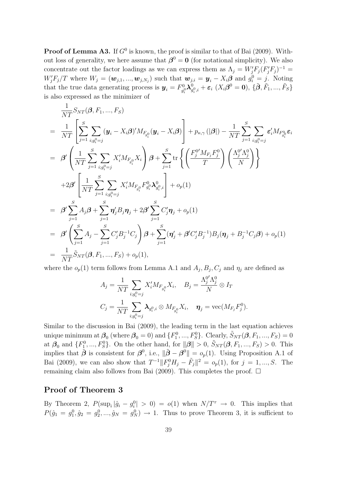**Proof of Lemma A3.** If  $G^0$  is known, the proof is similar to that of Bai (2009). Without loss of generality, we here assume that  $\beta^0 = 0$  (for notational simplicity). We also concentrate out the factor loadings as we can express them as  $\Lambda_j = W'_j F_j (F'_j F_j)^{-1} =$  $W'_jF_j/T$  where  $W_j = (\boldsymbol{w}_{j,1},...,\boldsymbol{w}_{j,N_j})$  such that  $\boldsymbol{w}_{j,i} = \boldsymbol{y}_i - X_i\boldsymbol{\beta}$  and  $g_i^0 = j$ . Noting that the true data generating process is  $y_i = F_{q_i}^0$  $g_i^0\boldsymbol\lambda_g^0$  $_{g_{i}^{0},i}^{0}+\boldsymbol{\varepsilon}_{i}\,\left( X_{i}\boldsymbol{\beta}^{0}=\mathbf{0}\right) ,\,\{\tilde{\boldsymbol{\beta}},\tilde{F}_{1},...,\tilde{F}_{S}\}$ is also expressed as the minimizer of

$$
\frac{1}{NT} S_{NT}(\beta, F_1, ..., F_S)
$$
\n
$$
= \frac{1}{NT} \left[ \sum_{j=1}^{S} \sum_{i,g_i^0 = j} (\mathbf{y}_i - X_i \beta)' M_{F_{g_i^0}}(\mathbf{y}_i - X_i \beta) \right] + p_{\kappa, \gamma}(|\beta|) - \frac{1}{NT} \sum_{j=1}^{S} \sum_{i,g_i^0 = j} \varepsilon'_i M_{F_{g_i^0}} \varepsilon_i
$$
\n
$$
= \beta' \left( \frac{1}{NT} \sum_{j=1}^{S} \sum_{i,g_i^0 = j} X'_i M_{F_{g_i^0}} X_i \right) \beta + \sum_{j=1}^{S} \text{tr} \left\{ \left( \frac{F_j^0' M_{F_j} F_j^0}{T} \right) \left( \frac{\Lambda_j^0' \Lambda_j^0}{N} \right) \right\}
$$
\n
$$
+ 2\beta' \left[ \frac{1}{NT} \sum_{j=1}^{S} \sum_{i,g_i^0 = j} X'_i M_{F_{g_i^0}} F_{g_i^0}^0 \lambda_{g_i^0, i}^0 \right] + o_p(1)
$$
\n
$$
= \beta' \sum_{j=1}^{S} A_j \beta + \sum_{j=1}^{S} \eta'_j B_j \eta_j + 2\beta' \sum_{j=1}^{S} C'_j \eta_j + o_p(1)
$$
\n
$$
= \beta' \left( \sum_{j=1}^{S} A_j - \sum_{j=1}^{S} C'_j B_j^{-1} C_j \right) \beta + \sum_{j=1}^{S} (\eta'_j + \beta' C'_j B_j^{-1}) B_j (\eta_j + B_j^{-1} C_j \beta) + o_p(1)
$$
\n
$$
= \frac{1}{NT} \tilde{S}_{NT}(\beta, F_1, ..., F_S) + o_p(1),
$$

where the  $o_p(1)$  term follows from Lemma A.1 and  $A_j$ ,  $B_j$ ,  $C_j$  and  $\eta_j$  are defined as

$$
A_j = \frac{1}{NT} \sum_{i:g_i^0 = j} X_i' M_{F_{g_i^0}} X_i, \quad B_j = \frac{\Lambda_j^{0'} \Lambda_j^0}{N} \otimes I_T
$$
  

$$
C_j = \frac{1}{NT} \sum_{i:g_i^0 = j} \lambda_{g_i^0, i} \otimes M_{F_{g_i^0}} X_i, \quad \eta_j = \text{vec}(M_{F_j} F_j^0).
$$

Similar to the discussion in Bai (2009), the leading term in the last equation achieves unique minimum at  $\beta_0$  (where  $\beta_0 = 0$ ) and  $\{F_1^0, ..., F_S^0\}$ . Clearly,  $\tilde{S}_{NT}(\beta, F_1, ..., F_S) = 0$ at  $\beta_0$  and  $\{F_1^0, ..., F_S^0\}$ . On the other hand, for  $\|\boldsymbol{\beta}\| > 0$ ,  $\tilde{S}_{NT}(\boldsymbol{\beta}, F_1, ..., F_S) > 0$ . This implies that  $\tilde{\boldsymbol{\beta}}$  is consistent for  $\boldsymbol{\beta}^0$ , i.e.,  $\|\tilde{\boldsymbol{\beta}} - \boldsymbol{\beta}^0\| = o_p(1)$ . Using Proposition A.1 of Bai (2009), we can also show that  $T^{-1} || F_j^0 H_j - \tilde{F}_j ||^2 = o_p(1)$ , for  $j = 1, ..., S$ . The remaining claim also follows from Bai (2009). This completes the proof.  $\Box$ 

#### Proof of Theorem 3

By Theorem 2,  $P(\sup_i |\hat{g}_i - g_i^0| > 0) = o(1)$  when  $N/T^{\tau} \to 0$ . This implies that  $P(\hat{g}_1 = g_1^0, \hat{g}_2 = g_2^0, ..., \hat{g}_N = g_N^0) \rightarrow 1$ . Thus to prove Theorem 3, it is sufficient to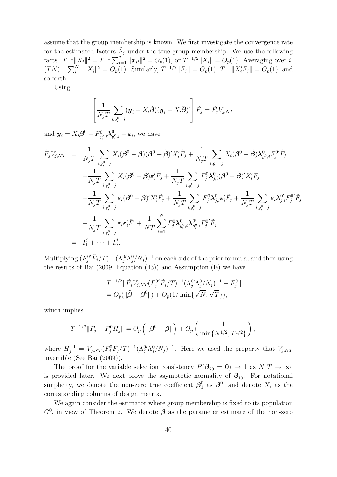assume that the group membership is known. We first investigate the convergence rate for the estimated factors  $\tilde{F}_j$  under the true group membership. We use the following facts.  $T^{-1} \|X_i\|^2 = T^{-1} \sum_{t=1}^T \|\boldsymbol{x}_{it}\|^2 = O_p(1)$ , or  $T^{-1/2} \|X_i\| = O_p(1)$ . Averaging over i,  $(TN)^{-1} \sum_{i=1}^{N} ||X_i||^2 = O_p(1)$ . Similarly,  $T^{-1/2} ||F_j|| = O_p(1)$ ,  $T^{-1} ||X_i'F_j|| = O_p(1)$ , and so forth.

Using

$$
\left[\frac{1}{N_jT}\sum_{i,g_i^0=j}(\boldsymbol{y}_i-X_i\tilde{\boldsymbol{\beta}})(\boldsymbol{y}_i-X_i\tilde{\boldsymbol{\beta}})'\right]\tilde{F}_j=\tilde{F}_jV_{j,NT}
$$

and  $y_i = X_i \beta^0 + F_{q_i^0}^0$  $g_{i}^{0},i\boldsymbol{\lambda}_{g}^{0}$  $g_{i,i}^0 + \varepsilon_i$ , we have

$$
\tilde{F}_{j}V_{j,NT} = \frac{1}{N_{j}T} \sum_{i,g_{i}^{0}=j} X_{i}(\boldsymbol{\beta}^{0} - \tilde{\boldsymbol{\beta}})(\boldsymbol{\beta}^{0} - \tilde{\boldsymbol{\beta}})'X_{i}^{\prime}\tilde{F}_{j} + \frac{1}{N_{j}T} \sum_{i,g_{i}^{0}=j} X_{i}(\boldsymbol{\beta}^{0} - \tilde{\boldsymbol{\beta}}) \lambda_{g_{i}^{0},i}^{0} F_{j}^{0^{\prime}} \tilde{F}_{j} \n+ \frac{1}{N_{j}T} \sum_{i,g_{i}^{0}=j} X_{i}(\boldsymbol{\beta}^{0} - \tilde{\boldsymbol{\beta}}) \varepsilon_{i}^{\prime}\tilde{F}_{j} + \frac{1}{N_{j}T} \sum_{i,g_{i}^{0}=j} F_{j}^{0} \lambda_{j,i}^{0}(\boldsymbol{\beta}^{0} - \tilde{\boldsymbol{\beta}})'X_{i}^{\prime}\tilde{F}_{j} \n+ \frac{1}{N_{j}T} \sum_{i,g_{i}^{0}=j} \varepsilon_{i}(\boldsymbol{\beta}^{0} - \tilde{\boldsymbol{\beta}})'X_{i}^{\prime}\tilde{F}_{j} + \frac{1}{N_{j}T} \sum_{i,g_{i}^{0}=j} F_{j}^{0} \lambda_{j,i}^{0} \varepsilon_{i}^{\prime}\tilde{F}_{j} + \frac{1}{N_{j}T} \sum_{i,g_{i}^{0}=j} \varepsilon_{i} \lambda_{j,i}^{0^{\prime}} F_{j}^{0^{\prime}} \tilde{F}_{j} \n+ \frac{1}{N_{j}T} \sum_{i,g_{i}^{0}=j} \varepsilon_{i} \varepsilon_{i}^{\prime}\tilde{F}_{j} + \frac{1}{NT} \sum_{i=1}^{N} F_{j}^{0} \lambda_{g_{i},i}^{0} \lambda_{g_{i},i}^{0^{\prime}} F_{j}^{0^{\prime}} \tilde{F}_{j} \n= I_{1}^{j} + \cdots + I_{9}^{j}.
$$

Multiplying  $(F_j^0)$  $(\tilde{F}_j/T)^{-1} (\Lambda_j^0 \Lambda_j^0/N_j)^{-1}$  on each side of the prior formula, and then using the results of Bai (2009, Equation (43)) and Assumption (E) we have

$$
T^{-1/2} \|\tilde{F}_j V_{j,NT} (F_j^{0'} \tilde{F}_j / T)^{-1} (\Lambda_j^{0'} \Lambda_j^{0} / N_j)^{-1} - F_j^{0} \|
$$
  
=  $O_p(\|\tilde{\boldsymbol{\beta}} - \boldsymbol{\beta}^0\|) + O_p(1 / \min{\{\sqrt{N}, \sqrt{T}\}}),$ 

which implies

$$
T^{-1/2} \|\tilde{F}_j - F_j^0 H_j\| = O_p\left(\|\boldsymbol{\beta}^0 - \tilde{\boldsymbol{\beta}}\|\right) + O_p\left(\frac{1}{\min\{N^{1/2}, T^{1/2}\}}\right),
$$

where  $H_j^{-1} = V_{j,NT}(F_j^0 \tilde{F}_j/T)^{-1} (\Lambda_j^0 \Lambda_j^0/N_j)^{-1}$ . Here we used the property that  $V_{j,NT}$ invertible (See Bai (2009)).

The proof for the variable selection consistency  $P(\hat{\boldsymbol{\beta}}_{20} = \mathbf{0}) \rightarrow 1$  as  $N, T \rightarrow \infty$ , is provided later. We next prove the asymptotic normality of  $\hat{\boldsymbol{\beta}}_{10}$ . For notational simplicity, we denote the non-zero true coefficient  $\beta_1^0$  $_1^0$  as  $\beta^0$ , and denote  $X_i$  as the corresponding columns of design matrix.

We again consider the estimator where group membership is fixed to its population  $G^0$ , in view of Theorem 2. We denote  $\tilde{\boldsymbol{\beta}}$  as the parameter estimate of the non-zero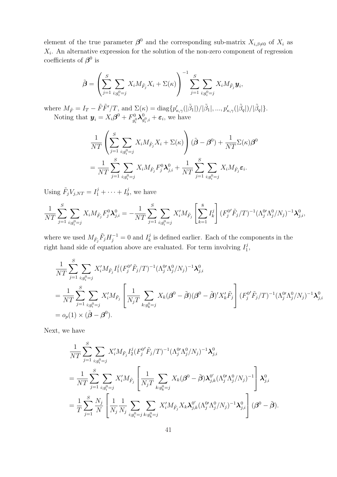element of the true parameter  $\beta^0$  and the corresponding sub-matrix  $X_{i,\beta\neq 0}$  of  $X_i$  as  $X_i$ . An alternative expression for the solution of the non-zero component of regression coefficients of  $\beta^0$  is

$$
\tilde{\boldsymbol{\beta}} = \left(\sum_{j=1}^S \sum_{i:g_i^0 = j} X_i M_{\tilde{F}_j} X_i + \Sigma(\kappa)\right)^{-1} \sum_{j=1}^S \sum_{i:g_i^0 = j} X_i M_{\tilde{F}_j} \boldsymbol{y}_i,
$$

where  $M_{\tilde{F}} = I_T - \tilde{F}\tilde{F}'/T$ , and  $\Sigma(\kappa) = \text{diag}\{p'_{\kappa,\gamma}(|\tilde{\beta}_1|)/|\tilde{\beta}_1|, ..., p'_{\kappa,\gamma}(|\tilde{\beta}_q|)/|\tilde{\beta}_q|\}.$ Noting that  $y_i = X_i \beta^0 + F_{q_i}^0$  $g_i^0\boldsymbol\lambda_g^0$  $g_{i,i}^0 + \varepsilon_i$ , we have

$$
\frac{1}{NT} \left( \sum_{j=1}^{S} \sum_{i:g_i^0 = j} X_i M_{\tilde{F}_j} X_i + \Sigma(\kappa) \right) (\tilde{\boldsymbol{\beta}} - \boldsymbol{\beta}^0) + \frac{1}{NT} \Sigma(\kappa) \boldsymbol{\beta}^0
$$

$$
= \frac{1}{NT} \sum_{j=1}^{S} \sum_{i:g_i^0 = j} X_i M_{\tilde{F}_j} F_j^0 \lambda_{j,i}^0 + \frac{1}{NT} \sum_{j=1}^{S} \sum_{i:g_i^0 = j} X_i M_{\tilde{F}_j} \varepsilon_i.
$$

Using  $\tilde{F}_j V_{j,NT} = I_1^j + \cdots + I_9^j$  $_9^j$ , we have

$$
\frac{1}{NT} \sum_{j=1}^{S} \sum_{i,g_i^0=j} X_i M_{\tilde{F}_j} F_j^0 \lambda_{j,i}^0 = -\frac{1}{NT} \sum_{j=1}^{S} \sum_{i,g_i^0=j} X_i' M_{\tilde{F}_j} \left[ \sum_{k=1}^{8} I_k^j \right] (F_j^0' \tilde{F}_j / T)^{-1} (\Lambda_j^0 \Lambda_j^0 / N_j)^{-1} \lambda_{j,i}^0,
$$

where we used  $M_{\tilde{F}_j} \tilde{F}_j H_j^{-1} = 0$  and  $I_k^j$  $\frac{d}{dx}$  is defined earlier. Each of the components in the right hand side of equation above are evaluated. For term involving  $I_1^j$  $\frac{j}{1}$ 

$$
\frac{1}{NT} \sum_{j=1}^{S} \sum_{i:g_i^0 = j} X_i' M_{\tilde{F}_j} I_1^j (F_j^{0'} \tilde{F}_j / T)^{-1} (\Lambda_j^{0'} \Lambda_j^{0} / N_j)^{-1} \lambda_{j,i}^0
$$
\n
$$
= \frac{1}{NT} \sum_{j=1}^{S} \sum_{i:g_i^0 = j} X_i' M_{\tilde{F}_j} \left[ \frac{1}{N_j T} \sum_{k:g_k^0 = j} X_k (\beta^0 - \tilde{\beta}) (\beta^0 - \tilde{\beta})' X_k' \tilde{F}_j \right] (F_j^{0'} \tilde{F}_j / T)^{-1} (\Lambda_j^{0'} \Lambda_j^{0} / N_j)^{-1} \lambda_{j,i}^0
$$
\n
$$
= o_p(1) \times (\tilde{\beta} - \beta^0).
$$

Next, we have

$$
\frac{1}{NT} \sum_{j=1}^{S} \sum_{i; g_i^0 = j} X_i' M_{\tilde{F}_j} I_2^j (F_j^0' \tilde{F}_j / T)^{-1} (\Lambda_j^0' \Lambda_j^0 / N_j)^{-1} \lambda_{j,i}^0
$$
\n
$$
= \frac{1}{NT} \sum_{j=1}^{S} \sum_{i; g_i^0 = j} X_i' M_{\tilde{F}_j} \left[ \frac{1}{N_j T} \sum_{k: g_k^0 = j} X_k (\beta^0 - \tilde{\beta}) \lambda_{j,k}^0 (\Lambda_j^0' \Lambda_j^0 / N_j)^{-1} \right] \lambda_{j,i}^0
$$
\n
$$
= \frac{1}{T} \sum_{j=1}^{S} \frac{N_j}{N} \left[ \frac{1}{N_j} \frac{1}{N_j} \sum_{i; g_i^0 = j} \sum_{k: g_k^0 = j} X_i' M_{\tilde{F}_j} X_k \lambda_{j,k}^0 (\Lambda_j^0 \Lambda_j^0 / N_j)^{-1} \lambda_{j,i}^0 \right] (\beta^0 - \tilde{\beta}).
$$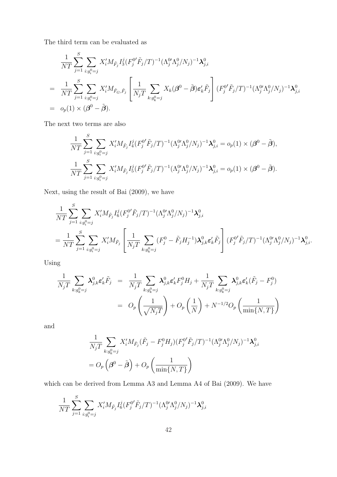The third term can be evaluated as

$$
\frac{1}{NT} \sum_{j=1}^{S} \sum_{i:g_i^0=j} X_i' M_{\tilde{F}_j} I_3^j (F_j^{0'} \tilde{F}_j/T)^{-1} (\Lambda_j^{0'} \Lambda_j^0 / N_j)^{-1} \lambda_{j,i}^0
$$
\n
$$
= \frac{1}{NT} \sum_{j=1}^{S} \sum_{i:g_i^0=j} X_i' M_{\tilde{F}_G, \tilde{F}_j} \left[ \frac{1}{N_j T} \sum_{k:g_k^0=j} X_k (\boldsymbol{\beta}^0 - \tilde{\boldsymbol{\beta}}) \epsilon_k' \tilde{F}_j \right] (F_j^{0'} \tilde{F}_j/T)^{-1} (\Lambda_j^{0'} \Lambda_j^0 / N_j)^{-1} \lambda_{j,i}^0
$$
\n
$$
= o_p(1) \times (\boldsymbol{\beta}^0 - \tilde{\boldsymbol{\beta}}).
$$

The next two terms are also

$$
\frac{1}{NT} \sum_{j=1}^{S} \sum_{i:g_i^0 = j} X_i' M_{\tilde{F}_j} I_4^j (F_j^{0'} \tilde{F}_j/T)^{-1} (\Lambda_j^{0'} \Lambda_j^0 / N_j)^{-1} \lambda_{j,i}^0 = o_p(1) \times (\beta^0 - \tilde{\beta}),
$$
  

$$
\frac{1}{NT} \sum_{j=1}^{S} \sum_{i:g_i^0 = j} X_i' M_{\tilde{F}_j} I_5^j (F_j^{0'} \tilde{F}_j/T)^{-1} (\Lambda_j^{0'} \Lambda_j^0 / N_j)^{-1} \lambda_{j,i}^0 = o_p(1) \times (\beta^0 - \tilde{\beta}).
$$

Next, using the result of Bai (2009), we have

$$
\frac{1}{NT} \sum_{j=1}^{S} \sum_{i:g_i^0=j} X_i' M_{\tilde{F}_j} I_6^j (F_j^{0'} \tilde{F}_j/T)^{-1} (\Lambda_j^{0'} \Lambda_j^0 / N_j)^{-1} \lambda_{j,i}^0
$$
\n
$$
= \frac{1}{NT} \sum_{j=1}^{S} \sum_{i:g_i^0=j} X_i' M_{\tilde{F}_j} \left[ \frac{1}{N_j T} \sum_{k:g_k^0=j} (F_j^0 - \tilde{F}_j H_j^{-1}) \lambda_{j,k}^0 \epsilon_k' \tilde{F}_j \right] (F_j^{0'} \tilde{F}_j/T)^{-1} (\Lambda_j^{0'} \Lambda_j^0 / N_j)^{-1} \lambda_{j,i}^0.
$$

Using

$$
\frac{1}{N_j T} \sum_{k:g_k^0=j} \lambda_{j,k}^0 \varepsilon'_k \tilde{F}_j = \frac{1}{N_j T} \sum_{k:g_k^0=j} \lambda_{j,k}^0 \varepsilon'_k F_j^0 H_j + \frac{1}{N_j T} \sum_{k:g_k^0=j} \lambda_{j,k}^0 \varepsilon'_k (\tilde{F}_j - F_j^0)
$$
\n
$$
= O_p\left(\frac{1}{\sqrt{N_j T}}\right) + O_p\left(\frac{1}{N}\right) + N^{-1/2} O_p\left(\frac{1}{\min\{N,T\}}\right)
$$

and

$$
\frac{1}{N_j T} \sum_{k:g_k^0 = j} X_i' M_{\tilde{F}_j} (\tilde{F}_j - F_j^0 H_j) (F_j^{0'} \tilde{F}_j / T)^{-1} (\Lambda_j^{0'} \Lambda_j^0 / N_j)^{-1} \lambda_{j,i}^0
$$
  
=  $O_p \left( \beta^0 - \tilde{\beta} \right) + O_p \left( \frac{1}{\min\{N, T\}} \right)$ 

which can be derived from Lemma A3 and Lemma A4 of Bai (2009). We have

$$
\frac{1}{NT} \sum_{j=1}^{S} \sum_{i:g_i^0=j} X_i' M_{\tilde{F}_j} I_6^j (F_j^{0'} \tilde{F}_j/T)^{-1} (\Lambda_j^{0'} \Lambda_j^0 / N_j)^{-1} \lambda_{j,i}^0
$$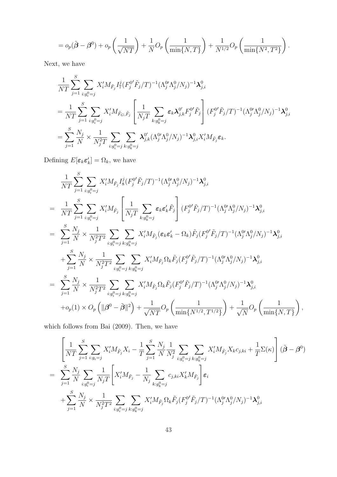$$
=o_p(\tilde{\boldsymbol{\beta}}-\boldsymbol{\beta}^0)+o_p\left(\frac{1}{\sqrt{NT}}\right)+\frac{1}{N}O_p\left(\frac{1}{\min\{N,T\}}\right)+\frac{1}{N^{1/2}}O_p\left(\frac{1}{\min\{N^2,T^2\}}\right).
$$

Next, we have

$$
\begin{split}\frac{1}{NT}\sum_{j=1}^{S}\sum_{i:g_i^0=j}X_i'M_{\tilde{F}_j}I_{7}^j (F_j^0'\tilde{F}_j/T)^{-1}(\Lambda_j^0'\Lambda_j^0/N_j)^{-1}\lambda_{j,i}^0\\&=\frac{1}{NT}\sum_{j=1}^{S}\sum_{i:g_i^0=j}X_i'M_{\tilde{F}_G,\tilde{F}_j}\left[\frac{1}{N_jT}\sum_{k:g_k^0=j}\varepsilon_k\lambda_{j,k}^{0'}F_j^0'\tilde{F}_j\right](F_j^0'\tilde{F}_j/T)^{-1}(\Lambda_j^0'\Lambda_j^0/N_j)^{-1}\lambda_{j,i}^0\\&=\sum_{j=1}^{S}\frac{N_j}{N}\times\frac{1}{N_j^2T}\sum_{i:g_i^0=j}\sum_{k:g_k^0=j} \lambda_{j,k}^{0'}(\Lambda_j^0'\Lambda_j^0/N_j)^{-1}\lambda_{j,i}^0X_i'M_{\tilde{F}_j}\varepsilon_k.\end{split}
$$

Defining  $E[\epsilon_k \epsilon'_k] = \Omega_k$ , we have

$$
\frac{1}{NT} \sum_{j=1}^{S} \sum_{i:g_i^0=j} X_i' M_{\tilde{F}_j} I_8^j (F_j^{0'} \tilde{F}_j/T)^{-1} (\Lambda_j^{0'} \Lambda_j^{0} / N_j)^{-1} \lambda_{j,i}^0
$$
\n
$$
= \frac{1}{NT} \sum_{j=1}^{S} \sum_{i:g_i^0=j} X_i' M_{\tilde{F}_j} \left[ \frac{1}{N_j T} \sum_{k:g_k^0=j} \varepsilon_k \varepsilon'_k \tilde{F}_j \right] (F_j^{0'} \tilde{F}_j/T)^{-1} (\Lambda_j^{0'} \Lambda_j^{0} / N_j)^{-1} \lambda_{j,i}^0
$$
\n
$$
= \sum_{j=1}^{S} \frac{N_j}{N} \times \frac{1}{N_j^2 T^2} \sum_{i:g_i^0=j} \sum_{k:g_k^0=j} X_i' M_{\tilde{F}_j} (\varepsilon_k \varepsilon'_k - \Omega_k) \tilde{F}_j (F_j^{0'} \tilde{F}_j/T)^{-1} (\Lambda_j^{0'} \Lambda_j^{0} / N_j)^{-1} \lambda_{j,i}^0
$$
\n
$$
+ \sum_{j=1}^{S} \frac{N_j}{N} \times \frac{1}{N_j^2 T^2} \sum_{i:g_i^0=j} \sum_{k:g_k^0=j} X_i' M_{\tilde{F}_j} \Omega_k \tilde{F}_j (F_j^{0'} \tilde{F}_j/T)^{-1} (\Lambda_j^{0'} \Lambda_j^{0} / N_j)^{-1} \lambda_{j,i}^0
$$
\n
$$
= \sum_{j=1}^{S} \frac{N_j}{N} \times \frac{1}{N_j^2 T^2} \sum_{i:g_i^0=j} \sum_{k:g_k^0=j} X_i' M_{\tilde{F}_j} \Omega_k \tilde{F}_j (F_j^{0'} \tilde{F}_j/T)^{-1} (\Lambda_j^{0'} \Lambda_j^{0} / N_j)^{-1} \lambda_{j,i}^0
$$
\n
$$
+ o_p(1) \times O_p (\|\beta^0 - \tilde{\beta}\|^2) + \frac{1}{\sqrt{NT}} O_p \left( \frac{1}{\min\{N^{1/2}, T^{1/2}\}} \right) + \frac{1}{\sqrt{N}} O_p \left( \frac{1}{\min\{N, T\}} \right),
$$

which follows from Bai (2009). Then, we have

$$
\begin{split}\n&\left[\frac{1}{NT}\sum_{j=1}^{S}\sum_{i:g_i=j}X'_{i}M_{\tilde{F}_{j}}X_{i}-\frac{1}{T}\sum_{j=1}^{S}\frac{N_{j}}{N}\frac{1}{N_{j}^{2}}\sum_{i:g_{i}^{0}=j}\sum_{k:g_{k}^{0}=j}X'_{i}M_{\tilde{F}_{j}}X_{k}c_{j,ki}+\frac{1}{T}\Sigma(\kappa)\right](\tilde{\boldsymbol{\beta}}-\boldsymbol{\beta}^{0}) \\
&=\sum_{j=1}^{S}\frac{N_{j}}{N}\sum_{i:g_{i}^{0}=j}\frac{1}{N_{j}T}\left[X'_{i}M_{\tilde{F}_{j}}-\frac{1}{N_{j}}\sum_{k:g_{k}^{0}=j}c_{j,ki}X'_{k}M_{\tilde{F}_{j}}\right]\varepsilon_{i} \\
&+\sum_{j=1}^{S}\frac{N_{j}}{N}\times\frac{1}{N_{j}^{2}T^{2}}\sum_{i:g_{i}^{0}=j}\sum_{k:g_{k}^{0}=j}X'_{i}M_{\tilde{F}_{j}}\Omega_{k}\tilde{F}_{j}(F_{j}^{0'}\tilde{F}_{j}/T)^{-1}(\Lambda_{j}^{0}\Lambda_{j}^{0}/N_{j})^{-1}\lambda_{j,i}^{0}\n\end{split}
$$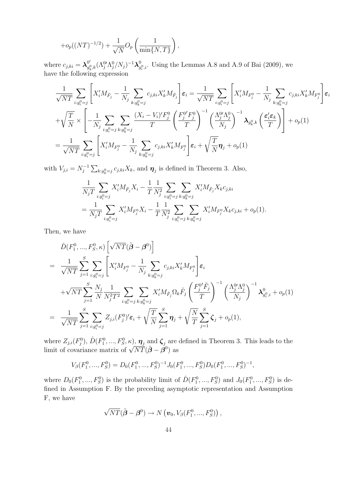$$
+o_p((NT)^{-1/2})+\frac{1}{\sqrt{N}}O_p\left(\frac{1}{\min\{N,T\}}\right),\,
$$

where  $c_{j,ki} = \lambda_{q_i}^{0'}$  $_{g_k^0,k}^{0'}(\Lambda_j^{0'}\Lambda_j^{0}/N_j)^{-1}\boldsymbol\lambda_g^{0}$  $g_{i}^{0},i$ . Using the Lemmas A.8 and A.9 of Bai (2009), we have the following expression

$$
\frac{1}{\sqrt{NT}}\sum_{i:g_i^0=j}\left[X_i'M_{\tilde{F}_j} - \frac{1}{N_j}\sum_{k:g_k^0=j}c_{j,ki}X_k'M_{\tilde{F}_j}\right]\varepsilon_i = \frac{1}{\sqrt{NT}}\sum_{i:g_i^0=j}\left[X_i'M_{F_j^0} - \frac{1}{N_j}\sum_{k:g_k^0=j}c_{j,ki}X_k'M_{F_j^0}\right]\varepsilon_i
$$
\n
$$
+\sqrt{\frac{T}{N}}\times\left[-\frac{1}{N_j}\sum_{i:g_i^0=j}\sum_{k:g_k^0=j}\frac{(X_i-V_i)'F_j^0}{T}\left(\frac{F_j^0'F_j^0}{T}\right)^{-1}\left(\frac{\Lambda_j^0'\Lambda_j^0}{N_j}\right)^{-1}\lambda_{g_k^0,k}\left(\frac{\varepsilon_i'\varepsilon_k}{T}\right)\right] + o_p(1)
$$
\n
$$
=\frac{1}{\sqrt{NT}}\sum_{i:g_i^0=j}\left[X_i'M_{F_j^0} - \frac{1}{N_j}\sum_{k:g_k^0=j}c_{j,ki}X_k'M_{F_j^0}\right]\varepsilon_i + \sqrt{\frac{T}{N}}\pmb{\eta}_j + o_p(1)
$$

with  $V_{j,i} = N_i^{-1}$  $\mathcal{F}_j^{-1} \sum_{k:g_k^0=j} c_{j,ki} X_k$ , and  $\boldsymbol{\eta}_j$  is defined in Theorem 3. Also,

$$
\frac{1}{N_j T} \sum_{i:g_i^0=j} X_i' M_{\tilde{F}_j} X_i - \frac{1}{T} \frac{1}{N_j^2} \sum_{i:g_i^0=j} \sum_{k:g_k^0=j} X_i' M_{\tilde{F}_j} X_k c_{j,ki}
$$
\n
$$
= \frac{1}{N_j T} \sum_{i:g_i^0=j} X_i' M_{F_j^0} X_i - \frac{1}{T} \frac{1}{N_j^2} \sum_{i:g_i^0=j} \sum_{k:g_k^0=j} X_i' M_{F_j^0} X_k c_{j,ki} + o_p(1).
$$

Then, we have

$$
\hat{D}(F_{1}^{0},...,F_{S}^{0},\kappa)\left[\sqrt{NT}(\tilde{\beta}-\beta^{0})\right]
$$
\n
$$
= \frac{1}{\sqrt{NT}}\sum_{j=1}^{S}\sum_{i:g_{i}^{0}=j}\left[X_{i}'M_{F_{j}^{0}}-\frac{1}{N_{j}}\sum_{k:g_{k}^{0}=j}c_{j,ki}X_{k}'M_{F_{j}^{0}}\right]\varepsilon_{i}
$$
\n
$$
+\sqrt{NT}\sum_{j=1}^{S}\frac{N_{j}}{N}\frac{1}{N_{j}^{2}T^{2}}\sum_{i:g_{i}^{0}=j}\sum_{k:g_{k}^{0}=j}X_{i}'M_{\tilde{F}_{j}}\Omega_{k}\tilde{F}_{j}\left(\frac{F_{j}^{0'}\tilde{F}_{j}}{T}\right)^{-1}\left(\frac{\Lambda_{j}^{0}\Lambda_{j}^{0}}{N_{j}}\right)^{-1}\lambda_{g_{i}^{0},i}^{0}+o_{p}(1)
$$
\n
$$
= \frac{1}{\sqrt{NT}}\sum_{j=1}^{S}\sum_{i:g_{i}^{0}=j}Z_{j,i}(F_{j}^{0})'\varepsilon_{i}+\sqrt{\frac{T}{N}}\sum_{j=1}^{S}\eta_{j}+\sqrt{\frac{N}{T}}\sum_{j=1}^{S}\zeta_{j}+o_{p}(1),
$$

where  $Z_{j,i}(F_j^0)$ ,  $\hat{D}(F_1^0, ..., F_S^0, \kappa)$ ,  $\eta_j$  and  $\zeta_j$  are defined in Theorem 3. This leads to the limit of covariance matrix of  $\sqrt{NT}(\tilde{\boldsymbol{\beta}} - \boldsymbol{\beta}^0)$  as

$$
V_{\beta}(F_1^0, ..., F_S^0) = D_0(F_1^0, ..., F_S^0)^{-1} J_0(F_1^0, ..., F_S^0) D_0(F_1^0, ..., F_S^0)^{-1},
$$

where  $D_0(F_1^0, ..., F_S^0)$  is the probability limit of  $\hat{D}(F_1^0, ..., F_S^0)$  and  $J_0(F_1^0, ..., F_S^0)$  is defined in Assumption F. By the preceding asymptotic representation and Assumption F, we have

$$
\sqrt{NT}(\tilde{\boldsymbol{\beta}} - \boldsymbol{\beta}^0) \rightarrow N(\boldsymbol{v}_0, V_{\beta}(F_1^0, ..., F_S^0)),
$$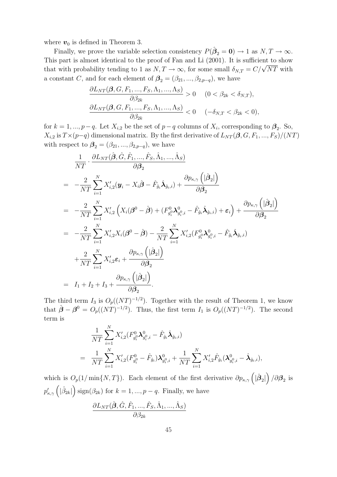where  $v_0$  is defined in Theorem 3.

Finally, we prove the variable selection consistency  $P(\hat{\beta}_2 = 0) \to 1$  as  $N, T \to \infty$ . This part is almost identical to the proof of Fan and Li (2001). It is sufficient to show that with probability tending to 1 as  $N, T \to \infty$ , for some small  $\delta_{N,T} = C/\sqrt{NT}$  with a constant C, and for each element of  $\beta_2 = (\beta_{21}, ..., \beta_{2,p-q})$ , we have

$$
\frac{\partial L_{NT}(\beta, G, F_1, \dots, F_S, \Lambda_1, \dots, \Lambda_S)}{\partial \beta_{2k}} > 0 \quad (0 < \beta_{2k} < \delta_{N,T}),
$$
\n
$$
\frac{\partial L_{NT}(\beta, G, F_1, \dots, F_S, \Lambda_1, \dots, \Lambda_S)}{\partial \beta_{2k}} < 0 \quad (-\delta_{N,T} < \beta_{2k} < 0),
$$

for  $k = 1, ..., p-q$ . Let  $X_{i,2}$  be the set of  $p-q$  columns of  $X_i$ , corresponding to  $\beta_2$ . So,  $X_{i,2}$  is  $T\times(p-q)$  dimensional matrix. By the first derivative of  $L_{NT}(\beta, G, F_1, ..., F_S)/(NT)$ with respect to  $\beta_2 = (\beta_{21}, ..., \beta_{2,p-q})$ , we have

$$
\frac{1}{NT} \cdot \frac{\partial L_{NT}(\hat{\boldsymbol{\beta}}, \hat{G}, \hat{F}_1, ..., \hat{F}_S, \hat{\Lambda}_1, ..., \hat{\Lambda}_S)}{\partial \beta_2}
$$
\n
$$
= -\frac{2}{NT} \sum_{i=1}^N X'_{i,2}(\mathbf{y}_i - X_i \hat{\boldsymbol{\beta}} - \hat{F}_{\hat{g}_i} \hat{\boldsymbol{\lambda}}_{\hat{g}_i, i}) + \frac{\partial p_{\kappa, \gamma}([\hat{\boldsymbol{\beta}}_2])}{\partial \beta_2}
$$
\n
$$
= -\frac{2}{NT} \sum_{i=1}^N X'_{i,2} (X_i(\boldsymbol{\beta}^0 - \hat{\boldsymbol{\beta}}) + (F_{g_i^0}^0 \boldsymbol{\lambda}_{g_i^0, i}^0 - \hat{F}_{\hat{g}_i} \hat{\boldsymbol{\lambda}}_{\hat{g}_i, i}) + \varepsilon_i) + \frac{\partial p_{\kappa, \gamma}([\hat{\boldsymbol{\beta}}_2])}{\partial \beta_2}
$$
\n
$$
= -\frac{2}{NT} \sum_{i=1}^N X'_{i,2} X_i(\boldsymbol{\beta}^0 - \hat{\boldsymbol{\beta}}) - \frac{2}{NT} \sum_{i=1}^N X'_{i,2} (F_{g_i^0}^0 \boldsymbol{\lambda}_{g_i^0, i}^0 - \hat{F}_{\hat{g}_i} \hat{\boldsymbol{\lambda}}_{\hat{g}_i, i})
$$
\n
$$
+ \frac{2}{NT} \sum_{i=1}^N X'_{i,2} \varepsilon_i + \frac{\partial p_{\kappa, \gamma}([\hat{\boldsymbol{\beta}}_2])}{\partial \beta_2}
$$
\n
$$
= I_1 + I_2 + I_3 + \frac{\partial p_{\kappa, \gamma}([\hat{\boldsymbol{\beta}}_2])}{\partial \beta_2}.
$$

The third term  $I_3$  is  $O_p((NT)^{-1/2})$ . Together with the result of Theorem 1, we know that  $\hat{\boldsymbol{\beta}} - \boldsymbol{\beta}^0 = O_p((NT)^{-1/2})$ . Thus, the first term  $I_1$  is  $O_p((NT)^{-1/2})$ . The second term is

$$
\frac{1}{NT} \sum_{i=1}^{N} X'_{i,2} (F_{g_i^0}^0 \mathbf{\lambda}_{g_i^0,i}^0 - \hat{F}_{\hat{g}_i} \hat{\mathbf{\lambda}}_{\hat{g}_i,i})
$$
\n
$$
= \frac{1}{NT} \sum_{i=1}^{N} X'_{i,2} (F_{g_i^0}^0 - \hat{F}_{\hat{g}_i}) \mathbf{\lambda}_{g_i^0,i}^0 + \frac{1}{NT} \sum_{i=1}^{N} X'_{i,2} \hat{F}_{\hat{g}_i} (\mathbf{\lambda}_{g_i^0,i}^0 - \hat{\mathbf{\lambda}}_{\hat{g}_i,i}),
$$

which is  $O_p(1/\min\{N,T\})$ . Each element of the first derivative  $\partial p_{\kappa,\gamma}(\hat{B}_2|)$  $\big)$  / $\partial \beta_2$  is  $p'_{\kappa,\gamma} \left( |\hat \beta_{2k}| \right.$  $\binom{\text{sign}(\beta_{2k})}{k}$  for  $k = 1, ..., p - q$ . Finally, we have

$$
\frac{\partial L_{NT}(\hat{\boldsymbol{\beta}},\hat{G},\hat{F}_1,...,\hat{F}_S,\hat{\Lambda}_1,...,\hat{\Lambda}_S)}{\partial \beta_{2k}}
$$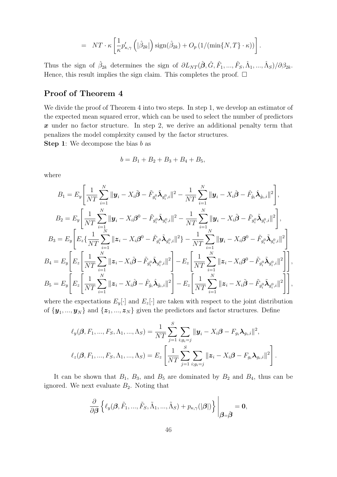$$
= NT \cdot \kappa \left[ \frac{1}{\kappa} p'_{\kappa,\gamma} \left( |\hat{\beta}_{2k}| \right) \text{sign}(\hat{\beta}_{2k}) + O_p(1/(\min\{N,T\} \cdot \kappa)) \right].
$$

Thus the sign of  $\hat{\beta}_{2k}$  determines the sign of  $\partial L_{NT}(\hat{\boldsymbol{\beta}}, \hat{G}, \hat{F}_1, ..., \hat{F}_S, \hat{\Lambda}_1, ..., \hat{\Lambda}_S)/\partial \beta_{2k}$ . Hence, this result implies the sign claim. This completes the proof.  $\Box$ 

### Proof of Theorem 4

We divide the proof of Theorem 4 into two steps. In step 1, we develop an estimator of the expected mean squared error, which can be used to select the number of predictors x under no factor structure. In step 2, we derive an additional penalty term that penalizes the model complexity caused by the factor structures.

**Step 1:** We decompose the bias  $b$  as

$$
b = B_1 + B_2 + B_3 + B_4 + B_5,
$$

where

$$
B_{1} = E_{y} \left[ \frac{1}{NT} \sum_{i=1}^{N} \|\mathbf{y}_{i} - X_{i} \tilde{\boldsymbol{\beta}} - \tilde{F}_{g_{i}^{0}} \tilde{\lambda}_{g_{i}^{0},i} \|^{2} - \frac{1}{NT} \sum_{i=1}^{N} \|\mathbf{y}_{i} - X_{i} \hat{\boldsymbol{\beta}} - \hat{F}_{\hat{g}_{i}} \hat{\lambda}_{\hat{g}_{i},i} \|^{2} \right],
$$
  
\n
$$
B_{2} = E_{y} \left[ \frac{1}{NT} \sum_{i=1}^{N} \|\mathbf{y}_{i} - X_{i} \boldsymbol{\beta}^{0} - \tilde{F}_{g_{i}^{0}} \tilde{\lambda}_{g_{i}^{0},i} \|^{2} - \frac{1}{NT} \sum_{i=1}^{N} \|\mathbf{y}_{i} - X_{i} \tilde{\boldsymbol{\beta}} - \tilde{F}_{g_{i}^{0}} \tilde{\lambda}_{g_{i}^{0},i} \|^{2} \right],
$$
  
\n
$$
B_{3} = E_{y} \left[ E_{z} \{ \frac{1}{NT} \sum_{i=1}^{N} \|\mathbf{z}_{i} - X_{i} \boldsymbol{\beta}^{0} - \tilde{F}_{g_{i}^{0}} \tilde{\lambda}_{g_{i}^{0},i} \|^{2} \} - \frac{1}{NT} \sum_{i=1}^{N} \|\mathbf{y}_{i} - X_{i} \boldsymbol{\beta}^{0} - \tilde{F}_{g_{i}^{0}} \tilde{\lambda}_{g_{i}^{0},i} \|^{2} \right]
$$
  
\n
$$
B_{4} = E_{y} \left[ E_{z} \left[ \frac{1}{NT} \sum_{i=1}^{N} \|\mathbf{z}_{i} - X_{i} \tilde{\boldsymbol{\beta}} - \tilde{F}_{g_{i}^{0}} \tilde{\lambda}_{g_{i}^{0},i} \|^{2} \right] - E_{z} \left[ \frac{1}{NT} \sum_{i=1}^{N} \|\mathbf{z}_{i} - X_{i} \boldsymbol{\beta}^{0} - \tilde{F}_{g_{i}^{0}} \tilde{\lambda}_{g_{i}^{0},i} \|^{2} \right] \right],
$$
  
\n
$$
B_{5} = E_{y} \left[ E_{z} \left[ \frac{1}{NT} \sum_{i=1}^{N} \|\math
$$

where the expectations  $E_y[\cdot]$  and  $E_z[\cdot]$  are taken with respect to the joint distribution of  $\{\boldsymbol{y}_1, ..., \boldsymbol{y}_N\}$  and  $\{\boldsymbol{z}_1, ..., \boldsymbol{z}_N\}$  given the predictors and factor structures. Define

$$
\ell_y(\boldsymbol{\beta}, F_1, ..., F_S, \Lambda_1, ..., \Lambda_S) = \frac{1}{NT} \sum_{j=1}^S \sum_{i:g_i=j} \|\boldsymbol{y}_i - X_i \boldsymbol{\beta} - F_{g_i} \boldsymbol{\lambda}_{g_i,i}\|^2,
$$
  

$$
\ell_z(\boldsymbol{\beta}, F_1, ..., F_S, \Lambda_1, ..., \Lambda_S) = E_z \left[ \frac{1}{NT} \sum_{j=1}^S \sum_{i:g_i=j} \|\boldsymbol{z}_i - X_i \boldsymbol{\beta} - F_{g_i} \boldsymbol{\lambda}_{g_i,i}\|^2 \right].
$$

It can be shown that  $B_1$ ,  $B_3$ , and  $B_5$  are dominated by  $B_2$  and  $B_4$ , thus can be ignored. We next evaluate  $B_2$ . Noting that

$$
\frac{\partial}{\partial\boldsymbol{\beta}}\left\{\ell_y(\boldsymbol{\beta},\tilde{F}_1,...,\tilde{F}_S,\tilde{\Lambda}_1,...,\tilde{\Lambda}_S)+p_{\kappa,\gamma}(|\boldsymbol{\beta}|)\right\}\Bigg|_{\boldsymbol{\beta}=\tilde{\boldsymbol{\beta}}}=0,
$$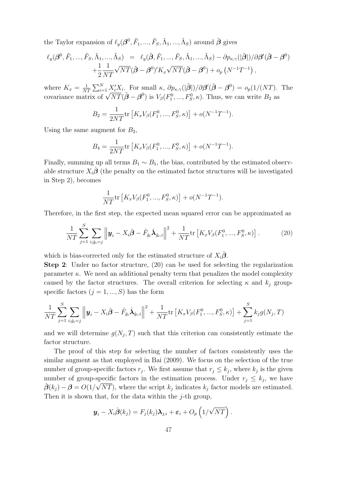the Taylor expansion of  $\ell_y(\mathcal{B}^0, \tilde{F}_1, ..., \tilde{F}_S, \tilde{\Lambda}_1, ..., \tilde{\Lambda}_S)$  around  $\tilde{\mathcal{B}}$  gives

$$
\ell_y(\boldsymbol{\beta}^0, \tilde{F}_1, ..., \tilde{F}_S, \tilde{\Lambda}_1, ..., \tilde{\Lambda}_S) = \ell_y(\tilde{\boldsymbol{\beta}}, \tilde{F}_1, ..., \tilde{F}_S, \tilde{\Lambda}_1, ..., \tilde{\Lambda}_S) - \partial p_{\kappa, \gamma}(|\tilde{\boldsymbol{\beta}}|)/\partial \boldsymbol{\beta}'(\tilde{\boldsymbol{\beta}} - \boldsymbol{\beta}^0) + \frac{1}{2} \frac{1}{NT} \sqrt{NT}(\tilde{\boldsymbol{\beta}} - \boldsymbol{\beta}^0)' K_x \sqrt{NT}(\tilde{\boldsymbol{\beta}} - \boldsymbol{\beta}^0) + o_p(N^{-1}T^{-1}),
$$

where  $K_x = \frac{1}{N'}$  $\frac{1}{NT}\sum_{i=1}^{N} \frac{X_i'X_i}{X_i}$ . For small  $\kappa$ ,  $\partial p_{\kappa,\gamma}(|\tilde{\boldsymbol{\beta}}|)/\partial \boldsymbol{\beta}'(\tilde{\boldsymbol{\beta}}-\boldsymbol{\beta}^0) = o_p(1/(NT)$ . The covariance matrix of  $\sqrt{NT}(\tilde{\boldsymbol{\beta}} - \boldsymbol{\beta}^0)$  is  $V_{\beta}(F_1^0, ..., F_S^0, \kappa)$ . Thus, we can write  $B_2$  as

$$
B_2 = \frac{1}{2NT} \text{tr}\left[K_x V_\beta(F_1^0, ..., F_S^0, \kappa)\right] + o(N^{-1}T^{-1}).
$$

Using the same augment for  $B_2$ ,

$$
B_4 = \frac{1}{2NT} \text{tr}\left[K_x V_\beta(F_1^0, ..., F_S^0, \kappa)\right] + o(N^{-1}T^{-1}).
$$

Finally, summing up all terms  $B_1 \sim B_5$ , the bias, contributed by the estimated observable structure  $X_i\hat{\boldsymbol{\beta}}$  (the penalty on the estimated factor structures will be investigated in Step 2), becomes

$$
\frac{1}{NT}\text{tr}\left[K_xV_\beta(F_1^0,\ldots,F_S^0,\kappa)\right] + o(N^{-1}T^{-1}).
$$

Therefore, in the first step, the expected mean squared error can be approximated as

$$
\frac{1}{NT} \sum_{j=1}^{S} \sum_{i:\hat{g}_i=j} \left\| \boldsymbol{y}_i - X_i \hat{\boldsymbol{\beta}} - \hat{F}_{\hat{g}_i} \hat{\boldsymbol{\lambda}}_{\hat{g}_i,i} \right\|^2 + \frac{1}{NT} \text{tr} \left[ K_x V_{\beta}(F_1^0, ..., F_S^0, \kappa) \right]. \tag{20}
$$

which is bias-corrected only for the estimated structure of  $X_i\hat{\beta}$ .

Step 2: Under no factor structure, (20) can be used for selecting the regularization parameter  $\kappa$ . We need an additional penalty term that penalizes the model complexity caused by the factor structures. The overall criterion for selecting  $\kappa$  and  $k_j$  groupspecific factors  $(j = 1, ..., S)$  has the form

$$
\frac{1}{NT} \sum_{j=1}^{S} \sum_{i:\hat{g}_i=j} \left\| \boldsymbol{y}_i - X_i \hat{\boldsymbol{\beta}} - \hat{F}_{\hat{g}_i} \hat{\boldsymbol{\lambda}}_{\hat{g}_i,i} \right\|^2 + \frac{1}{NT} \text{tr} \left[ K_x V_{\beta} (F_1^0, ..., F_S^0, \kappa) \right] + \sum_{j=1}^{S} k_j g(N_j, T)
$$

and we will determine  $g(N_j, T)$  such that this criterion can consistently estimate the factor structure.

The proof of this step for selecting the number of factors consistently uses the similar augment as that employed in Bai (2009). We focus on the selection of the true number of group-specific factors  $r_j$ . We first assume that  $r_j \leq k_j$ , where  $k_j$  is the given number of group-specific factors in the estimation process. Under  $r_j \leq k_j$ , we have  $\hat{\boldsymbol{\beta}}(k_j) - \boldsymbol{\beta} = O(1/\sqrt{NT})$ , where the script  $k_j$  indicates  $k_j$  factor models are estimated. Then it is shown that, for the data within the  $j$ -th group,

$$
\boldsymbol{y}_i - X_i \hat{\boldsymbol{\beta}}(k_j) = F_j(k_j) \boldsymbol{\lambda}_{j,i} + \boldsymbol{\varepsilon}_i + O_p\left(1/\sqrt{NT}\right).
$$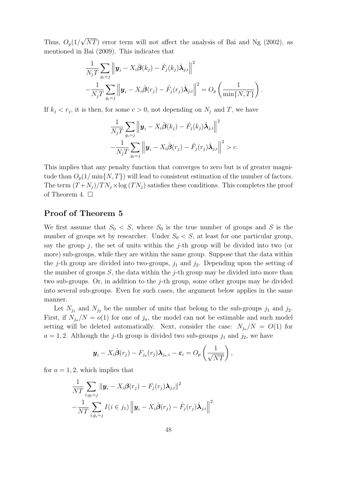Thus,  $O_p(1/\sqrt{NT})$  error term will not affect the analysis of Bai and Ng (2002), as mentioned in Bai (2009). This indicates that

$$
\frac{1}{N_j T} \sum_{g_i=j} \left\| \boldsymbol{y}_i - X_i \hat{\boldsymbol{\beta}}(k_j) - \hat{F}_j(k_j) \hat{\boldsymbol{\lambda}}_{j,i} \right\|^2
$$
  
 
$$
- \frac{1}{N_j T} \sum_{g_i=j} \left\| \boldsymbol{y}_i - X_i \hat{\boldsymbol{\beta}}(r_j) - \hat{F}_j(r_j) \hat{\boldsymbol{\lambda}}_{j,i} \right\|^2 = O_p\left(\frac{1}{\min\{N,T\}}\right).
$$

If  $k_j < r_j$ , it is then, for some  $c > 0$ , not depending on  $N_j$  and T, we have

$$
\frac{1}{N_j T} \sum_{g_i=j} \left\| \boldsymbol{y}_i - X_i \hat{\boldsymbol{\beta}}(k_j) - \hat{F}_j(k_j) \hat{\boldsymbol{\lambda}}_{j,i} \right\|^2 \n- \frac{1}{N_j T} \sum_{g_i=j} \left\| \boldsymbol{y}_i - X_i \hat{\boldsymbol{\beta}}(r_j) - \hat{F}_j(r_j) \hat{\boldsymbol{\lambda}}_{j,i} \right\|^2 > c.
$$

This implies that any penalty function that converges to zero but is of greater magnitude than  $O_p(1/\min\{N,T\})$  will lead to consistent estimation of the number of factors. The term  $(T + N_i)/TN_i \times \log(TN_i)$  satisfies these conditions. This completes the proof of Theorem 4.  $\square$ 

### Proof of Theorem 5

We first assume that  $S_0 < S$ , where  $S_0$  is the true number of groups and S is the number of groups set by researcher. Under  $S_0 < S$ , at least for one particular group, say the group j, the set of units within the j-th group will be divided into two (or more) sub-groups, while they are within the same group. Suppose that the data within the j-th group are divided into two-groups,  $j_1$  and  $j_2$ . Depending upon the setting of the number of groups  $S$ , the data within the j-th group may be divided into more than two sub-groups. Or, in addition to the j-th group, some other groups may be divided into several sub-groups. Even for such cases, the argument below applies in the same manner.

Let  $N_{j_1}$  and  $N_{j_2}$  be the number of units that belong to the sub-groups  $j_1$  and  $j_2$ . First, if  $N_{j_a}/N = o(1)$  for one of  $j_a$ , the model can not be estimable and such model setting will be deleted automatically. Next, consider the case:  $N_{j_a}/N = O(1)$  for  $a = 1, 2$ . Although the j-th group is divided two sub-groups  $j_1$  and  $j_2$ , we have

$$
\boldsymbol{y}_i - X_i \hat{\boldsymbol{\beta}}(r_j) - F_{j_a}(r_j) \boldsymbol{\lambda}_{j_a,i} - \boldsymbol{\varepsilon}_i = O_p\left(\frac{1}{\sqrt{NT}}\right),
$$

for  $a = 1, 2$ , which implies that

$$
\frac{1}{NT} \sum_{i:g_i=j} \|\mathbf{y}_i - X_i \boldsymbol{\beta}(r_j) - F_j(r_j) \boldsymbol{\lambda}_{j,i}\|^2
$$

$$
-\frac{1}{NT} \sum_{i:g_i=j} I(i \in j_1) \left\|\mathbf{y}_i - X_i \hat{\boldsymbol{\beta}}(r_j) - \hat{F}_j(r_j) \hat{\boldsymbol{\lambda}}_{j,i}\right\|^2
$$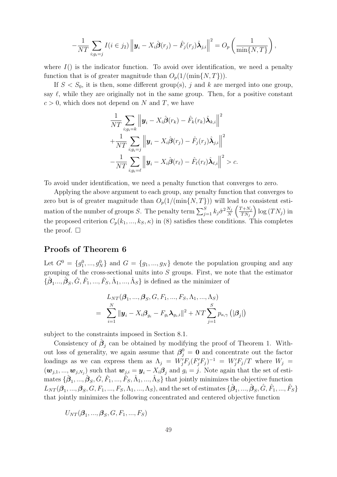$$
-\frac{1}{NT}\sum_{i:g_i=j}I(i\in j_2)\left\|\boldsymbol{y}_i-X_i\hat{\boldsymbol{\beta}}(r_j)-\hat{F}_j(r_j)\hat{\boldsymbol{\lambda}}_{j,i}\right\|^2=O_p\left(\frac{1}{\min\{N,T\}}\right),
$$

where  $I()$  is the indicator function. To avoid over identification, we need a penalty function that is of greater magnitude than  $O_p(1/(\min\{N,T\}))$ .

If  $S < S_0$ , it is then, some different group(s), j and k are merged into one group, say  $\ell$ , while they are originally not in the same group. Then, for a positive constant  $c > 0$ , which does not depend on N and T, we have

$$
\frac{1}{NT} \sum_{i:g_i=k} \left\| \boldsymbol{y}_i - X_i \hat{\boldsymbol{\beta}}(r_k) - \hat{F}_k(r_k) \hat{\boldsymbol{\lambda}}_{k,i} \right\|^2 \n+ \frac{1}{NT} \sum_{i:g_i=j} \left\| \boldsymbol{y}_i - X_i \hat{\boldsymbol{\beta}}(r_j) - \hat{F}_j(r_j) \hat{\boldsymbol{\lambda}}_{j,i} \right\|^2 \n- \frac{1}{NT} \sum_{i:g_i=\ell} \left\| \boldsymbol{y}_i - X_i \hat{\boldsymbol{\beta}}(r_\ell) - \hat{F}_\ell(r_\ell) \hat{\boldsymbol{\lambda}}_{\ell,i} \right\|^2 > c.
$$

To avoid under identification, we need a penalty function that converges to zero.

Applying the above argument to each group, any penalty function that converges to zero but is of greater magnitude than  $O_p(1/(\min\{N,T\}))$  will lead to consistent estimation of the number of groups S. The penalty term  $\sum_{j=1}^{S} k_j \hat{\sigma}^2 \frac{N_j}{N}$  $\frac{N_j}{N} \left( \frac{T + N_j}{T N_j} \right)$  $TN_j$  $\log(TN_j)$  in the proposed criterion  $C_p(k_1, ..., k_S, \kappa)$  in (8) satisfies these conditions. This completes the proof.  $\Box$ 

#### Proofs of Theorem 6

Let  $G^0 = \{g_1^0, ..., g_N^0\}$  and  $G = \{g_1, ..., g_N\}$  denote the population grouping and any grouping of the cross-sectional units into  $S$  groups. First, we note that the estimator  $\{\hat{\boldsymbol{\beta}}_1, ..., \hat{\boldsymbol{\beta}}_S, \hat{G}, \hat{F}_1, ..., \hat{F}_S, \hat{\Lambda}_1, ..., \hat{\Lambda}_S\}$  is defined as the minimizer of

$$
L_{NT}(\boldsymbol{\beta}_1, ..., \boldsymbol{\beta}_S, G, F_1, ..., F_S, \Lambda_1, ..., \Lambda_S)
$$
  
= 
$$
\sum_{i=1}^N \|\boldsymbol{y}_i - X_i \boldsymbol{\beta}_{g_i} - F_{g_i} \boldsymbol{\lambda}_{g_i, i}\|^2 + NT \sum_{j=1}^S p_{\kappa, \gamma} (|\boldsymbol{\beta}_j|)
$$

subject to the constraints imposed in Section 8.1.

Consistency of  $\hat{\beta}_j$  can be obtained by modifying the proof of Theorem 1. Without loss of generality, we again assume that  $\beta_j^0 = 0$  and concentrate out the factor loadings as we can express them as  $\Lambda_j = W'_j F_j (F'_j F_j)^{-1} = W'_j F_j / T$  where  $W_j =$  $(w_{j,1},...,w_{j,N_j})$  such that  $w_{j,i} = y_i - X_i\beta_j$  and  $g_i = j$ . Note again that the set of esti- $\{\hat{\boldsymbol{\beta}}_1, ..., \hat{\boldsymbol{\beta}}_S, \hat{G}, \hat{F}_1, ..., \hat{F}_S, \hat{\Lambda}_1, ..., \hat{\Lambda}_S\}$  that jointly minimizes the objective function  $L_{NT}(\boldsymbol{\beta_1},...,\boldsymbol{\beta_S},G,F_1,...,F_S,\Lambda_1,...,\Lambda_S), \text{and the set of estimates } \{\hat{\boldsymbol{\beta}_1},...,\hat{\boldsymbol{\beta}_S},\hat{G},\hat{F}_1,...,\hat{F}_S\}$ that jointly minimizes the following concentrated and centered objective function

$$
U_{NT}(\boldsymbol{\beta}_1, ..., \boldsymbol{\beta}_S, G, F_1, ..., F_S)
$$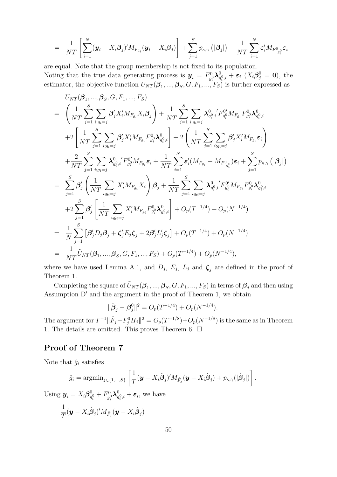$$
= \frac{1}{NT} \left[ \sum_{i=1}^N (\boldsymbol{y}_i - X_i \boldsymbol{\beta}_j)' M_{F_{g_i}} (\boldsymbol{y}_i - X_i \boldsymbol{\beta}_j) \right] + \sum_{j=1}^S p_{\kappa, \gamma} (\left| \boldsymbol{\beta}_j \right|) - \frac{1}{NT} \sum_{i=1}^N \boldsymbol{\varepsilon}_i' M_{F^0_{g_i^0}} \boldsymbol{\varepsilon}_i
$$

are equal. Note that the group membership is not fixed to its population. Noting that the true data generating process is  $y_i = F_{q_i}^0$  $g_i^0\boldsymbol\lambda_g^0$  $_{g_i^0,i}^0 + \varepsilon_i$   $(X_i\beta_j^0 = 0)$ , the estimator, the objective function  $U_{NT}(\beta_1, ..., \beta_S, G, F_1, ..., F_S)$  is further expressed as

$$
U_{NT}(\beta_{1},..., \beta_{S}, G, F_{1},..., F_{S})
$$
\n
$$
= \left(\frac{1}{NT} \sum_{j=1}^{S} \sum_{i:g_{i}=j} \beta'_{j} X'_{i} M_{F_{g_{i}}} X_{i} \beta_{j}\right) + \frac{1}{NT} \sum_{j=1}^{S} \sum_{i:g_{i}=j} \lambda_{g_{i},i}^{0} 'F_{g_{i}}^{0'} M_{F_{g_{i}}} F_{g_{i}}^{0} \lambda_{g_{i},i}^{0}
$$
\n
$$
+ 2\left[\frac{1}{NT} \sum_{j=1}^{S} \sum_{i:g_{i}=j} \beta'_{j} X'_{i} M_{F_{g_{i}}} F_{g_{i}}^{0} \lambda_{g_{i},i}^{0}\right] + 2\left(\frac{1}{NT} \sum_{j=1}^{S} \sum_{i:g_{i}=j} \beta'_{j} X'_{i} M_{F_{g_{i}}} \varepsilon_{i}\right)
$$
\n
$$
+ \frac{2}{NT} \sum_{j=1}^{S} \sum_{i:g_{i}=j} \lambda_{g_{i},i}^{0} 'F_{g_{i}}^{0'} M_{F_{g_{i}}} \varepsilon_{i} + \frac{1}{NT} \sum_{i=1}^{N} \varepsilon'_{i} (M_{F_{g_{i}}} - M_{F_{g_{i}}^{0}}) \varepsilon_{i} + \sum_{j=1}^{S} p_{\kappa,\gamma} \left(|\beta_{j}|\right)
$$
\n
$$
= \sum_{j=1}^{S} \beta'_{j} \left(\frac{1}{NT} \sum_{i:g_{i}=j} X'_{i} M_{F_{g_{i}}} X_{i}\right) \beta_{j} + \frac{1}{NT} \sum_{j=1}^{S} \sum_{i:g_{i}=j} \lambda_{g_{i},i}^{0} 'F_{g_{i}}^{0'} M_{F_{g_{i}}} F_{g_{i}}^{0} \lambda_{g_{i},i}^{0}
$$
\n
$$
+ 2 \sum_{j=1}^{S} \beta'_{j} \left[\frac{1}{NT} \sum_{i:g_{i}=j} X'_{i} M_{F_{g_{i}}} F_{g_{i}}^{0} \lambda_{g_{i},i}^{0}\right] + O_{p}(T^{-1/4}) + O_{p}(N^{-1/4})
$$
\n
$$
= \frac{1}{N} \sum_{j=1}^{S} \
$$

where we have used Lemma A.1, and  $D_j$ ,  $E_j$ ,  $L_j$  and  $\zeta_j$  are defined in the proof of Theorem 1.

Completing the square of  $\tilde{U}_{NT}(\beta_1, ..., \beta_S, G, F_1, ..., F_S)$  in terms of  $\beta_j$  and then using Assumption D′ and the argument in the proof of Theorem 1, we obtain

$$
\|\hat{\boldsymbol{\beta}}_j - \boldsymbol{\beta}_j^0\|^2 = O_p(T^{-1/4}) + O_p(N^{-1/4}).
$$

The argument for  $T^{-1} \|\hat{F}_j - F_j^0 H_j\|^2 = O_p(T^{-1/8}) + O_p(N^{-1/8})$  is the same as in Theorem 1. The details are omitted. This proves Theorem 6.  $\Box$ 

### Proof of Theorem 7

Note that  $\hat{g}_i$  satisfies

$$
\hat{g}_i = \operatorname{argmin}_{j \in \{1, \dots, S\}} \left[ \frac{1}{T} (\boldsymbol{y} - X_i \hat{\boldsymbol{\beta}}_j)' M_{\hat{F}_j} (\boldsymbol{y} - X_i \hat{\boldsymbol{\beta}}_j) + p_{\kappa, \gamma}(|\hat{\boldsymbol{\beta}}_j|) \right].
$$

Using  $y_i = X_i \beta_g^0$  $_{g_i^0}^0 + F_{g_i^0}^0$  $g_i^0\boldsymbol\lambda_g^0$  $g_{i,i}^0 + \varepsilon_i$ , we have

$$
\frac{1}{T}(\boldsymbol{y} - X_i \hat{\boldsymbol{\beta}}_j)' M_{\hat{F}_j}(\boldsymbol{y} - X_i \hat{\boldsymbol{\beta}}_j)
$$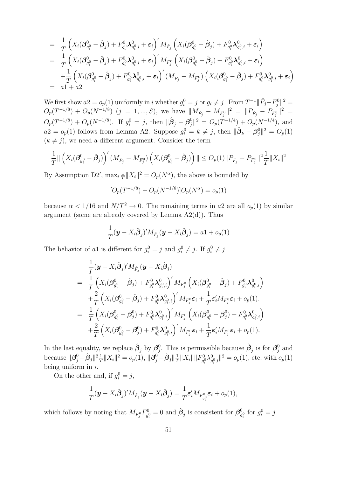$$
= \frac{1}{T} \Big( X_i (\beta_{g_i^0}^0 - \hat{\beta}_j) + F_{g_i^0}^0 X_{g_i^0,i}^0 + \varepsilon_i \Big)' M_{\hat{F}_j} \left( X_i (\beta_{g_i^0}^0 - \hat{\beta}_j) + F_{g_i^0}^0 X_{g_i^0,i}^0 + \varepsilon_i \right) = \frac{1}{T} \Big( X_i (\beta_{g_i^0}^0 - \hat{\beta}_j) + F_{g_i^0}^0 X_{g_i^0,i}^0 + \varepsilon_i \Big)' M_{F_j^0} \left( X_i (\beta_{g_i^0}^0 - \hat{\beta}_j) + F_{g_i^0}^0 X_{g_i^0,i}^0 + \varepsilon_i \right) + \frac{1}{T} \Big( X_i (\beta_{g_i^0}^0 - \hat{\beta}_j) + F_{g_i^0}^0 X_{g_i^0,i}^0 + \varepsilon_i \Big)' (M_{\hat{F}_j} - M_{F_j^0}) \left( X_i (\beta_{g_i^0}^0 - \hat{\beta}_j) + F_{g_i^0}^0 X_{g_i^0,i}^0 + \varepsilon_i \right) = a1 + a2
$$

We first show  $a2 = o_p(1)$  uniformly in i whether  $g_i^0 = j$  or  $g_i \neq j$ . From  $T^{-1} || \hat{F}_j - F_j^0 ||^2 =$  $O_p(T^{-1/8}) + O_p(N^{-1/8})$   $(j = 1, ..., S)$ , we have  $||M_{\hat{F}_j} - M_{F_j^0}||^2 = ||P_{\hat{F}_j} - P_{F_j^0}||^2 =$  $O_p(T^{-1/8}) + O_p(N^{-1/8})$ . If  $g_i^0 = j$ , then  $\|\hat{\boldsymbol{\beta}}_j - \boldsymbol{\beta}_j^0\|^2 = O_p(T^{-1/4}) + O_p(N^{-1/4})$ , and  $a2 = o_p(1)$  follows from Lemma A2. Suppose  $g_i^0 = k \neq j$ , then  $\|\hat{\boldsymbol{\beta}}_k - \boldsymbol{\beta}_j^0\|^2 = O_p(1)$  $(k \neq j)$ , we need a different argument. Consider the term

$$
\frac{1}{T} \|\left(X_i(\boldsymbol{\beta}_{g_i^0}^0 - \hat{\boldsymbol{\beta}}_j)\right)'(M_{\hat{F}_j} - M_{F_j^0})\left(X_i(\boldsymbol{\beta}_{g_i^0}^0 - \hat{\boldsymbol{\beta}}_j)\right) \| \leq O_p(1) \|P_{\hat{F}_j} - P_{F_j^0}\|^2 \frac{1}{T} \|X_i\|^2
$$

By Assumption D2',  $\max_i \frac{1}{T}$  $\frac{1}{T} \|X_i\|^2 = O_p(N^{\alpha})$ , the above is bounded by

$$
[O_p(T^{-1/8}) + O_p(N^{-1/8})]O_p(N^{\alpha}) = o_p(1)
$$

because  $\alpha < 1/16$  and  $N/T^2 \rightarrow 0$ . The remaining terms in a2 are all  $o_p(1)$  by similar argument (some are already covered by Lemma A2(d)). Thus

$$
\frac{1}{T}(\boldsymbol{y} - X_i \hat{\boldsymbol{\beta}}_j)' M_{\hat{F}_j}(\boldsymbol{y} - X_i \hat{\boldsymbol{\beta}}_j) = a\mathbb{1} + o_p(\mathbb{1})
$$

The behavior of al is different for  $g_i^0 = j$  and  $g_i^0 \neq j$ . If  $g_i^0 \neq j$ 

$$
\frac{1}{T}(\mathbf{y}-X_{i}\hat{\boldsymbol{\beta}}_{j})'M_{\hat{F}_{j}}(\mathbf{y}-X_{i}\hat{\boldsymbol{\beta}}_{j})
$$
\n
$$
=\frac{1}{T}\left(X_{i}(\boldsymbol{\beta}_{g_{i}^{0}}^{0}-\hat{\boldsymbol{\beta}}_{j})+F_{g_{i}^{0}}^{0}\boldsymbol{\lambda}_{g_{i}^{0},i}^{0}\right)'M_{F_{j}^{0}}\left(X_{i}(\boldsymbol{\beta}_{g_{i}^{0}}^{0}-\hat{\boldsymbol{\beta}}_{j})+F_{g_{i}^{0}}^{0}\boldsymbol{\lambda}_{g_{i}^{0},i}^{0}\right) \n+\frac{2}{T}\left(X_{i}(\boldsymbol{\beta}_{g_{i}^{0}}^{0}-\hat{\boldsymbol{\beta}}_{j})+F_{g_{i}^{0}}^{0}\boldsymbol{\lambda}_{g_{i}^{0},i}^{0}\right)'M_{F_{j}^{0}}\boldsymbol{\varepsilon}_{i}+\frac{1}{T}\boldsymbol{\varepsilon}_{i}'M_{F_{j}^{0}}\boldsymbol{\varepsilon}_{i}+o_{p}(1). \n=\frac{1}{T}\left(X_{i}(\boldsymbol{\beta}_{g_{i}^{0}}^{0}-\boldsymbol{\beta}_{j}^{0})+F_{g_{i}^{0}}^{0}\boldsymbol{\lambda}_{g_{i}^{0},i}^{0}\right)'M_{F_{j}^{0}}\left(X_{i}(\boldsymbol{\beta}_{g_{i}^{0}}^{0}-\boldsymbol{\beta}_{j}^{0})+F_{g_{i}^{0}}^{0}\boldsymbol{\lambda}_{g_{i}^{0},i}^{0}\right) \n+\frac{2}{T}\left(X_{i}(\boldsymbol{\beta}_{g_{i}^{0}}^{0}-\boldsymbol{\beta}_{j}^{0})+F_{g_{i}^{0}}^{0}\boldsymbol{\lambda}_{g_{i}^{0},i}^{0}\right)'M_{F_{j}^{0}}\boldsymbol{\varepsilon}_{i}+\frac{1}{T}\boldsymbol{\varepsilon}_{i}'M_{F_{j}^{0}}\boldsymbol{\varepsilon}_{i}+o_{p}(1).
$$

In the last equality, we replace  $\hat{\boldsymbol{\beta}}_j$  by  $\boldsymbol{\beta}_j^0$ <sup>0</sup><sub>j</sub>. This is permissible because  $\hat{\boldsymbol{\beta}}_j$  is for  $\boldsymbol{\beta}_j^0$  $_j^0$  and because  $\|\boldsymbol{\beta}_j^0 - \hat{\boldsymbol{\beta}}_j\|^2 \frac{1}{T}$  $\frac{1}{T} \|X_i\|^2 = o_p(1), \, \|\boldsymbol{\beta}^0_j - \hat{\boldsymbol{\beta}}_j\| \frac{1}{T}$  $\frac{1}{T} \|X_i\| \|F_{g_i^0}^0$  $g_i^0 \lambda_g^0$  $_{g_i^0,i}^0\|^2 = o_p(1)$ , etc, with  $o_p(1)$ being uniform in  $i$ .

On the other and, if  $g_i^0 = j$ ,

$$
\frac{1}{T}(\boldsymbol{y}-X_i\hat{\boldsymbol{\beta}}_j)'M_{\hat{F}_j}(\boldsymbol{y}-X_i\hat{\boldsymbol{\beta}}_j)=\frac{1}{T}\boldsymbol{\varepsilon}_i'M_{F_{g_i^0}}\boldsymbol{\varepsilon}_i+o_p(1),
$$

which follows by noting that  $M_{F_j^0}F_{g_i^0}^0$  $g_i^0 = 0$  and  $\hat{\boldsymbol{\beta}}_j$  is consistent for  $\boldsymbol{\beta}_g^0$  $g_i^0$  for  $g_i^0 = j$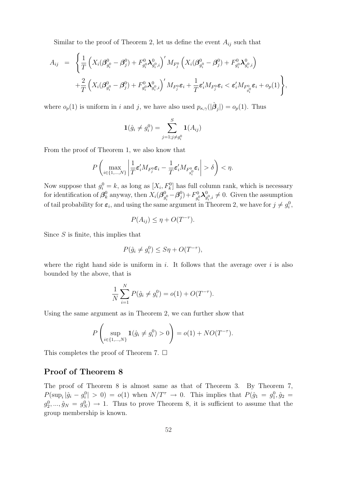Similar to the proof of Theorem 2, let us define the event  $A_{ij}$  such that

$$
A_{ij} = \left\{ \frac{1}{T} \left( X_i (\boldsymbol{\beta}_{g_i^0}^0 - \boldsymbol{\beta}_j^0) + F_{g_i^0}^0 \boldsymbol{\lambda}_{g_i^0,i}^0 \right)' M_{F_j^0} \left( X_i (\boldsymbol{\beta}_{g_i^0}^0 - \boldsymbol{\beta}_j^0) + F_{g_i^0}^0 \boldsymbol{\lambda}_{g_i^0,i}^0 \right) \right. \\ \left. + \frac{2}{T} \left( X_i (\boldsymbol{\beta}_{g_i^0}^0 - \boldsymbol{\beta}_j^0) + F_{g_i^0}^0 \boldsymbol{\lambda}_{g_i^0,i}^0 \right)' M_{F_j^0} \boldsymbol{\varepsilon}_i + \frac{1}{T} \boldsymbol{\varepsilon}_i' M_{F_j^0} \boldsymbol{\varepsilon}_i < \boldsymbol{\varepsilon}_i' M_{F_{g_i^0}^0} \boldsymbol{\varepsilon}_i + o_p(1) \right\},
$$

where  $o_p(1)$  is uniform in i and j, we have also used  $p_{\kappa,\gamma}(|\hat{\boldsymbol{\beta}}_j|) = o_p(1)$ . Thus

$$
\mathbf{1}(\hat{g}_i \neq g_i^0) = \sum_{j=1; j \neq g_i^0}^{S} \mathbf{1}(A_{ij})
$$

From the proof of Theorem 1, we also know that

$$
P\left(\max_{i\in\{1,\ldots,N\}}\left|\frac{1}{T}\boldsymbol{\varepsilon}_i'M_{F_j^0}\boldsymbol{\varepsilon}_i-\frac{1}{T}\boldsymbol{\varepsilon}_i'M_{F_{g_i^0}^0}\boldsymbol{\varepsilon}_i\right|>\delta\right)<\eta.
$$

Now suppose that  $g_i^0 = k$ , as long as  $[X_i, F_k^0]$  has full column rank, which is necessary for identification of  $\beta_k^0$  $\frac{0}{k}$  anyway, then  $X_i(\boldsymbol{\beta}_g^0)$  $_{g_i^0}^0-\bm{\beta}_j^0$  $j^{0})+F_{q_{i}^{0}}^{0}$  $g_i^0\boldsymbol\lambda_g^0$  $g_{i}^{0}, i \neq 0$ . Given the assumption of tail probability for  $\varepsilon_i$ , and using the same argument in Theorem 2, we have for  $j \neq g_i^0$ ,

$$
P(A_{ij}) \le \eta + O(T^{-\tau}).
$$

Since  $S$  is finite, this implies that

$$
P(\hat{g}_i \neq g_i^0) \leq S\eta + O(T^{-\tau}),
$$

where the right hand side is uniform in i. It follows that the average over i is also bounded by the above, that is

$$
\frac{1}{N} \sum_{i=1}^{N} P(\hat{g}_i \neq g_i^0) = o(1) + O(T^{-\tau}).
$$

Using the same argument as in Theorem 2, we can further show that

$$
P\left(\sup_{i\in\{1,\dots,N\}}\mathbf{1}(\hat{g}_i\neq g_i^0)>0\right)=o(1)+NO(T^{-\tau}).
$$

This completes the proof of Theorem 7.  $\Box$ 

#### Proof of Theorem 8

The proof of Theorem 8 is almost same as that of Theorem 3. By Theorem 7,  $P(\sup_i |\hat{g}_i - g_i^0| > 0) = o(1)$  when  $N/T^{\tau} \to 0$ . This implies that  $P(\hat{g}_1 = g_1^0, \hat{g}_2 = 0)$  $g_2^0, ..., \hat{g}_N = g_N^0$   $\to$  1. Thus to prove Theorem 8, it is sufficient to assume that the group membership is known.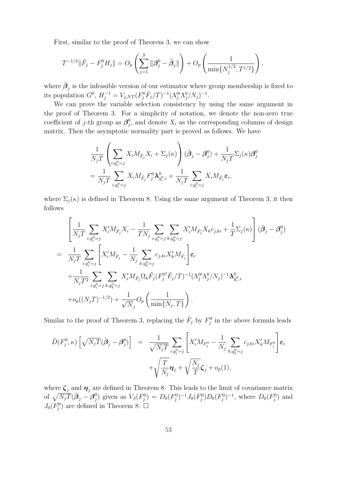First, similar to the proof of Theorem 3, we can show

$$
T^{-1/2} \|\tilde{F}_j - F_j^0 H_j\| = O_p\left(\sum_{j=1}^S \|\boldsymbol{\beta}_j^0 - \tilde{\boldsymbol{\beta}}_j\|\right) + O_p\left(\frac{1}{\min\{N_j^{1/2}, T^{1/2}\}}\right),
$$

where  $\tilde{\boldsymbol{\beta}}_j$  is the infeasible version of our estimator where group membership is fixed to its population  $G^0$ ,  $H_j^{-1} = V_{j,NT}(F_j^0 \tilde{F}_j/T)^{-1} (\Lambda_j^0 \Lambda_j^0 / N_j)^{-1}$ .

We can prove the variable selection consistency by using the same argument in the proof of Theorem 3. For a simplicity of notation, we denote the non-zero true coefficient of *j*-th group as  $\beta_i^0$  $j$ , and denote  $X_i$  as the corresponding columns of design matrix. Then the asymptotic normality part is proved as follows. We have

$$
\frac{1}{N_j T} \left( \sum_{i:g_i^0 = j} X_i M_{\tilde{F}_j} X_i + \Sigma_j(\kappa) \right) (\tilde{\boldsymbol{\beta}}_j - \boldsymbol{\beta}_j^0) + \frac{1}{N_j T} \Sigma_j(\kappa) \boldsymbol{\beta}_j^0
$$
\n
$$
= \frac{1}{N_j T} \sum_{i:g_i^0 = j} X_i M_{\tilde{F}_j} F_j^0 \lambda_{g_i^0, i}^0 + \frac{1}{N_j T} \sum_{i:g_i^0 = j} X_i M_{\tilde{F}_j} \varepsilon_i,
$$

where  $\Sigma_j(\kappa)$  is defined in Theorem 8. Using the same argument of Theorem 3, it then follows

$$
\left[\frac{1}{N_j T}\sum_{i:g_i^0=j} X_i' M_{\tilde{F}_j} X_i - \frac{1}{T N_j} \sum_{i:g_i^0=j} \sum_{k:g_i^0=j} X_i' M_{\tilde{F}_j} X_k c_{j,ki} + \frac{1}{T} \Sigma_j(\kappa) \right] (\tilde{\beta}_j - \beta_j^0)
$$
\n
$$
= \frac{1}{N_j T} \sum_{i:g_i^0=j} \left[ X_i' M_{\tilde{F}_j} - \frac{1}{N_j} \sum_{k:g_i^0=j} c_{j,ki} X_k' M_{\tilde{F}_j} \right] \varepsilon_i
$$
\n
$$
+ \frac{1}{N_j T^2} \sum_{i:g_i^0=j} \sum_{k:g_i^0=j} X_i' M_{\tilde{F}_j} \Omega_k \tilde{F}_j (F_j^0' \tilde{F}_j / T)^{-1} (\Lambda_j^0 \Lambda_j^0 / N_j)^{-1} \lambda_{g_i^0,i}^0
$$
\n
$$
+ o_p((N_j T)^{-1/2}) + \frac{1}{\sqrt{N_j}} O_p\left(\frac{1}{\min\{N_j, T\}}\right).
$$

Similar to the proof of Theorem 3, replacing the  $\tilde{F}_j$  by  $F_j^0$  in the above formula leads

$$
\hat{D}(F_j^0, \kappa) \left[ \sqrt{N_j T} (\tilde{\boldsymbol{\beta}}_j - \boldsymbol{\beta}_j^0) \right] = \frac{1}{\sqrt{N_j T}} \sum_{i : g_i^0 = j} \left[ X_i' M_{F_j^0} - \frac{1}{N_j} \sum_{k : g_k^0 = j} c_{j,ki} X_k' M_{F_j^0} \right] \varepsilon_i
$$

$$
+ \sqrt{\frac{T}{N_j}} \boldsymbol{\eta}_j + \sqrt{\frac{N_j}{T}} \boldsymbol{\zeta}_j + o_p(1),
$$

where  $\zeta_i$  and  $\eta_i$  are defined in Theorem 8. This leads to the limit of covariance matrix of  $\sqrt{N_jT}(\tilde{\boldsymbol{\beta}}_j - \boldsymbol{\beta}^0_j)$ q<sup>0</sup>) given as  $V_\beta(F_j^0) = D_0(F_j^0)^{-1} J_0(F_j^0) D_0(F_j^0)^{-1}$ , where  $D_0(F_j^0)$  and  $J_0(F_j^0)$  are defined in Theorem 8.  $\square$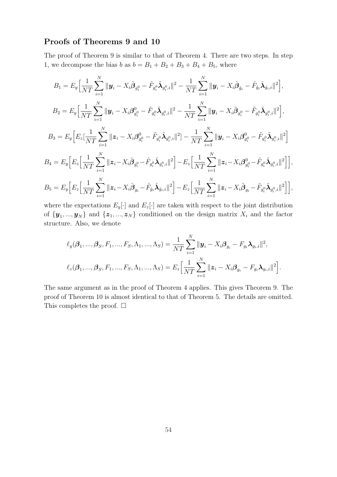#### Proofs of Theorems 9 and 10

The proof of Theorem 9 is similar to that of Theorem 4. There are two steps. In step 1, we decompose the bias  $b$  as  $b = B_1 + B_2 + B_3 + B_4 + B_5$ , where

$$
B_{1} = E_{y} \Big[ \frac{1}{NT} \sum_{i=1}^{N} \|\mathbf{y}_{i} - X_{i} \tilde{\boldsymbol{\beta}}_{g_{i}^{0}} - \tilde{F}_{g_{i}^{0}} \tilde{\boldsymbol{\lambda}}_{g_{i}^{0},i} \|^{2} - \frac{1}{NT} \sum_{i=1}^{N} \|\mathbf{y}_{i} - X_{i} \hat{\boldsymbol{\beta}}_{\hat{g}_{i}} - \hat{F}_{\hat{g}_{i}^{0}} \tilde{\boldsymbol{\lambda}}_{\hat{g}_{i},i} \|^{2} \Big],
$$
  
\n
$$
B_{2} = E_{y} \Big[ \frac{1}{NT} \sum_{i=1}^{N} \|\mathbf{y}_{i} - X_{i} \boldsymbol{\beta}_{g_{i}^{0}}^{0} - \tilde{F}_{g_{i}^{0}} \tilde{\boldsymbol{\lambda}}_{g_{i}^{0},i} \|^{2} - \frac{1}{NT} \sum_{i=1}^{N} \|\mathbf{y}_{i} - X_{i} \tilde{\boldsymbol{\beta}}_{g_{i}^{0}} - \tilde{F}_{g_{i}^{0}} \tilde{\boldsymbol{\lambda}}_{g_{i}^{0},i} \|^{2} \Big],
$$
  
\n
$$
B_{3} = E_{y} \Big[ E_{z} \big[ \frac{1}{NT} \sum_{i=1}^{N} \|\mathbf{z}_{i} - X_{i} \boldsymbol{\beta}_{g_{i}^{0}}^{0} - \tilde{F}_{g_{i}^{0}} \tilde{\boldsymbol{\lambda}}_{g_{i}^{0},i} \|^{2} \big] - \frac{1}{NT} \sum_{i=1}^{N} \|\mathbf{y}_{i} - X_{i} \boldsymbol{\beta}_{g_{i}^{0}}^{0} - \tilde{F}_{g_{i}^{0}} \tilde{\boldsymbol{\lambda}}_{g_{i}^{0},i} \|^{2} \Big]
$$
  
\n
$$
B_{4} = E_{y} \Big[ E_{z} \Big[ \frac{1}{NT} \sum_{i=1}^{N} \|\mathbf{z}_{i} - X_{i} \tilde{\boldsymbol{\beta}}_{g_{i}^{0}} - \tilde{F}_{g_{i}^{0}} \tilde{\boldsymbol{\lambda}}_{g_{i}^{0},i} \|^{2} \Big] - E_{z} \Big[ \frac{1}{NT} \sum_{i=1}^{N} \|\mathbf{z}_{i} - X_{i} \boldsymbol{\beta}_{g_{i}^{0
$$

where the expectations  $E_y[\cdot]$  and  $E_z[\cdot]$  are taken with respect to the joint distribution of  $\{y_1, ..., y_N\}$  and  $\{z_1, ..., z_N\}$  conditioned on the design matrix  $X_i$  and the factor structure. Also, we denote

$$
\ell_{y}(\beta_{1},...,\beta_{S},F_{1},...,F_{S},\Lambda_{1},...,\Lambda_{S}) = \frac{1}{NT} \sum_{i=1}^{N} ||\mathbf{y}_{i} - X_{i}\beta_{g_{i}} - F_{g_{i}}\mathbf{\lambda}_{g_{i},i}||^{2},
$$
  

$$
\ell_{z}(\beta_{1},...,\beta_{S},F_{1},...,F_{S},\Lambda_{1},...,\Lambda_{S}) = E_{z} \Big[\frac{1}{NT} \sum_{i=1}^{N} ||\mathbf{z}_{i} - X_{i}\beta_{g_{i}} - F_{g_{i}}\mathbf{\lambda}_{g_{i},i}||^{2}\Big].
$$

The same argument as in the proof of Theorem 4 applies. This gives Theorem 9. The proof of Theorem 10 is almost identical to that of Theorem 5. The details are omitted. This completes the proof.  $\Box$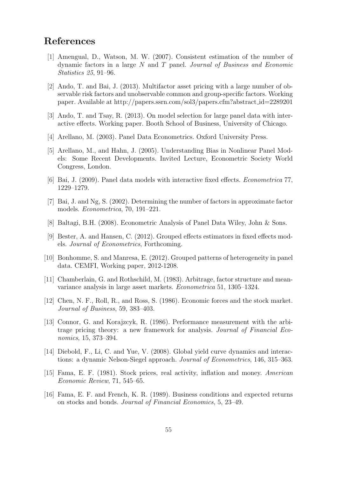# References

- [1] Amengual, D., Watson, M. W. (2007). Consistent estimation of the number of dynamic factors in a large  $N$  and  $T$  panel. Journal of Business and Economic Statistics 25, 91–96.
- [2] Ando, T. and Bai, J. (2013). Multifactor asset pricing with a large number of observable risk factors and unobservable common and group-specific factors. Working paper. Available at http://papers.ssrn.com/sol3/papers.cfm?abstract id=2289201
- [3] Ando, T. and Tsay, R. (2013). On model selection for large panel data with interactive effects. Working paper. Booth School of Business, University of Chicago.
- [4] Arellano, M. (2003). Panel Data Econometrics. Oxford University Press.
- [5] Arellano, M., and Hahn, J. (2005). Understanding Bias in Nonlinear Panel Models: Some Recent Developments. Invited Lecture, Econometric Society World Congress, London.
- [6] Bai, J. (2009). Panel data models with interactive fixed effects. Econometrica 77, 1229–1279.
- [7] Bai, J. and Ng, S. (2002). Determining the number of factors in approximate factor models. Econometrica, 70, 191–221.
- [8] Baltagi, B.H. (2008). Econometric Analysis of Panel Data Wiley, John & Sons.
- [9] Bester, A. and Hansen, C. (2012). Grouped effects estimators in fixed effects models. Journal of Econometrics, Forthcoming.
- [10] Bonhomme, S. and Manresa, E. (2012). Grouped patterns of heterogeneity in panel data. CEMFI, Working paper, 2012-1208.
- [11] Chamberlain, G. and Rothschild, M. (1983). Arbitrage, factor structure and meanvariance analysis in large asset markets. Econometrica 51, 1305–1324.
- [12] Chen, N. F., Roll, R., and Ross, S. (1986). Economic forces and the stock market. Journal of Business, 59, 383–403.
- [13] Connor, G. and Korajzcyk, R. (1986). Performance measurement with the arbitrage pricing theory: a new framework for analysis. Journal of Financial Economics, 15, 373–394.
- [14] Diebold, F., Li, C. and Yue, V. (2008). Global yield curve dynamics and interactions: a dynamic Nelson-Siegel approach. Journal of Econometrics, 146, 315–363.
- [15] Fama, E. F. (1981). Stock prices, real activity, inflation and money. American Economic Review, 71, 545–65.
- [16] Fama, E. F. and French, K. R. (1989). Business conditions and expected returns on stocks and bonds. Journal of Financial Economics, 5, 23–49.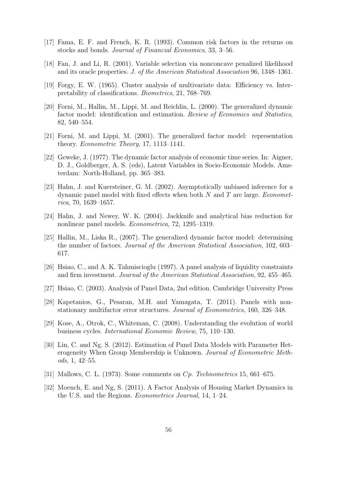- [17] Fama, E. F. and French, K. R. (1993). Common risk factors in the returns on stocks and bonds. Journal of Financial Economics, 33, 3–56.
- [18] Fan, J. and Li, R. (2001). Variable selection via nonconcave penalized likelihood and its oracle properties. J. of the American Statistical Association 96, 1348–1361.
- [19] Forgy, E. W. (1965). Cluster analysis of multivariate data: Efficiency vs. Interpretability of classifications. Biometrics, 21, 768–769.
- [20] Forni, M., Hallin, M., Lippi, M. and Reichlin, L. (2000). The generalized dynamic factor model: identification and estimation. Review of Economics and Statistics, 82, 540–554.
- [21] Forni, M. and Lippi, M. (2001). The generalized factor model: representation theory. Econometric Theory, 17, 1113–1141.
- [22] Geweke, J. (1977). The dynamic factor analysis of economic time series. In: Aigner, D. J., Goldberger, A. S. (eds), Latent Variables in Socio-Economic Models. Amsterdam: North-Holland, pp. 365–383.
- [23] Hahn, J. and Kuersteiner, G. M. (2002). Asymptotically unbiased inference for a dynamic panel model with fixed effects when both  $N$  and  $T$  are large. *Economet*rica, 70, 1639–1657.
- [24] Hahn, J. and Newey, W. K. (2004). Jackknife and analytical bias reduction for nonlinear panel models. Econometrica, 72, 1295–1319.
- [25] Hallin, M., Liska R., (2007). The generalized dynamic factor model: determining the number of factors. Journal of the American Statistical Association, 102, 603– 617.
- [26] Hsiao, C., and A. K. Tahmiscioglu (1997). A panel analysis of liquidity constraints and firm investment. Journal of the American Statistical Association, 92, 455–465.
- [27] Hsiao, C. (2003). Analysis of Panel Data, 2nd edition. Cambridge University Press
- [28] Kapetanios, G., Pesaran, M.H. and Yamagata, T. (2011). Panels with nonstationary multifactor error structures. Journal of Econometrics, 160, 326–348.
- [29] Kose, A., Otrok, C., Whiteman, C. (2008). Understanding the evolution of world business cycles. International Economic Review, 75, 110–130.
- [30] Lin, C. and Ng. S. (2012). Estimation of Panel Data Models with Parameter Heterogeneity When Group Membership is Unknown. Journal of Econometric Methods, 1, 42–55.
- [31] Mallows, C. L. (1973). Some comments on Cp. Technometrics 15, 661–675.
- [32] Moench, E. and Ng, S. (2011). A Factor Analysis of Housing Market Dynamics in the U.S. and the Regions. Econometrics Journal, 14, 1–24.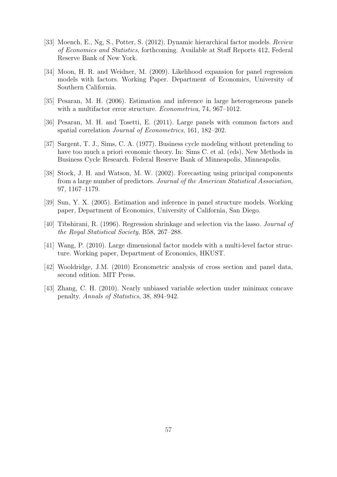- [33] Moench, E., Ng, S., Potter, S. (2012). Dynamic hierarchical factor models. Review of Economics and Statistics, forthcoming. Available at Staff Reports 412, Federal Reserve Bank of New York.
- [34] Moon, H. R. and Weidner, M. (2009). Likelihood expansion for panel regression models with factors. Working Paper. Department of Economics, University of Southern California.
- [35] Pesaran, M. H. (2006). Estimation and inference in large heterogeneous panels with a multifactor error structure. Econometrica, 74, 967–1012.
- [36] Pesaran, M. H. and Tosetti, E. (2011). Large panels with common factors and spatial correlation Journal of Econometrics, 161, 182–202.
- [37] Sargent, T. J., Sims, C. A. (1977). Business cycle modeling without pretending to have too much a priori economic theory. In: Sims C. et al. (eds), New Methods in Business Cycle Research. Federal Reserve Bank of Minneapolis, Minneapolis.
- [38] Stock, J. H. and Watson, M. W. (2002). Forecasting using principal components from a large number of predictors. Journal of the American Statistical Association, 97, 1167–1179.
- [39] Sun, Y. X. (2005). Estimation and inference in panel structure models. Working paper, Department of Economics, University of California, San Diego.
- [40] Tibshirani, R. (1996). Regression shrinkage and selection via the lasso. Journal of the Royal Statistical Society, B58, 267–288.
- [41] Wang, P. (2010). Large dimensional factor models with a multi-level factor structure. Working paper, Department of Economics, HKUST.
- [42] Wooldridge, J.M. (2010) Econometric analysis of cross section and panel data, second edition. MIT Press.
- [43] Zhang, C. H. (2010). Nearly unbiased variable selection under minimax concave penalty. Annals of Statistics, 38, 894–942.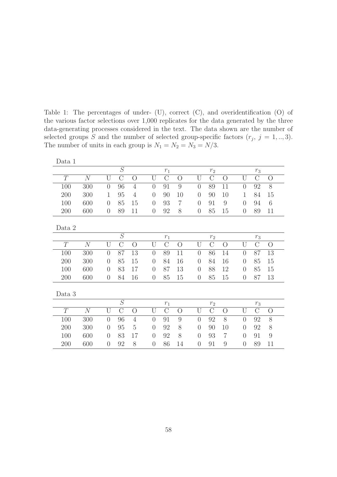Table 1: The percentages of under- (U), correct (C), and overidentification (O) of the various factor selections over 1,000 replicates for the data generated by the three data-generating processes considered in the text. The data shown are the number of selected groups S and the number of selected group-specific factors  $(r_j, j = 1, \ldots, 3)$ . The number of units in each group is  $N_1 = N_2 = N_3 = N/3$ .

| Data 1 |     |                |                |                |                |               |                |                |                |                |                |               |                |
|--------|-----|----------------|----------------|----------------|----------------|---------------|----------------|----------------|----------------|----------------|----------------|---------------|----------------|
|        |     |                | S              |                |                | $r_1\,$       |                |                | r <sub>2</sub> |                |                | $r_3\,$       |                |
| T      | N   | U              | $\overline{C}$ | $\overline{O}$ | U              | $\mathcal{C}$ | $\overline{O}$ | U              | $\mathcal{C}$  | $\overline{O}$ | $\mathbf{U}$   | $\mathcal{C}$ | $\bigcirc$     |
| 100    | 300 | $\overline{0}$ | 96             | $\overline{4}$ | $\overline{0}$ | 91            | 9              | $\overline{0}$ | 89             | 11             | $\overline{0}$ | 92            | 8              |
| 200    | 300 | 1              | 95             | $\overline{4}$ | $\theta$       | 90            | 10             | $\theta$       | 90             | 10             | $\mathbf 1$    | 84            | 15             |
| 100    | 600 | $\theta$       | 85             | 15             | $\theta$       | 93            | $\overline{7}$ | $\theta$       | 91             | 9              | $\theta$       | 94            | 6              |
| 200    | 600 | $\overline{0}$ | 89             | 11             | $\overline{0}$ | 92            | 8              | $\overline{0}$ | 85             | 15             | $\overline{0}$ | 89            | 11             |
|        |     |                |                |                |                |               |                |                |                |                |                |               |                |
| Data 2 |     |                |                |                |                |               |                |                |                |                |                |               |                |
|        |     |                | $\overline{S}$ |                |                | $r_1\,$       |                |                | r <sub>2</sub> |                |                | $r_3\,$       |                |
| T      | N   | U              | $\mathcal{C}$  | $\overline{O}$ | U              | $\mathcal{C}$ | $\overline{O}$ | U              | $\mathcal{C}$  | $\overline{O}$ | U              | $\mathcal{C}$ | $\rm{O}$       |
| 100    | 300 | $\overline{0}$ | 87             | 13             | $\overline{0}$ | 89            | 11             | $\overline{0}$ | 86             | 14             | $\overline{0}$ | 87            | 13             |
| 200    | 300 | $\overline{0}$ | 85             | 15             | $\Omega$       | 84            | 16             | $\theta$       | 84             | 16             | $\overline{0}$ | 85            | 15             |
| 100    | 600 | $\overline{0}$ | 83             | 17             | $\theta$       | 87            | 13             | $\theta$       | 88             | 12             | $\overline{0}$ | 85            | 15             |
| 200    | 600 | $\overline{0}$ | 84             | 16             | $\overline{0}$ | 85            | 15             | $\overline{0}$ | 85             | 15             | $\overline{0}$ | 87            | 13             |
|        |     |                |                |                |                |               |                |                |                |                |                |               |                |
| Data 3 |     |                |                |                |                |               |                |                |                |                |                |               |                |
|        |     |                | S              |                |                | $r_1\,$       |                |                | r <sub>2</sub> |                |                | $r_{3}$       |                |
| T      | N   | U              | $\overline{C}$ | $\overline{O}$ | U              | $\mathcal{C}$ | $\overline{O}$ | U              | $\mathcal{C}$  | $\overline{O}$ | U              | $\mathcal{C}$ | $\overline{O}$ |
| 100    | 300 | $\overline{0}$ | 96             | $\overline{4}$ | $\overline{0}$ | 91            | 9              | $\overline{0}$ | 92             | 8              | $\overline{0}$ | 92            | 8              |
| 200    | 300 | $\overline{0}$ | 95             | $\overline{5}$ | $\theta$       | 92            | 8              | $\theta$       | 90             | 10             | $\theta$       | 92            | 8              |
| 100    | 600 | $\overline{0}$ | 83             | 17             | $\theta$       | 92            | 8              | $\theta$       | 93             | $\overline{7}$ | $\overline{0}$ | 91            | $\overline{9}$ |
| 200    | 600 | $\overline{0}$ | 92             | 8              | $\theta$       | 86            | 14             | $\overline{0}$ | 91             | 9              | $\overline{0}$ | 89            | 11             |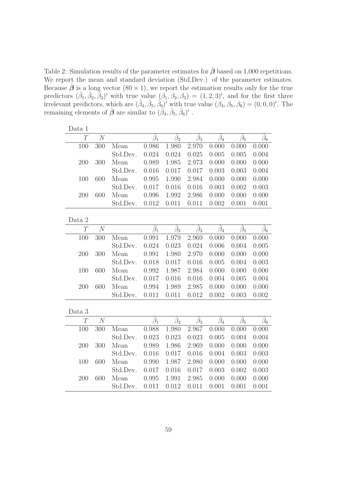Table 2: Simulation results of the parameter estimates for  $\hat{\boldsymbol{\beta}}$  based on 1,000 repetitions. We report the mean and standard deviation (Std.Dev.) of the parameter estimates. Because  $\hat{\boldsymbol{\beta}}$  is a long vector  $(80 \times 1)$ , we report the estimation results only for the true predictors  $(\hat{\beta}_1, \hat{\beta}_2, \hat{\beta}_3)'$  with true value  $(\beta_1, \beta_2, \beta_3) = (1, 2, 3)'$ , and for the first three irrelevant predictors, which are  $(\hat{\beta}_4, \hat{\beta}_5, \hat{\beta}_6)'$  with true value  $(\beta_4, \beta_5, \beta_6) = (0, 0, 0)'$ . The remaining elements of  $\hat{\boldsymbol{\beta}}$  are similar to  $(\hat{\beta}_4, \hat{\beta}_5, \hat{\beta}_6)'$ .

| Data 1         |                |          |                 |                 |                 |                   |                 |                 |
|----------------|----------------|----------|-----------------|-----------------|-----------------|-------------------|-----------------|-----------------|
| $\overline{T}$ | $\overline{N}$ |          | $\beta_1$       | $\bar{\beta}_2$ | $\bar{\beta}_3$ | $\tilde{\beta}_4$ | $\beta_5$       | $\bar{\beta}_6$ |
| 100            | 300            | Mean     | 0.986           | 1.980           | 2.970           | 0.000             | 0.000           | 0.000           |
|                |                | Std.Dev. | 0.024           | 0.024           | 0.025           | 0.005             | 0.005           | 0.004           |
| 200            | 300            | Mean     | 0.989           | 1.985           | 2.973           | 0.000             | 0.000           | 0.000           |
|                |                | Std.Dev. | 0.016           | 0.017           | 0.017           | 0.003             | 0.003           | 0.004           |
| 100            | 600            | Mean     | 0.995           | 1.990           | 2.984           | 0.000             | 0.000           | 0.000           |
|                |                | Std.Dev. | 0.017           | 0.016           | 0.016           | 0.003             | 0.002           | 0.003           |
| 200            | 600            | Mean     | 0.996           | 1.992           | 2.986           | 0.000             | 0.000           | 0.000           |
|                |                | Std.Dev. | 0.012           | 0.011           | 0.011           | 0.002             | 0.001           | 0.001           |
| Data 2         |                |          |                 |                 |                 |                   |                 |                 |
| $\overline{T}$ | $\overline{N}$ |          | $\bar{\beta}_1$ | $\bar{\beta}_2$ | $\bar{\beta}_3$ | $\hat{\beta}_4$   | $\hat{\beta}_5$ | $\bar{\beta}_6$ |
| 100            | 300            | Mean     | 0.991           | 1.979           | 2.969           | 0.000             | 0.000           | 0.000           |
|                |                | Std.Dev. | 0.024           | 0.023           | 0.024           | 0.006             | 0.004           | 0.005           |
| 200            | 300            | Mean     | 0.991           | 1.980           | 2.970           | 0.000             | 0.000           | 0.000           |
|                |                | Std.Dev. | 0.018           | 0.017           | 0.016           | 0.005             | 0.004           | 0.003           |
| 100            | 600            | Mean     | 0.992           | 1.987           | 2.984           | 0.000             | 0.000           | 0.000           |
|                |                | Std.Dev. | 0.017           | 0.016           | 0.016           | 0.004             | 0.005           | 0.004           |
| 200            | 600            | Mean     | 0.994           | 1.989           | 2.985           | 0.000             | 0.000           | 0.000           |
|                |                | Std.Dev. | 0.011           | 0.011           | 0.012           | 0.002             | 0.003           | 0.002           |
| Data 3         |                |          |                 |                 |                 |                   |                 |                 |
| $\overline{T}$ | N              |          | $\hat{\beta}_1$ | $\bar{\beta}_2$ | $\bar{\beta}_3$ | $\hat{\beta}_4$   | $\beta_5$       | $\beta_6$       |
| 100            | 300            | Mean     | 0.988           | 1.980           | 2.967           | 0.000             | 0.000           | 0.000           |
|                |                | Std.Dev. | 0.023           | 0.023           | 0.023           | 0.005             | 0.004           | 0.004           |
| 200            | 300            | Mean     | 0.989           | 1.986           | 2.969           | 0.000             | 0.000           | 0.000           |
|                |                | Std.Dev. | 0.016           | 0.017           | 0.016           | 0.004             | 0.003           | 0.003           |
| 100            | 600            | Mean     | 0.990           | 1.987           | 2.980           | 0.000             | 0.000           | 0.000           |
|                |                | Std.Dev. | 0.017           | 0.016           | 0.017           | 0.003             | 0.002           | 0.003           |
| 200            | 600            | Mean     | 0.995           | 1.991           | 2.985           | 0.000             | 0.000           | 0.000           |
|                |                | Std.Dev. | 0.011           | 0.012           | 0.011           | 0.001             | 0.001           | 0.001           |
|                |                |          |                 |                 |                 |                   |                 |                 |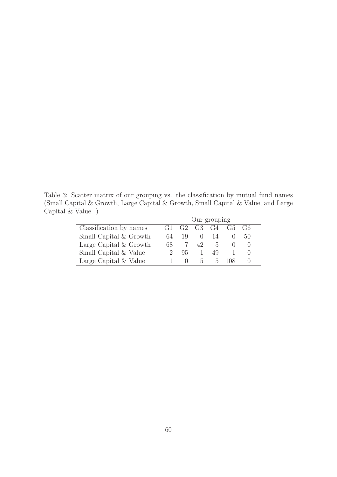Table 3: Scatter matrix of our grouping vs. the classification by mutual fund names (Small Capital & Growth, Large Capital & Growth, Small Capital & Value, and Large Capital & Value. )

|                         | Our grouping |    |                |               |     |              |  |  |
|-------------------------|--------------|----|----------------|---------------|-----|--------------|--|--|
| Classification by names | G1           |    | $G2 \tG3 \tG4$ |               | G5  | $-6^{\circ}$ |  |  |
| Small Capital & Growth  | 64           | 19 |                | $(1)$ 14      |     | 50           |  |  |
| Large Capital & Growth  | 68           |    | 42.            | $\mathcal{D}$ |     |              |  |  |
| Small Capital & Value   |              | 95 |                | 49            |     |              |  |  |
| Large Capital & Value   |              |    | $\mathcal{D}$  | $5 -$         | 108 |              |  |  |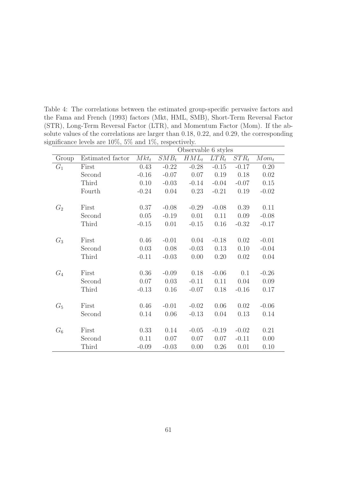Table 4: The correlations between the estimated group-specific pervasive factors and the Fama and French (1993) factors (Mkt, HML, SMB), Short-Term Reversal Factor (STR), Long-Term Reversal Factor (LTR), and Momentum Factor (Mom). If the absolute values of the correlations are larger than 0.18, 0.22, and 0.29, the corresponding significance levels are 10%, 5% and 1%, respectively.

|       |                  | Observable 6 styles |         |         |         |         |         |  |  |  |
|-------|------------------|---------------------|---------|---------|---------|---------|---------|--|--|--|
| Group | Estimated factor | $Mkt_t$             | $SMB_t$ | $HML_t$ | $LTR_t$ | $STR_t$ | $Mom_t$ |  |  |  |
| $G_1$ | First            | 0.43                | $-0.22$ | $-0.28$ | $-0.15$ | $-0.17$ | 0.20    |  |  |  |
|       | Second           | $-0.16$             | $-0.07$ | 0.07    | 0.19    | 0.18    | 0.02    |  |  |  |
|       | Third            | 0.10                | $-0.03$ | $-0.14$ | $-0.04$ | $-0.07$ | 0.15    |  |  |  |
|       | Fourth           | $-0.24$             | 0.04    | 0.23    | $-0.21$ | 0.19    | $-0.02$ |  |  |  |
|       |                  |                     |         |         |         |         |         |  |  |  |
| $G_2$ | First            | 0.37                | $-0.08$ | $-0.29$ | $-0.08$ | 0.39    | 0.11    |  |  |  |
|       | Second           | 0.05                | $-0.19$ | 0.01    | 0.11    | 0.09    | $-0.08$ |  |  |  |
|       | Third            | $-0.15$             | 0.01    | $-0.15$ | 0.16    | $-0.32$ | $-0.17$ |  |  |  |
|       |                  |                     |         |         |         |         |         |  |  |  |
| $G_3$ | First            | 0.46                | $-0.01$ | 0.04    | $-0.18$ | 0.02    | $-0.01$ |  |  |  |
|       | Second           | 0.03                | 0.08    | $-0.03$ | 0.13    | 0.10    | $-0.04$ |  |  |  |
|       | Third            | $-0.11$             | $-0.03$ | 0.00    | 0.20    | 0.02    | 0.04    |  |  |  |
|       |                  |                     |         |         |         |         |         |  |  |  |
| $G_4$ | First            | 0.36                | $-0.09$ | 0.18    | $-0.06$ | 0.1     | $-0.26$ |  |  |  |
|       | Second           | 0.07                | 0.03    | $-0.11$ | 0.11    | 0.04    | 0.09    |  |  |  |
|       | Third            | $-0.13$             | 0.16    | $-0.07$ | 0.18    | $-0.16$ | 0.17    |  |  |  |
|       |                  |                     |         |         |         |         |         |  |  |  |
| $G_5$ | First            | 0.46                | $-0.01$ | $-0.02$ | 0.06    | 0.02    | $-0.06$ |  |  |  |
|       | Second           | 0.14                | 0.06    | $-0.13$ | 0.04    | 0.13    | 0.14    |  |  |  |
|       |                  |                     |         |         |         |         |         |  |  |  |
| $G_6$ | First            | 0.33                | 0.14    | $-0.05$ | $-0.19$ | $-0.02$ | 0.21    |  |  |  |
|       | Second           | 0.11                | 0.07    | 0.07    | 0.07    | $-0.11$ | 0.00    |  |  |  |
|       | Third            | $-0.09$             | $-0.03$ | 0.00    | 0.26    | 0.01    | 0.10    |  |  |  |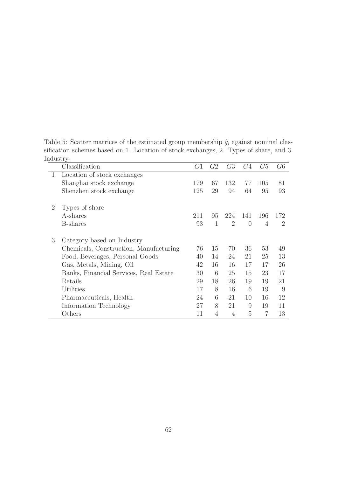Table 5: Scatter matrices of the estimated group membership  $\hat{g}_i$  against nominal classification schemes based on 1. Location of stock exchanges, 2. Types of share, and 3. Industry.

|              | Classification                         | G1  | G2           | G <sub>3</sub> | G4       | G5  | G6             |
|--------------|----------------------------------------|-----|--------------|----------------|----------|-----|----------------|
| $\mathbf{1}$ | Location of stock exchanges            |     |              |                |          |     |                |
|              | Shanghai stock exchange                | 179 | 67           | 132            | 77       | 105 | 81             |
|              | Shenzhen stock exchange                | 125 | 29           | 94             | 64       | 95  | 93             |
| 2            | Types of share                         |     |              |                |          |     |                |
|              | A-shares                               | 211 | 95           | 224            | 141      | 196 | 172            |
|              | <b>B</b> -shares                       | 93  | $\mathbf{1}$ | 2              | $\theta$ | 4   | $\overline{2}$ |
| 3            | Category based on Industry             |     |              |                |          |     |                |
|              | Chemicals, Construction, Manufacturing | 76  | 15           | 70             | 36       | 53  | 49             |
|              | Food, Beverages, Personal Goods        | 40  | 14           | 24             | 21       | 25  | 13             |
|              | Gas, Metals, Mining, Oil               | 42  | 16           | 16             | 17       | 17  | 26             |
|              | Banks, Financial Services, Real Estate | 30  | 6            | 25             | 15       | 23  | 17             |
|              | Retails                                | 29  | 18           | 26             | 19       | 19  | 21             |
|              | <b>Utilities</b>                       | 17  | 8            | 16             | 6        | 19  | 9              |
|              | Pharmaceuticals, Health                | 24  | 6            | 21             | 10       | 16  | 12             |
|              | Information Technology                 | 27  | 8            | 21             | 9        | 19  | 11             |
|              | Others                                 | 11  | 4            | 4              | 5        | 7   | 13             |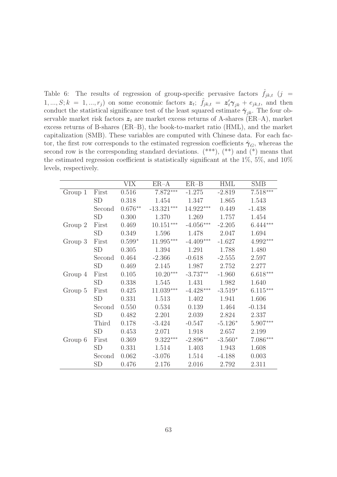Table 6: The results of regression of group-specific pervasive factors  $\hat{f}_{jk,t}$  (j =  $1, ..., S; k = 1, ..., r_j$  on some economic factors  $z_t$ ;  $\hat{f}_{jk,t} = z'_t \gamma_{jk} + e_{jk,t}$ , and then conduct the statistical significance test of the least squared estimate  $\hat{\gamma}_{ik}$ . The four observable market risk factors  $z_t$  are market excess returns of A-shares (ER–A), market excess returns of B-shares (ER–B), the book-to-market ratio (HML), and the market capitalization (SMB). These variables are computed with Chinese data. For each factor, the first row corresponds to the estimated regression coefficients  $\hat{\gamma}_G$ , whereas the second row is the corresponding standard deviations.  $(***)$ ,  $(**)$  and  $(*)$  means that the estimated regression coefficient is statistically significant at the 1%, 5%, and 10% levels, respectively.

|         |           | <b>VIX</b> | $ER-A$       | $ER-B$      | <b>HML</b> | <b>SMB</b> |
|---------|-----------|------------|--------------|-------------|------------|------------|
| Group 1 | First     | 0.516      | 7.872***     | $-1.275$    | $-2.819$   | $7.518***$ |
|         | <b>SD</b> | 0.318      | 1.454        | 1.347       | 1.865      | 1.543      |
|         | Second    | $0.676**$  | $-13.321***$ | $14.922***$ | 0.449      | $-1.438$   |
|         | <b>SD</b> | 0.300      | 1.370        | 1.269       | 1.757      | 1.454      |
| Group 2 | First     | 0.469      | $10.151***$  | $-4.056***$ | $-2.205$   | $6.444***$ |
|         | <b>SD</b> | 0.349      | 1.596        | 1.478       | 2.047      | 1.694      |
| Group 3 | First     | $0.599*$   | $11.995***$  | $-4.409***$ | $-1.627$   | 4.992***   |
|         | <b>SD</b> | 0.305      | 1.394        | 1.291       | 1.788      | 1.480      |
|         | Second    | 0.464      | $-2.366$     | $-0.618$    | $-2.555$   | 2.597      |
|         | <b>SD</b> | 0.469      | 2.145        | 1.987       | 2.752      | 2.277      |
| Group 4 | First     | 0.105      | $10.20***$   | $-3.737**$  | $-1.960$   | $6.618***$ |
|         | SD        | 0.338      | 1.545        | 1.431       | 1.982      | 1.640      |
| Group 5 | First     | 0.425      | $11.039***$  | $-4.428***$ | $-3.519*$  | $6.115***$ |
|         | <b>SD</b> | 0.331      | 1.513        | 1.402       | 1.941      | 1.606      |
|         | Second    | 0.550      | 0.534        | 0.139       | 1.464      | $-0.134$   |
|         | <b>SD</b> | 0.482      | 2.201        | 2.039       | 2.824      | 2.337      |
|         | Third     | 0.178      | $-3.424$     | $-0.547$    | $-5.126*$  | 5.907***   |
|         | <b>SD</b> | 0.453      | 2.071        | 1.918       | 2.657      | 2.199      |
| Group 6 | First     | 0.369      | $9.322***$   | $-2.896**$  | $-3.560*$  | $7.086***$ |
|         | SD        | 0.331      | 1.514        | 1.403       | 1.943      | 1.608      |
|         | Second    | 0.062      | $-3.076$     | 1.514       | $-4.188$   | 0.003      |
|         | SD        | 0.476      | 2.176        | 2.016       | 2.792      | 2.311      |